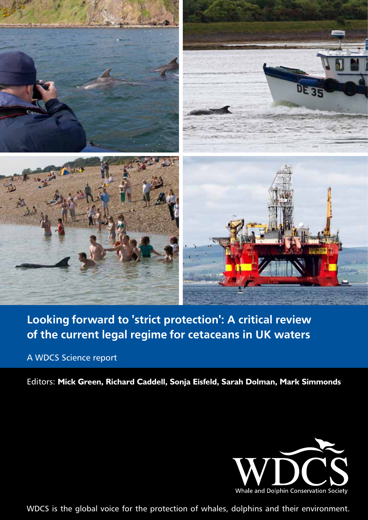

# Looking forward to 'strict protection': A critical review of the current legal regime for cetaceans in UK waters

# A WDCS Science report

Editors: **Mick Green, Richard Caddell, Sonja Eisfeld, Sarah Dolman, Mark Simmonds**

![](_page_0_Picture_4.jpeg)

WDCS is the global voice for the protection of whales, dolphins and their environment.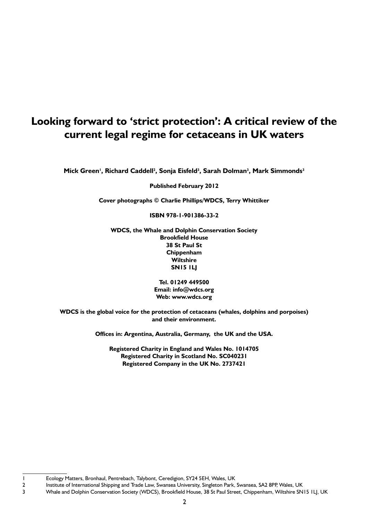# **Looking forward to 'strict protection': A critical review of the current legal regime for cetaceans in UK waters**

Mick Green<sup>i</sup>, Richard Caddell<sup>2</sup>, Sonja Eisfeld<sup>3</sup>, Sarah Dolman<sup>3</sup>, Mark Simmonds<sup>3</sup>

**Published February 2012**

**Cover photographs © Charlie Phillips/WDCS, Terry Whittiker**

**ISBN 978-1-901386-33-2**

**WDCS, the Whale and Dolphin Conservation Society Brookfield House 38 St Paul St Chippenham Wiltshire SN15 1LJ**

> **Tel. 01249 449500 Email: info@wdcs.org Web: www.wdcs.org**

**WDCS is the global voice for the protection of cetaceans (whales, dolphins and porpoises) and their environment.**

**Offices in: Argentina, Australia, Germany, the UK and the USA.**

**Registered Charity in England and Wales No. 1014705 Registered Charity in Scotland No. SC040231 Registered Company in the UK No. 2737421**

<sup>1</sup>  Ecology Matters, Bronhaul, Pentrebach, Talybont, Ceredigion, SY24 5EH, Wales, UK

<sup>2</sup> Institute of International Shipping and Trade Law, Swansea University, Singleton Park, Swansea, SA2 8PP, Wales, UK

<sup>3</sup> Whale and Dolphin Conservation Society (WDCS), Brookfield House, 38 St Paul Street, Chippenham, Wiltshire SN15 1LJ, UK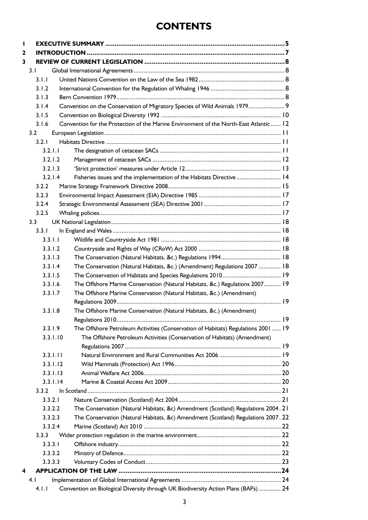# **CONTENTS**

| L |                  |                      |                                                                                       |  |
|---|------------------|----------------------|---------------------------------------------------------------------------------------|--|
| 2 |                  |                      |                                                                                       |  |
| 3 |                  |                      |                                                                                       |  |
|   | 3.1              |                      |                                                                                       |  |
|   |                  | 3.1.1                |                                                                                       |  |
|   |                  | 3.1.2                |                                                                                       |  |
|   |                  | 3.1.3                |                                                                                       |  |
|   |                  | 3.1.4                | Convention on the Conservation of Migratory Species of Wild Animals 1979 9            |  |
|   |                  | 3.1.5                |                                                                                       |  |
|   |                  | 3.1.6                | Convention for the Protection of the Marine Environment of the North-East Atlantic 12 |  |
|   | 3.2              |                      |                                                                                       |  |
|   |                  | 3.2.1                |                                                                                       |  |
|   |                  | 3.2.1.1              |                                                                                       |  |
|   |                  | 3.2.1.2              |                                                                                       |  |
|   |                  | 3.2.1.3              |                                                                                       |  |
|   |                  | 3.2.1.4              | Fisheries issues and the implementation of the Habitats Directive 14                  |  |
|   |                  | 3.2.2                |                                                                                       |  |
|   |                  | 3.2.3                |                                                                                       |  |
|   |                  | 3.2.4                |                                                                                       |  |
|   |                  | 3.2.5                |                                                                                       |  |
|   | 3.3 <sub>1</sub> |                      |                                                                                       |  |
|   |                  | 3.3.1                |                                                                                       |  |
|   |                  | 3.3.1.1              |                                                                                       |  |
|   |                  | 3.3.1.2              |                                                                                       |  |
|   |                  | 3.3.1.3              |                                                                                       |  |
|   |                  | 3.3.1.4              | The Conservation (Natural Habitats, &c.) (Amendment) Regulations 2007  18             |  |
|   |                  | 3.3.1.5              |                                                                                       |  |
|   |                  | 3.3.1.6              | The Offshore Marine Conservation (Natural Habitats, &c.) Regulations 2007 19          |  |
|   |                  | 3.3.1.7              | The Offshore Marine Conservation (Natural Habitats, &c.) (Amendment)                  |  |
|   |                  |                      |                                                                                       |  |
|   |                  | 3.3.1.8              | The Offshore Marine Conservation (Natural Habitats, &c.) (Amendment)                  |  |
|   |                  |                      |                                                                                       |  |
|   |                  | 3.3.1.9              | The Offshore Petroleum Activities (Conservation of Habitats) Regulations 2001  19     |  |
|   |                  | 3.3.1.10             | The Offshore Petroleum Activities (Conservation of Habitats) (Amendment)              |  |
|   |                  |                      |                                                                                       |  |
|   |                  | 3.3.1.11             |                                                                                       |  |
|   |                  | 3.3.1.12<br>3.3.1.13 |                                                                                       |  |
|   |                  | 3.3.1.14             |                                                                                       |  |
|   |                  | 3.3.2                |                                                                                       |  |
|   |                  | 3.3.2.1              |                                                                                       |  |
|   |                  | 3.3.2.2              | The Conservation (Natural Habitats, &c) Amendment (Scotland) Regulations 2004. 21     |  |
|   |                  | 3.3.2.3              | The Conservation (Natural Habitats, &c) Amendment (Scotland) Regulations 2007. 22     |  |
|   |                  | 3.3.2.4              |                                                                                       |  |
|   |                  | 3.3.3                |                                                                                       |  |
|   |                  | 3.3.3.1              |                                                                                       |  |
|   |                  | 3.3.3.2              |                                                                                       |  |
|   |                  | 3.3.3.3              |                                                                                       |  |
| 4 |                  |                      |                                                                                       |  |
|   | 4.1              |                      |                                                                                       |  |
|   |                  | 4.1.1                | Convention on Biological Diversity through UK Biodiversity Action Plans (BAPs)  24    |  |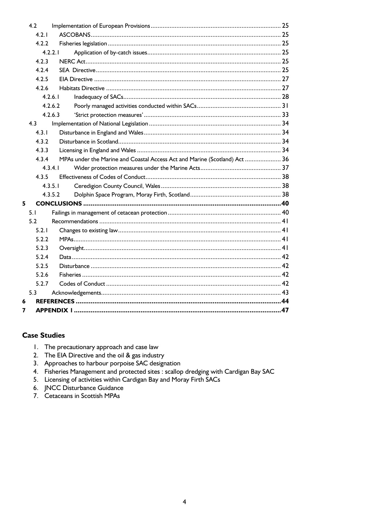|   | 4.2     |                                                                            |  |
|---|---------|----------------------------------------------------------------------------|--|
|   | 4 2 1   |                                                                            |  |
|   | 4.2.2   |                                                                            |  |
|   | 4.2.2.1 |                                                                            |  |
|   | 4.2.3   |                                                                            |  |
|   | 4 2 4   |                                                                            |  |
|   | 4.2.5   |                                                                            |  |
|   | 4.2.6   |                                                                            |  |
|   | 4.2.6.1 |                                                                            |  |
|   | 4.2.6.2 |                                                                            |  |
|   | 4.2.6.3 |                                                                            |  |
|   | 4.3     |                                                                            |  |
|   | 4.3.1   |                                                                            |  |
|   | 4.3.2   |                                                                            |  |
|   | 4.3.3   |                                                                            |  |
|   | 4.3.4   | MPAs under the Marine and Coastal Access Act and Marine (Scotland) Act  36 |  |
|   | 4.3.4.1 |                                                                            |  |
|   | 4.3.5   |                                                                            |  |
|   | 4.3.5.1 |                                                                            |  |
|   | 4.3.5.2 |                                                                            |  |
| 5 |         |                                                                            |  |
|   | 5.1     |                                                                            |  |
|   | 5.2     |                                                                            |  |
|   | 5.2.1   |                                                                            |  |
|   | 5.2.2   |                                                                            |  |
|   | 5.2.3   |                                                                            |  |
|   | 5.2.4   |                                                                            |  |
|   | 5.2.5   |                                                                            |  |
|   | 5.2.6   |                                                                            |  |
|   | 5.2.7   |                                                                            |  |
|   | 5.3     |                                                                            |  |
| 6 |         |                                                                            |  |
| 7 |         |                                                                            |  |
|   |         |                                                                            |  |

## **Case Studies**

- 1. The precautionary approach and case law
- 2. The EIA Directive and the oil & gas industry
- 3. Approaches to harbour porpoise SAC designation
- 4. Fisheries Management and protected sites : scallop dredging with Cardigan Bay SAC
- 5. Licensing of activities within Cardigan Bay and Moray Firth SACs
- 6. JNCC Disturbance Guidance
- 7. Cetaceans in Scottish MPAs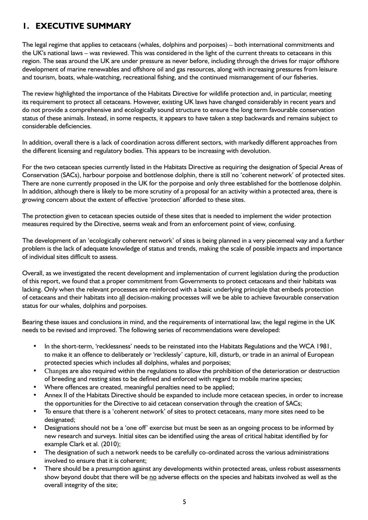## **1. EXECUTIVE SUMMARY**

The legal regime that applies to cetaceans (whales, dolphins and porpoises) – both international commitments and the UK's national laws – was reviewed. This was considered in the light of the current threats to cetaceans in this region. The seas around the UK are under pressure as never before, including through the drives for major offshore development of marine renewables and offshore oil and gas resources, along with increasing pressures from leisure and tourism, boats, whale-watching, recreational fishing, and the continued mismanagement of our fisheries.

The review highlighted the importance of the Habitats Directive for wildlife protection and, in particular, meeting its requirement to protect all cetaceans. However, existing UK laws have changed considerably in recent years and do not provide a comprehensive and ecologically sound structure to ensure the long term favourable conservation status of these animals. Instead, in some respects, it appears to have taken a step backwards and remains subject to considerable deficiencies.

In addition, overall there is a lack of coordination across different sectors, with markedly different approaches from the different licensing and regulatory bodies. This appears to be increasing with devolution.

For the two cetacean species currently listed in the Habitats Directive as requiring the designation of Special Areas of Conservation (SACs), harbour porpoise and bottlenose dolphin, there is still no 'coherent network' of protected sites. There are none currently proposed in the UK for the porpoise and only three established for the bottlenose dolphin. In addition, although there is likely to be more scrutiny of a proposal for an activity within a protected area, there is growing concern about the extent of effective 'protection' afforded to these sites.

The protection given to cetacean species outside of these sites that is needed to implement the wider protection measures required by the Directive, seems weak and from an enforcement point of view, confusing.

The development of an 'ecologically coherent network' of sites is being planned in a very piecemeal way and a further problem is the lack of adequate knowledge of status and trends, making the scale of possible impacts and importance of individual sites difficult to assess.

Overall, as we investigated the recent development and implementation of current legislation during the production of this report, we found that a proper commitment from Governments to protect cetaceans and their habitats was lacking. Only when the relevant processes are reinforced with a basic underlying principle that embeds protection of cetaceans and their habitats into all decision-making processes will we be able to achieve favourable conservation status for our whales, dolphins and porpoises.

Bearing these issues and conclusions in mind, and the requirements of international law, the legal regime in the UK needs to be revised and improved. The following series of recommendations were developed:

- In the short-term, 'recklessness' needs to be reinstated into the Habitats Regulations and the WCA 1981, to make it an offence to deliberately or 'recklessly' capture, kill, disturb, or trade in an animal of European protected species which includes all dolphins, whales and porpoises;
- Changes are also required within the regulations to allow the prohibition of the deterioration or destruction of breeding and resting sites to be defined and enforced with regard to mobile marine species;
- Where offences are created, meaningful penalties need to be applied;
- Annex II of the Habitats Directive should be expanded to include more cetacean species, in order to increase the opportunities for the Directive to aid cetacean conservation through the creation of SACs;
- To ensure that there is a 'coherent network' of sites to protect cetaceans, many more sites need to be designated;
- Designations should not be a 'one off' exercise but must be seen as an ongoing process to be informed by new research and surveys. Initial sites can be identified using the areas of critical habitat identified by for example Clark et al. (2010);
- The designation of such a network needs to be carefully co-ordinated across the various administrations involved to ensure that it is coherent;
- There should be a presumption against any developments within protected areas, unless robust assessments show beyond doubt that there will be no adverse effects on the species and habitats involved as well as the overall integrity of the site;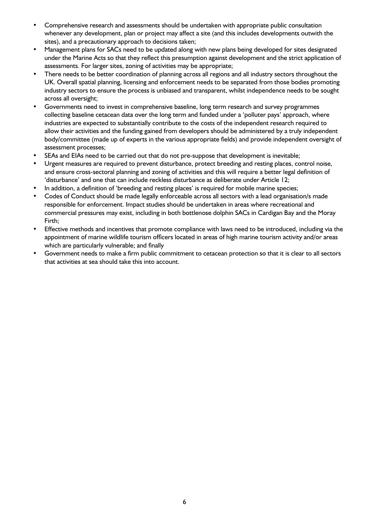- Comprehensive research and assessments should be undertaken with appropriate public consultation whenever any development, plan or project may affect a site (and this includes developments outwith the sites), and a precautionary approach to decisions taken;
- Management plans for SACs need to be updated along with new plans being developed for sites designated under the Marine Acts so that they reflect this presumption against development and the strict application of assessments. For larger sites, zoning of activities may be appropriate;
- There needs to be better coordination of planning across all regions and all industry sectors throughout the UK. Overall spatial planning, licensing and enforcement needs to be separated from those bodies promoting industry sectors to ensure the process is unbiased and transparent, whilst independence needs to be sought across all oversight;
- Governments need to invest in comprehensive baseline, long term research and survey programmes collecting baseline cetacean data over the long term and funded under a 'polluter pays' approach, where industries are expected to substantially contribute to the costs of the independent research required to allow their activities and the funding gained from developers should be administered by a truly independent body/committee (made up of experts in the various appropriate fields) and provide independent oversight of assessment processes;
- SEAs and EIAs need to be carried out that do not pre-suppose that development is inevitable;
- Urgent measures are required to prevent disturbance, protect breeding and resting places, control noise, and ensure cross-sectoral planning and zoning of activities and this will require a better legal definition of 'disturbance' and one that can include reckless disturbance as deliberate under Article 12;
- In addition, a definition of 'breeding and resting places' is required for mobile marine species;
- Codes of Conduct should be made legally enforceable across all sectors with a lead organisation/s made responsible for enforcement. Impact studies should be undertaken in areas where recreational and commercial pressures may exist, including in both bottlenose dolphin SACs in Cardigan Bay and the Moray Firth;
- Effective methods and incentives that promote compliance with laws need to be introduced, including via the appointment of marine wildlife tourism officers located in areas of high marine tourism activity and/or areas which are particularly vulnerable; and finally
- Government needs to make a firm public commitment to cetacean protection so that it is clear to all sectors that activities at sea should take this into account.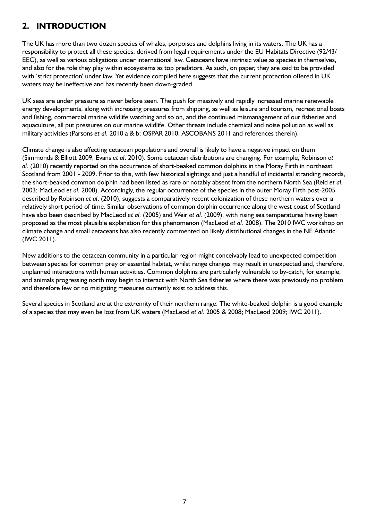## **2. INTRODUCTION**

The UK has more than two dozen species of whales, porpoises and dolphins living in its waters. The UK has a responsibility to protect all these species, derived from legal requirements under the EU Habitats Directive (92/43/ EEC), as well as various obligations under international law. Cetaceans have intrinsic value as species in themselves, and also for the role they play within ecosystems as top predators. As such, on paper, they are said to be provided with 'strict protection' under law. Yet evidence compiled here suggests that the current protection offered in UK waters may be ineffective and has recently been down-graded.

UK seas are under pressure as never before seen. The push for massively and rapidly increased marine renewable energy developments, along with increasing pressures from shipping, as well as leisure and tourism, recreational boats and fishing, commercial marine wildlife watching and so on, and the continued mismanagement of our fisheries and aquaculture, all put pressures on our marine wildlife. Other threats include chemical and noise pollution as well as military activities (Parsons *et al.* 2010 a & b; OSPAR 2010, ASCOBANS 2011 and references therein).

Climate change is also affecting cetacean populations and overall is likely to have a negative impact on them (Simmonds & Elliott 2009; Evans *et al*. 2010). Some cetacean distributions are changing. For example, Robinson *et al.* (2010) recently reported on the occurrence of short-beaked common dolphins in the Moray Firth in northeast Scotland from 2001 - 2009. Prior to this, with few historical sightings and just a handful of incidental stranding records, the short-beaked common dolphin had been listed as rare or notably absent from the northern North Sea (Reid *et al.* 2003; MacLeod *et al.* 2008). Accordingly, the regular occurrence of the species in the outer Moray Firth post-2005 described by Robinson *et al*. (2010), suggests a comparatively recent colonization of these northern waters over a relatively short period of time. Similar observations of common dolphin occurrence along the west coast of Scotland have also been described by MacLeod *et al.* (2005) and Weir *et al.* (2009), with rising sea temperatures having been proposed as the most plausible explanation for this phenomenon (MacLeod *et al.* 2008). The 2010 IWC workshop on climate change and small cetaceans has also recently commented on likely distributional changes in the NE Atlantic (IWC 2011).

New additions to the cetacean community in a particular region might conceivably lead to unexpected competition between species for common prey or essential habitat, whilst range changes may result in unexpected and, therefore, unplanned interactions with human activities. Common dolphins are particularly vulnerable to by-catch, for example, and animals progressing north may begin to interact with North Sea fisheries where there was previously no problem and therefore few or no mitigating measures currently exist to address this.

Several species in Scotland are at the extremity of their northern range. The white-beaked dolphin is a good example of a species that may even be lost from UK waters (MacLeod *et al*. 2005 & 2008; MacLeod 2009; IWC 2011).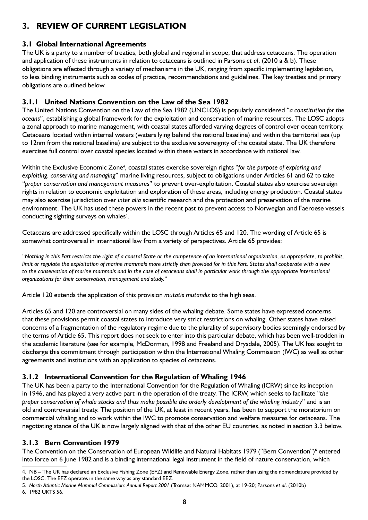## **3. REVIEW OF CURRENT LEGISLATION**

## **3.1 Global International Agreements**

The UK is a party to a number of treaties, both global and regional in scope, that address cetaceans. The operation and application of these instruments in relation to cetaceans is outlined in Parsons *et al*. (2010 a & b). These obligations are effected through a variety of mechanisms in the UK, ranging from specific implementing legislation, to less binding instruments such as codes of practice, recommendations and guidelines. The key treaties and primary obligations are outlined below.

## **3.1.1 United Nations Convention on the Law of the Sea 1982**

The United Nations Convention on the Law of the Sea 1982 (UNCLOS) is popularly considered "*a constitution for the oceans*", establishing a global framework for the exploitation and conservation of marine resources. The LOSC adopts a zonal approach to marine management, with coastal states afforded varying degrees of control over ocean territory. Cetaceans located within internal waters (waters lying behind the national baseline) and within the territorial sea (up to 12nm from the national baseline) are subject to the exclusive sovereignty of the coastal state. The UK therefore exercises full control over coastal species located within these waters in accordance with national law.

Within the Exclusive Economic Zone<sup>4</sup>, coastal states exercise sovereign rights "for the purpose of exploring and *exploiting, conserving and managing*" marine living resources, subject to obligations under Articles 61 and 62 to take "*proper conservation and management measures*" to prevent over-exploitation. Coastal states also exercise sovereign rights in relation to economic exploitation and exploration of these areas, including energy production. Coastal states may also exercise jurisdiction over *inter alia* scientific research and the protection and preservation of the marine environment. The UK has used these powers in the recent past to prevent access to Norwegian and Faeroese vessels conducting sighting surveys on whales<sup>5</sup>.

Cetaceans are addressed specifically within the LOSC through Articles 65 and 120. The wording of Article 65 is somewhat controversial in international law from a variety of perspectives. Article 65 provides:

"*Nothing in this Part restricts the right of a coastal State or the competence of an international organization, as appropriate, to prohibit, limit or regulate the exploitation of marine mammals more strictly than provided for in this Part. States shall cooperate with a view*  to the conservation of marine mammals and in the case of cetaceans shall in particular work through the appropriate international *organizations for their conservation, management and study.*"

Article 120 extends the application of this provision *mutatis mutandis* to the high seas.

Articles 65 and 120 are controversial on many sides of the whaling debate. Some states have expressed concerns that these provisions permit coastal states to introduce very strict restrictions on whaling. Other states have raised concerns of a fragmentation of the regulatory regime due to the plurality of supervisory bodies seemingly endorsed by the terms of Article 65. This report does not seek to enter into this particular debate, which has been well-trodden in the academic literature (see for example, McDorman, 1998 and Freeland and Drysdale, 2005). The UK has sought to discharge this commitment through participation within the International Whaling Commission (IWC) as well as other agreements and institutions with an application to species of cetaceans.

## **3.1.2 International Convention for the Regulation of Whaling 1946**

The UK has been a party to the International Convention for the Regulation of Whaling (ICRW) since its inception in 1946, and has played a very active part in the operation of the treaty. The ICRW, which seeks to facilitate "*the proper conservation of whale stocks and thus make possible the orderly development of the whaling industry*" and is an old and controversial treaty. The position of the UK, at least in recent years, has been to support the moratorium on commercial whaling and to work within the IWC to promote conservation and welfare measures for cetaceans. The negotiating stance of the UK is now largely aligned with that of the other EU countries, as noted in section 3.3 below.

## **3.1.3 Bern Convention 1979**

The Convention on the Conservation of European Wildlife and Natural Habitats 1979 ("Bern Convention")<sup>6</sup> entered into force on 6 June 1982 and is a binding international legal instrument in the field of nature conservation, which

<sup>4.</sup> NB – The UK has declared an Exclusive Fishing Zone (EFZ) and Renewable Energy Zone, rather than using the nomenclature provided by the LOSC. The EFZ operates in the same way as any standard EEZ.

<sup>5.</sup> *North Atlantic Marine Mammal Commission: Annual Report 2001* (Tromsø: NAMMCO, 2001), at 19-20; Parsons *et al*. (2010b)

<sup>6. 1982</sup> UKTS 56.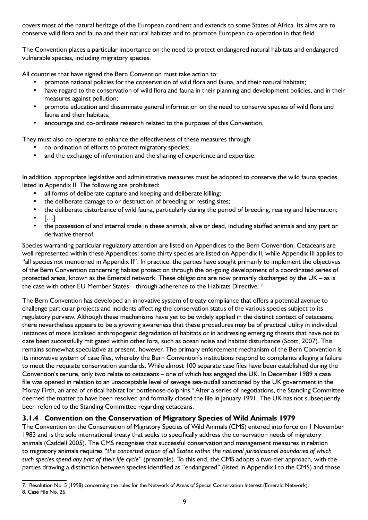covers most of the natural heritage of the European continent and extends to some States of Africa. Its aims are to conserve wild flora and fauna and their natural habitats and to promote European co-operation in that field.

The Convention places a particular importance on the need to protect endangered natural habitats and endangered vulnerable species, including migratory species.

All countries that have signed the Bern Convention must take action to:

- promote national policies for the conservation of wild flora and fauna, and their natural habitats;
- have regard to the conservation of wild flora and fauna in their planning and development policies, and in their measures against pollution;
- promote education and disseminate general information on the need to conserve species of wild flora and fauna and their habitats;
- encourage and co-ordinate research related to the purposes of this Convention.

They must also co-operate to enhance the effectiveness of these measures through:

- co-ordination of efforts to protect migratory species;
- and the exchange of information and the sharing of experience and expertise.

In addition, appropriate legislative and administrative measures must be adopted to conserve the wild fauna species listed in Appendix II. The following are prohibited:

- all forms of deliberate capture and keeping and deliberate killing;
- the deliberate damage to or destruction of breeding or resting sites;
- the deliberate disturbance of wild fauna, particularly during the period of breeding, rearing and hibernation;
- $\lceil$ ...]
- the possession of and internal trade in these animals, alive or dead, including stuffed animals and any part or derivative thereof.

Species warranting particular regulatory attention are listed on Appendices to the Bern Convention. Cetaceans are well represented within these Appendices: some thirty species are listed on Appendix II, while Appendix III applies to "all species not mentioned in Appendix II". In practice, the parties have sought primarily to implement the objectives of the Bern Convention concerning habitat protection through the on-going development of a coordinated series of protected areas, known as the Emerald network. These obligations are now primarily discharged by the UK – as is the case with other EU Member States – through adherence to the Habitats Directive.<sup>7</sup>

The Bern Convention has developed an innovative system of treaty compliance that offers a potential avenue to challenge particular projects and incidents affecting the conservation status of the various species subject to its regulatory purview. Although these mechanisms have yet to be widely applied in the distinct context of cetaceans, there nevertheless appears to be a growing awareness that these procedures may be of practical utility in individual instances of more localised anthropogenic degradation of habitats or in addressing emerging threats that have not to date been successfully mitigated within other fora, such as ocean noise and habitat disturbance (Scott, 2007). This remains somewhat speculative at present, however. The primary enforcement mechanism of the Bern Convention is its innovative system of case files, whereby the Bern Convention's institutions respond to complaints alleging a failure to meet the requisite conservation standards. While almost 100 separate case files have been established during the Convention's tenure, only two relate to cetaceans – one of which has engaged the UK. In December 1989 a case file was opened in relation to an unacceptable level of sewage sea-outfall sanctioned by the UK government in the Moray Firth, an area of critical habitat for bottlenose dolphins.<sup>8</sup> After a series of negotiations, the Standing Committee deemed the matter to have been resolved and formally closed the file in January 1991. The UK has not subsequently been referred to the Standing Committee regarding cetaceans.

## **3.1.4 Convention on the Conservation of Migratory Species of Wild Animals 1979**

The Convention on the Conservation of Migratory Species of Wild Animals (CMS) entered into force on 1 November 1983 and is the sole international treaty that seeks to specifically address the conservation needs of migratory animals (Caddell 2005). The CMS recognises that successful conservation and management measures in relation to migratory animals requires "*the concerted action of all States within the national jurisdictional boundaries of which such species spend any part of their life cycle*" (preamble). To this end, the CMS adopts a two-tier approach, with the parties drawing a distinction between species identified as "endangered" (listed in Appendix I to the CMS) and those

<sup>7.</sup> Resolution No. 5 (1998) concerning the rules for the Network of Areas of Special Conservation Interest (Emerald Network). 8. Case File No. 26.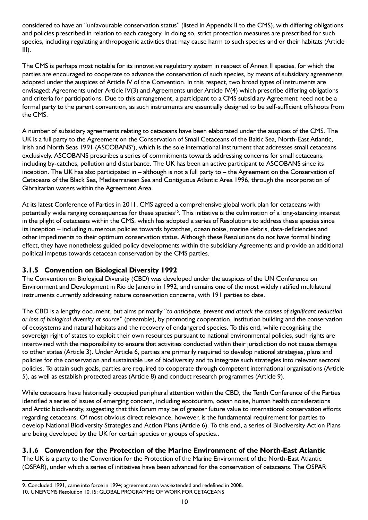considered to have an "unfavourable conservation status" (listed in Appendix II to the CMS), with differing obligations and policies prescribed in relation to each category. In doing so, strict protection measures are prescribed for such species, including regulating anthropogenic activities that may cause harm to such species and or their habitats (Article III).

The CMS is perhaps most notable for its innovative regulatory system in respect of Annex II species, for which the parties are encouraged to cooperate to advance the conservation of such species, by means of subsidiary agreements adopted under the auspices of Article IV of the Convention. In this respect, two broad types of instruments are envisaged: Agreements under Article IV(3) and Agreements under Article IV(4) which prescribe differing obligations and criteria for participations. Due to this arrangement, a participant to a CMS subsidiary Agreement need not be a formal party to the parent convention, as such instruments are essentially designed to be self-sufficient offshoots from the CMS.

A number of subsidiary agreements relating to cetaceans have been elaborated under the auspices of the CMS. The UK is a full party to the Agreement on the Conservation of Small Cetaceans of the Baltic Sea, North-East Atlantic, Irish and North Seas 1991 (ASCOBANS<sup>9</sup>), which is the sole international instrument that addresses small cetaceans exclusively. ASCOBANS prescribes a series of commitments towards addressing concerns for small cetaceans, including by-catches, pollution and disturbance. The UK has been an active participant to ASCOBANS since its inception. The UK has also participated in – although is not a full party to – the Agreement on the Conservation of Cetaceans of the Black Sea, Mediterranean Sea and Contiguous Atlantic Area 1996, through the incorporation of Gibraltarian waters within the Agreement Area.

At its latest Conference of Parties in 2011, CMS agreed a comprehensive global work plan for cetaceans with potentially wide ranging consequences for these species<sup>10</sup>. This initiative is the culmination of a long-standing interest in the plight of cetaceans within the CMS, which has adopted a series of Resolutions to address these species since its inception – including numerous policies towards bycatches, ocean noise, marine debris, data-deficiencies and other impediments to their optimum conservation status. Although these Resolutions do not have formal binding effect, they have nonetheless guided policy developments within the subsidiary Agreements and provide an additional political impetus towards cetacean conservation by the CMS parties.

## **3.1.5 Convention on Biological Diversity 1992**

The Convention on Biological Diversity (CBD) was developed under the auspices of the UN Conference on Environment and Development in Rio de Janeiro in 1992, and remains one of the most widely ratified multilateral instruments currently addressing nature conservation concerns, with 191 parties to date.

The CBD is a lengthy document, but aims primarily "*to anticipate, prevent and attack the causes of significant reduction or loss of biological diversity at source*" (preamble), by promoting cooperation, institution building and the conservation of ecosystems and natural habitats and the recovery of endangered species. To this end, while recognising the sovereign right of states to exploit their own resources pursuant to national environmental policies, such rights are intertwined with the responsibility to ensure that activities conducted within their jurisdiction do not cause damage to other states (Article 3). Under Article 6, parties are primarily required to develop national strategies, plans and policies for the conservation and sustainable use of biodiversity and to integrate such strategies into relevant sectoral policies. To attain such goals, parties are required to cooperate through competent international organisations (Article 5), as well as establish protected areas (Article 8) and conduct research programmes (Article 9).

While cetaceans have historically occupied peripheral attention within the CBD, the Tenth Conference of the Parties identified a series of issues of emerging concern, including ecotourism, ocean noise, human health considerations and Arctic biodiversity, suggesting that this forum may be of greater future value to international conservation efforts regarding cetaceans. Of most obvious direct relevance, however, is the fundamental requirement for parties to develop National Biodiversity Strategies and Action Plans (Article 6). To this end, a series of Biodiversity Action Plans are being developed by the UK for certain species or groups of species..

## **3.1.6 Convention for the Protection of the Marine Environment of the North-East Atlantic**

The UK is a party to the Convention for the Protection of the Marine Environment of the North-East Atlantic (OSPAR), under which a series of initiatives have been advanced for the conservation of cetaceans. The OSPAR

<sup>9.</sup> Concluded 1991, came into force in 1994; agreement area was extended and redefined in 2008.

<sup>10.</sup> UNEP/CMS Resolution 10.15: GLOBAL PROGRAMME OF WORK FOR CETACEANS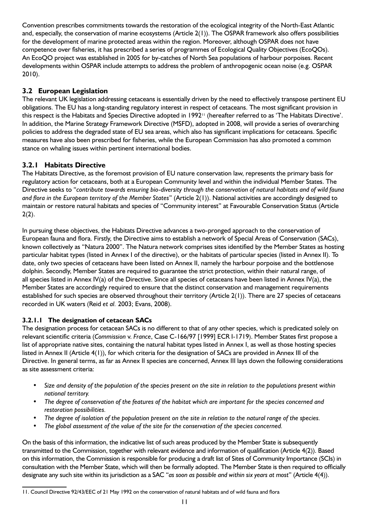Convention prescribes commitments towards the restoration of the ecological integrity of the North-East Atlantic and, especially, the conservation of marine ecosystems (Article 2(1)). The OSPAR framework also offers possibilities for the development of marine protected areas within the region. Moreover, although OSPAR does not have competence over fisheries, it has prescribed a series of programmes of Ecological Quality Objectives (EcoQOs). An EcoQO project was established in 2005 for by-catches of North Sea populations of harbour porpoises. Recent developments within OSPAR include attempts to address the problem of anthropogenic ocean noise (e.g. OSPAR 2010).

## **3.2 European Legislation**

The relevant UK legislation addressing cetaceans is essentially driven by the need to effectively transpose pertinent EU obligations. The EU has a long-standing regulatory interest in respect of cetaceans. The most significant provision in this respect is the Habitats and Species Directive adopted in 1992<sup>11</sup> (hereafter referred to as 'The Habitats Directive'. In addition, the Marine Strategy Framework Directive (MSFD), adopted in 2008, will provide a series of overarching policies to address the degraded state of EU sea areas, which also has significant implications for cetaceans. Specific measures have also been prescribed for fisheries, while the European Commission has also promoted a common stance on whaling issues within pertinent international bodies.

## **3.2.1 Habitats Directive**

The Habitats Directive, as the foremost provision of EU nature conservation law, represents the primary basis for regulatory action for cetaceans, both at a European Community level and within the individual Member States. The Directive seeks to "*contribute towards ensuring bio-diversity through the conservation of natural habitats and of wild fauna and flora in the European territory of the Member States*" (Article 2(1)). National activities are accordingly designed to maintain or restore natural habitats and species of "Community interest" at Favourable Conservation Status (Article  $2(2)$ .

In pursuing these objectives, the Habitats Directive advances a two-pronged approach to the conservation of European fauna and flora. Firstly, the Directive aims to establish a network of Special Areas of Conservation (SACs), known collectively as "Natura 2000". The Natura network comprises sites identified by the Member States as hosting particular habitat types (listed in Annex I of the directive), or the habitats of particular species (listed in Annex II). To date, only two species of cetaceans have been listed on Annex II, namely the harbour porpoise and the bottlenose dolphin. Secondly, Member States are required to guarantee the strict protection, within their natural range, of all species listed in Annex IV(a) of the Directive. Since all species of cetaceans have been listed in Annex IV(a), the Member States are accordingly required to ensure that the distinct conservation and management requirements established for such species are observed throughout their territory (Article 2(1)). There are 27 species of cetaceans recorded in UK waters (Reid *et al.* 2003; Evans, 2008).

## **3.2.1.1 The designation of cetacean SACs**

The designation process for cetacean SACs is no different to that of any other species, which is predicated solely on relevant scientific criteria (*Commission* v. *France*, Case C-166/97 [1999] ECR I-1719). Member States first propose a list of appropriate native sites, containing the natural habitat types listed in Annex I, as well as those hosting species listed in Annex II (Article 4(1)), for which criteria for the designation of SACs are provided in Annex III of the Directive. In general terms, as far as Annex II species are concerned, Annex III lays down the following considerations as site assessment criteria:

- Size and density of the population of the species present on the site in relation to the populations present within *national territory.*
- The degree of conservation of the features of the habitat which are important for the species concerned and *restoration possibilities.*
- The degree of isolation of the population present on the site in relation to the natural range of the species.
- The global assessment of the value of the site for the conservation of the species concerned.

On the basis of this information, the indicative list of such areas produced by the Member State is subsequently transmitted to the Commission, together with relevant evidence and information of qualification (Article 4(2)). Based on this information, the Commission is responsible for producing a draft list of Sites of Community Importance (SCIs) in consultation with the Member State, which will then be formally adopted. The Member State is then required to officially designate any such site within its jurisdiction as a SAC "*as soon as possible and within six years at most*" (Article 4(4)).

<sup>11.</sup> Council Directive 92/43/EEC of 21 May 1992 on the conservation of natural habitats and of wild fauna and flora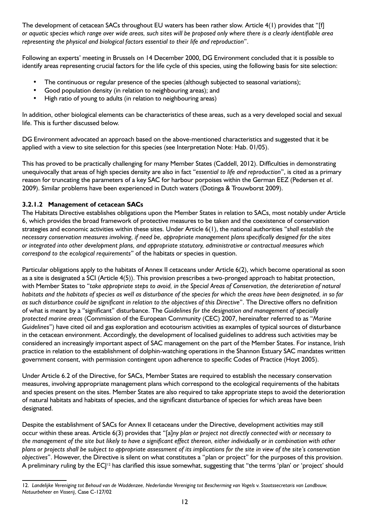The development of cetacean SACs throughout EU waters has been rather slow. Article 4(1) provides that "[f] *or aquatic species which range over wide areas, such sites will be proposed only where there is a clearly identifiable area representing the physical and biological factors essential to their life and reproduction*".

Following an experts' meeting in Brussels on 14 December 2000, DG Environment concluded that it is possible to identify areas representing crucial factors for the life cycle of this species, using the following basis for site selection:

- The continuous or regular presence of the species (although subjected to seasonal variations);
- Good population density (in relation to neighbouring areas); and
- High ratio of young to adults (in relation to neighbouring areas)

In addition, other biological elements can be characteristics of these areas, such as a very developed social and sexual life. This is further discussed below.

DG Environment advocated an approach based on the above-mentioned characteristics and suggested that it be applied with a view to site selection for this species (see Interpretation Note: Hab. 01/05).

This has proved to be practically challenging for many Member States (Caddell, 2012). Difficulties in demonstrating unequivocally that areas of high species density are also in fact "*essential to life and reproduction*", is cited as a primary reason for truncating the parameters of a key SAC for harbour porpoises within the German EEZ (Pedersen *et al*. 2009). Similar problems have been experienced in Dutch waters (Dotinga & Trouwborst 2009).

### **3.2.1.2 Management of cetacean SACs**

The Habitats Directive establishes obligations upon the Member States in relation to SACs, most notably under Article 6, which provides the broad framework of protective measures to be taken and the coexistence of conservation strategies and economic activities within these sites. Under Article 6(1), the national authorities "*shall establish the necessary conservation measures involving, if need be, appropriate management plans specifically designed for the sites or integrated into other development plans, and appropriate statutory, administrative or contractual measures which correspond to the ecological requirements*" of the habitats or species in question.

Particular obligations apply to the habitats of Annex II cetaceans under Article 6(2), which become operational as soon as a site is designated a SCI (Article 4(5)). This provision prescribes a two-pronged approach to habitat protection, with Member States to "*take appropriate steps to avoid, in the Special Areas of Conservation, the deterioration of natural habitats and the habitats of species as well as disturbance of the species for which the areas have been designated, in so far as such disturbance could be significant in relation to the objectives of this Directive*". The Directive offers no definition of what is meant by a "significant" disturbance. The *Guidelines for the designation and management of specially protected marine areas* (Commission of the European Community (CEC) 2007, hereinafter referred to as "*Marine Guidelines*") have cited oil and gas exploration and ecotourism activities as examples of typical sources of disturbance in the cetacean environment. Accordingly, the development of localised guidelines to address such activities may be considered an increasingly important aspect of SAC management on the part of the Member States. For instance, Irish practice in relation to the establishment of dolphin-watching operations in the Shannon Estuary SAC mandates written government consent, with permission contingent upon adherence to specific Codes of Practice (Hoyt 2005).

Under Article 6.2 of the Directive, for SACs, Member States are required to establish the necessary conservation measures, involving appropriate management plans which correspond to the ecological requirements of the habitats and species present on the sites. Member States are also required to take appropriate steps to avoid the deterioration of natural habitats and habitats of species, and the significant disturbance of species for which areas have been designated.

Despite the establishment of SACs for Annex II cetaceans under the Directive, development activities may still occur within these areas. Article 6(3) provides that "[a]*ny plan or project not directly connected with or necessary to the management of the site but likely to have a significant effect thereon, either individually or in combination with other plans or projects shall be subject to appropriate assessment of its implications for the site in view of the site's conservation objectives*". However, the Directive is silent on what constitutes a "plan or project" for the purposes of this provision. A preliminary ruling by the  $EC|^2$  has clarified this issue somewhat, suggesting that "the terms 'plan' or 'project' should

<sup>12.</sup> *Landelijke Vereniging tot Behoud van de Waddenzee, Nederlandse Vereniging tot Bescherming van Vogels* v. *Staatssecretaris van Landbouw, Natuurbeheer en Visserij*, Case C-127/02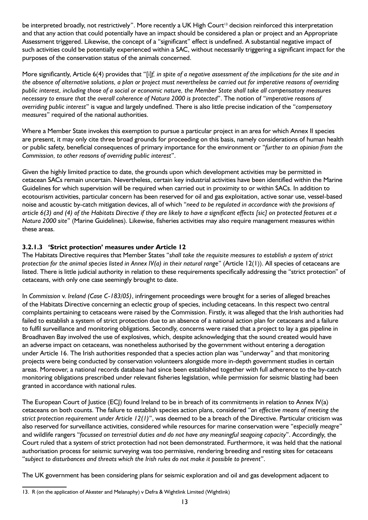be interpreted broadly, not restrictively". More recently a UK High Court<sup>13</sup> decision reinforced this interpretation and that any action that could potentially have an impact should be considered a plan or project and an Appropriate Assessment triggered. Likewise, the concept of a "significant" effect is undefined. A substantial negative impact of such activities could be potentially experienced within a SAC, without necessarily triggering a significant impact for the purposes of the conservation status of the animals concerned.

More significantly, Article 6(4) provides that "[i]*f, in spite of a negative assessment of the implications for the site and in the absence of alternative solutions, a plan or project must nevertheless be carried out for imperative reasons of overriding public interest, including those of a social or economic nature, the Member State shall take all compensatory measures necessary to ensure that the overall coherence of Natura 2000 is protected*". The notion of "*imperative reasons of overriding public interest*" is vague and largely undefined. There is also little precise indication of the "*compensatory measures*" required of the national authorities.

Where a Member State invokes this exemption to pursue a particular project in an area for which Annex II species are present, it may only cite three broad grounds for proceeding on this basis, namely considerations of human health or public safety, beneficial consequences of primary importance for the environment or "*further to an opinion from the Commission, to other reasons of overriding public interest*".

Given the highly limited practice to date, the grounds upon which development activities may be permitted in cetacean SACs remain uncertain. Nevertheless, certain key industrial activities have been identified within the Marine Guidelines for which supervision will be required when carried out in proximity to or within SACs. In addition to ecotourism activities, particular concern has been reserved for oil and gas exploitation, active sonar use, vessel-based noise and acoustic by-catch mitigation devices, all of which "*need to be regulated in accordance with the provisions of article 6(3) and (4) of the Habitats Directive if they are likely to have a significant effects [sic] on protected features at a Natura 2000 site*" (Marine Guidelines). Likewise, fisheries activities may also require management measures within these areas.

### **3.2.1.3 'Strict protection' measures under Article 12**

The Habitats Directive requires that Member States "*shall take the requisite measures to establish a system of strict protection for the animal species listed in Annex IV(a) in their natural range*" (Article 12(1)). All species of cetaceans are listed. There is little judicial authority in relation to these requirements specifically addressing the "strict protection" of cetaceans, with only one case seemingly brought to date.

In *Commission* v. *Ireland (Case C-183/05)*, infringement proceedings were brought for a series of alleged breaches of the Habitats Directive concerning an eclectic group of species, including cetaceans. In this respect two central complaints pertaining to cetaceans were raised by the Commission. Firstly, it was alleged that the Irish authorities had failed to establish a system of strict protection due to an absence of a national action plan for cetaceans and a failure to fulfil surveillance and monitoring obligations. Secondly, concerns were raised that a project to lay a gas pipeline in Broadhaven Bay involved the use of explosives, which, despite acknowledging that the sound created would have an adverse impact on cetaceans, was nonetheless authorised by the government without entering a derogation under Article 16. The Irish authorities responded that a species action plan was "underway" and that monitoring projects were being conducted by conservation volunteers alongside more in-depth government studies in certain areas. Moreover, a national records database had since been established together with full adherence to the by-catch monitoring obligations prescribed under relevant fisheries legislation, while permission for seismic blasting had been granted in accordance with national rules.

The European Court of Justice (ECJ) found Ireland to be in breach of its commitments in relation to Annex IV(a) cetaceans on both counts. The failure to establish species action plans, considered "*an effective means of meeting the strict protection requirement under Article 12(1)*", was deemed to be a breach of the Directive. Particular criticism was also reserved for surveillance activities, considered while resources for marine conservation were "*especially meagre*" and wildlife rangers "*focussed on terrestrial duties and do not have any meaningful seagoing capacity*". Accordingly, the Court ruled that a system of strict protection had not been demonstrated. Furthermore, it was held that the national authorisation process for seismic surveying was too permissive, rendering breeding and resting sites for cetaceans "*subject to disturbances and threats which the Irish rules do not make it possible to prevent*".

The UK government has been considering plans for seismic exploration and oil and gas development adjacent to

<sup>13.</sup> R (on the application of Akester and Melanaphy) v Defra & Wightlink Limited (Wightlink)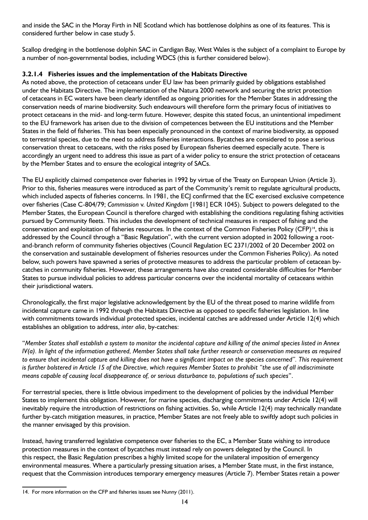and inside the SAC in the Moray Firth in NE Scotland which has bottlenose dolphins as one of its features. This is considered further below in case study 5.

Scallop dredging in the bottlenose dolphin SAC in Cardigan Bay, West Wales is the subject of a complaint to Europe by a number of non-governmental bodies, including WDCS (this is further considered below).

#### **3.2.1.4 Fisheries issues and the implementation of the Habitats Directive**

As noted above, the protection of cetaceans under EU law has been primarily guided by obligations established under the Habitats Directive. The implementation of the Natura 2000 network and securing the strict protection of cetaceans in EC waters have been clearly identified as ongoing priorities for the Member States in addressing the conservation needs of marine biodiversity. Such endeavours will therefore form the primary focus of initiatives to protect cetaceans in the mid- and long-term future. However, despite this stated focus, an unintentional impediment to the EU framework has arisen due to the division of competences between the EU institutions and the Member States in the field of fisheries. This has been especially pronounced in the context of marine biodiversity, as opposed to terrestrial species, due to the need to address fisheries interactions. Bycatches are considered to pose a serious conservation threat to cetaceans, with the risks posed by European fisheries deemed especially acute. There is accordingly an urgent need to address this issue as part of a wider policy to ensure the strict protection of cetaceans by the Member States and to ensure the ecological integrity of SACs.

The EU explicitly claimed competence over fisheries in 1992 by virtue of the Treaty on European Union (Article 3). Prior to this, fisheries measures were introduced as part of the Community's remit to regulate agricultural products, which included aspects of fisheries concerns. In 1981, the ECJ confirmed that the EC exercised exclusive competence over fisheries (Case C-804/79; *Commission* v. *United Kingdom* [1981] ECR 1045). Subject to powers delegated to the Member States, the European Council is therefore charged with establishing the conditions regulating fishing activities pursued by Community fleets. This includes the development of technical measures in respect of fishing and the conservation and exploitation of fisheries resources. In the context of the Common Fisheries Policy (CFP)<sup>14</sup>, this is addressed by the Council through a "Basic Regulation", with the current version adopted in 2002 following a rootand-branch reform of community fisheries objectives (Council Regulation EC 2371/2002 of 20 December 2002 on the conservation and sustainable development of fisheries resources under the Common Fisheries Policy). As noted below, such powers have spawned a series of protective measures to address the particular problem of cetacean bycatches in community fisheries. However, these arrangements have also created considerable difficulties for Member States to pursue individual policies to address particular concerns over the incidental mortality of cetaceans within their jurisdictional waters.

Chronologically, the first major legislative acknowledgement by the EU of the threat posed to marine wildlife from incidental capture came in 1992 through the Habitats Directive as opposed to specific fisheries legislation. In line with commitments towards individual protected species, incidental catches are addressed under Article 12(4) which establishes an obligation to address, *inter alia*, by-catches:

"*Member States shall establish a system to monitor the incidental capture and killing of the animal species listed in Annex IV(a). In light of the information gathered, Member States shall take further research or conservation measures as required to ensure that incidental capture and killing does not have a significant impact on the species concerned". This requirement is further bolstered in Article 15 of the Directive, which requires Member States to prohibit "the use of all indiscriminate means capable of causing local disappearance of, or serious disturbance to, populations of such species*".

For terrestrial species, there is little obvious impediment to the development of policies by the individual Member States to implement this obligation. However, for marine species, discharging commitments under Article 12(4) will inevitably require the introduction of restrictions on fishing activities. So, while Article 12(4) may technically mandate further by-catch mitigation measures, in practice, Member States are not freely able to swiftly adopt such policies in the manner envisaged by this provision.

Instead, having transferred legislative competence over fisheries to the EC, a Member State wishing to introduce protection measures in the context of bycatches must instead rely on powers delegated by the Council. In this respect, the Basic Regulation prescribes a highly limited scope for the unilateral imposition of emergency environmental measures. Where a particularly pressing situation arises, a Member State must, in the first instance, request that the Commission introduces temporary emergency measures (Article 7). Member States retain a power

<sup>14.</sup> For more information on the CFP and fisheries issues see Nunny (2011).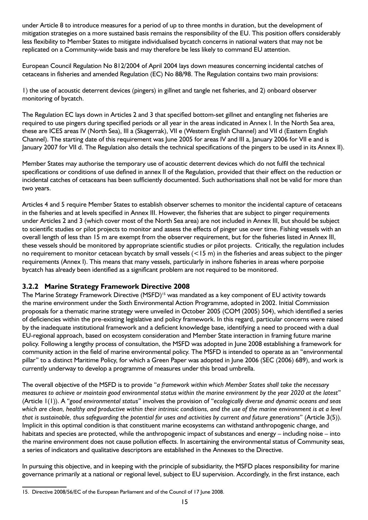under Article 8 to introduce measures for a period of up to three months in duration, but the development of mitigation strategies on a more sustained basis remains the responsibility of the EU. This position offers considerably less flexibility to Member States to mitigate individualised bycatch concerns in national waters that may not be replicated on a Community-wide basis and may therefore be less likely to command EU attention.

European Council Regulation No 812/2004 of April 2004 lays down measures concerning incidental catches of cetaceans in fisheries and amended Regulation (EC) No 88/98. The Regulation contains two main provisions:

1) the use of acoustic deterrent devices (pingers) in gillnet and tangle net fisheries, and 2) onboard observer monitoring of bycatch.

The Regulation EC lays down in Articles 2 and 3 that specified bottom-set gillnet and entangling net fisheries are required to use pingers during specified periods or all year in the areas indicated in Annex I. In the North Sea area, these are ICES areas IV (North Sea), III a (Skagerrak), VII e (Western English Channel) and VII d (Eastern English Channel). The starting date of this requirement was June 2005 for areas IV and III a, January 2006 for VII e and is January 2007 for VII d. The Regulation also details the technical specifications of the pingers to be used in its Annex II).

Member States may authorise the temporary use of acoustic deterrent devices which do not fulfil the technical specifications or conditions of use defined in annex II of the Regulation, provided that their effect on the reduction or incidental catches of cetaceans has been sufficiently documented. Such authorisations shall not be valid for more than two years.

Articles 4 and 5 require Member States to establish observer schemes to monitor the incidental capture of cetaceans in the fisheries and at levels specified in Annex III. However, the fisheries that are subject to pinger requirements under Articles 2 and 3 (which cover most of the North Sea area) are not included in Annex III, but should be subject to scientific studies or pilot projects to monitor and assess the effects of pinger use over time. Fishing vessels with an overall length of less than 15 m are exempt from the observer requirement, but for the fisheries listed in Annex III, these vessels should be monitored by appropriate scientific studies or pilot projects. Critically, the regulation includes no requirement to monitor cetacean bycatch by small vessels (<15 m) in the fisheries and areas subject to the pinger requirements (Annex I). This means that many vessels, particularly in inshore fisheries in areas where porpoise bycatch has already been identified as a significant problem are not required to be monitored.

## **3.2.2 Marine Strategy Framework Directive 2008**

The Marine Strategy Framework Directive (MSFD)<sup>15</sup> was mandated as a key component of EU activity towards the marine environment under the Sixth Environmental Action Programme, adopted in 2002. Initial Commission proposals for a thematic marine strategy were unveiled in October 2005 (COM (2005) 504), which identified a series of deficiencies within the pre-existing legislative and policy framework. In this regard, particular concerns were raised by the inadequate institutional framework and a deficient knowledge base, identifying a need to proceed with a dual EU-regional approach, based on ecosystem consideration and Member State interaction in framing future marine policy. Following a lengthy process of consultation, the MSFD was adopted in June 2008 establishing a framework for community action in the field of marine environmental policy. The MSFD is intended to operate as an "environmental pillar" to a distinct Maritime Policy, for which a Green Paper was adopted in June 2006 (SEC (2006) 689), and work is currently underway to develop a programme of measures under this broad umbrella.

The overall objective of the MSFD is to provide "*a framework within which Member States shall take the necessary measures to achieve or maintain good environmental status within the marine environment by the year 2020 at the latest*" (Article 1(1)). A "*good environmental status*" involves the provision of "*ecologically diverse and dynamic oceans and seas which are clean, healthy and productive within their intrinsic conditions, and the use of the marine environment is at a level that is sustainable, thus safeguarding the potential for uses and activities by current and future generations*" (Article 3(5)). Implicit in this optimal condition is that constituent marine ecosystems can withstand anthropogenic change, and habitats and species are protected, while the anthropogenic impact of substances and energy – including noise – into the marine environment does not cause pollution effects. In ascertaining the environmental status of Community seas, a series of indicators and qualitative descriptors are established in the Annexes to the Directive.

In pursuing this objective, and in keeping with the principle of subsidiarity, the MSFD places responsibility for marine governance primarily at a national or regional level, subject to EU supervision. Accordingly, in the first instance, each

<sup>15.</sup> Directive 2008/56/EC of the European Parliament and of the Council of 17 June 2008.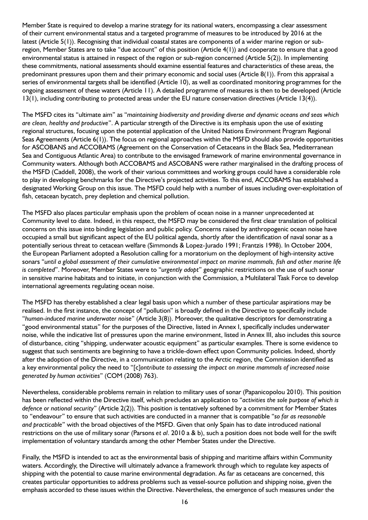Member State is required to develop a marine strategy for its national waters, encompassing a clear assessment of their current environmental status and a targeted programme of measures to be introduced by 2016 at the latest (Article 5(1)). Recognising that individual coastal states are components of a wider marine region or subregion, Member States are to take "due account" of this position (Article 4(1)) and cooperate to ensure that a good environmental status is attained in respect of the region or sub-region concerned (Article 5(2)). In implementing these commitments, national assessments should examine essential features and characteristics of these areas, the predominant pressures upon them and their primary economic and social uses (Article 8(1)). From this appraisal a series of environmental targets shall be identified (Article 10), as well as coordinated monitoring programmes for the ongoing assessment of these waters (Article 11). A detailed programme of measures is then to be developed (Article 13(1), including contributing to protected areas under the EU nature conservation directives (Article 13(4)).

The MSFD cites its "ultimate aim" as "*maintaining biodiversity and providing diverse and dynamic oceans and seas which are clean, healthy and productive*". A particular strength of the Directive is its emphasis upon the use of existing regional structures, focusing upon the potential application of the United Nations Environment Program Regional Seas Agreements (Article 6(1)). The focus on regional approaches within the MSFD should also provide opportunities for ASCOBANS and ACCOBAMS (Agreement on the Conservation of Cetaceans in the Black Sea, Mediterranean Sea and Contiguous Atlantic Area) to contribute to the envisaged framework of marine environmental governance in Community waters. Although both ACCOBAMS and ASCOBANS were rather marginalised in the drafting process of the MSFD (Caddell, 2008), the work of their various committees and working groups could have a considerable role to play in developing benchmarks for the Directive's projected activities. To this end, ACCOBAMS has established a designated Working Group on this issue. The MSFD could help with a number of issues including over-exploitation of fish, cetacean bycatch, prey depletion and chemical pollution.

The MSFD also places particular emphasis upon the problem of ocean noise in a manner unprecedented at Community level to date. Indeed, in this respect, the MSFD may be considered the first clear translation of political concerns on this issue into binding legislation and public policy. Concerns raised by anthropogenic ocean noise have occupied a small but significant aspect of the EU political agenda, shortly after the identification of naval sonar as a potentially serious threat to cetacean welfare (Simmonds & Lopez-Jurado 1991; Frantzis 1998). In October 2004, the European Parliament adopted a Resolution calling for a moratorium on the deployment of high-intensity active sonars "*until a global assessment of their cumulative environmental impact on marine mammals, fish and other marine life is completed*". Moreover, Member States were to "*urgently adopt*" geographic restrictions on the use of such sonar in sensitive marine habitats and to initiate, in conjunction with the Commission, a Multilateral Task Force to develop international agreements regulating ocean noise.

The MSFD has thereby established a clear legal basis upon which a number of these particular aspirations may be realised. In the first instance, the concept of "pollution" is broadly defined in the Directive to specifically include "*human-induced marine underwater noise*" (Article 3(8)). Moreover, the qualitative descriptors for demonstrating a "good environmental status" for the purposes of the Directive, listed in Annex I, specifically includes underwater noise, while the indicative list of pressures upon the marine environment, listed in Annex III, also includes this source of disturbance, citing "shipping, underwater acoustic equipment" as particular examples. There is some evidence to suggest that such sentiments are beginning to have a trickle-down effect upon Community policies. Indeed, shortly after the adoption of the Directive, in a communication relating to the Arctic region, the Commission identified as a key environmental policy the need to "[c]*ontribute to assessing the impact on marine mammals of increased noise generated by human activities*" (COM (2008) 763).

Nevertheless, considerable problems remain in relation to military uses of sonar (Papanicopolou 2010). This position has been reflected within the Directive itself, which precludes an application to "*activities the sole purpose of which is defence or national security*" (Article 2(2)). This position is tentatively softened by a commitment for Member States to "endeavour" to ensure that such activities are conducted in a manner that is compatible "*so far as reasonable and practicable*" with the broad objectives of the MSFD. Given that only Spain has to date introduced national restrictions on the use of military sonar (Parsons *et al*. 2010 a & b), such a position does not bode well for the swift implementation of voluntary standards among the other Member States under the Directive.

Finally, the MSFD is intended to act as the environmental basis of shipping and maritime affairs within Community waters. Accordingly, the Directive will ultimately advance a framework through which to regulate key aspects of shipping with the potential to cause marine environmental degradation. As far as cetaceans are concerned, this creates particular opportunities to address problems such as vessel-source pollution and shipping noise, given the emphasis accorded to these issues within the Directive. Nevertheless, the emergence of such measures under the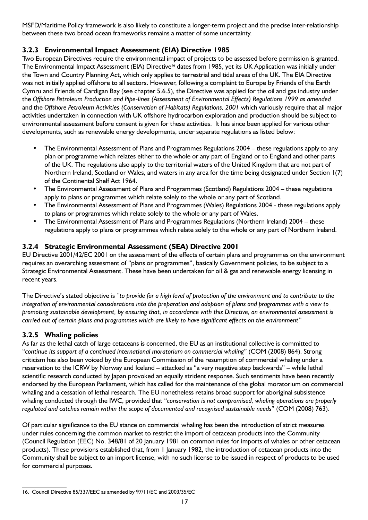MSFD/Maritime Policy framework is also likely to constitute a longer-term project and the precise inter-relationship between these two broad ocean frameworks remains a matter of some uncertainty.

## **3.2.3 Environmental Impact Assessment (EIA) Directive 1985**

Two European Directives require the environmental impact of projects to be assessed before permission is granted. The Environmental Impact Assessment (EIA) Directive<sup>16</sup> dates from 1985, yet its UK Application was initially under the Town and Country Planning Act, which only applies to terrestrial and tidal areas of the UK. The EIA Directive was not initially applied offshore to all sectors. However, following a complaint to Europe by Friends of the Earth Cymru and Friends of Cardigan Bay (see chapter 5.6.5), the Directive was applied for the oil and gas industry under the *Offshore Petroleum Production and Pipe-lines (Assessment of Environmental Effects) Regulations 1999 as amended*  and the *Offshore Petroleum Activities (Conservation of Habitats) Regulations, 2001* which variously require that all major activities undertaken in connection with UK offshore hydrocarbon exploration and production should be subject to environmental assessment before consent is given for these activities. It has since been applied for various other developments, such as renewable energy developments, under separate regulations as listed below:

- The Environmental Assessment of Plans and Programmes Regulations 2004 these regulations apply to any plan or programme which relates either to the whole or any part of England or to England and other parts of the UK. The regulations also apply to the territorial waters of the United Kingdom that are not part of Northern Ireland, Scotland or Wales, and waters in any area for the time being designated under Section 1(7) of the Continental Shelf Act 1964.
- The Environmental Assessment of Plans and Programmes (Scotland) Regulations 2004 these regulations apply to plans or programmes which relate solely to the whole or any part of Scotland.
- The Environmental Assessment of Plans and Programmes (Wales) Regulations 2004 these regulations apply to plans or programmes which relate solely to the whole or any part of Wales.
- The Environmental Assessment of Plans and Programmes Regulations (Northern Ireland) 2004 these regulations apply to plans or programmes which relate solely to the whole or any part of Northern Ireland.

## **3.2.4 Strategic Environmental Assessment (SEA) Directive 2001**

EU Directive 2001/42/EC 2001 on the assessment of the effects of certain plans and programmes on the environment requires an overarching assessment of "plans or programmes", basically Government policies, to be subject to a Strategic Environmental Assessment. These have been undertaken for oil & gas and renewable energy licensing in recent years.

The Directive's stated objective is *"to provide for a high level of protection of the environment and to contribute to the integration of environmental considerations into the preparation and adoption of plans and programmes with a view to promoting sustainable development, by ensuring that, in accordance with this Directive, an environmental assessment is carried out of certain plans and programmes which are likely to have significant effects on the environment"*

## **3.2.5 Whaling policies**

As far as the lethal catch of large cetaceans is concerned, the EU as an institutional collective is committed to "*continue its support of a continued international moratorium on commercial whaling*" (COM (2008) 864). Strong criticism has also been voiced by the European Commission of the resumption of commercial whaling under a reservation to the ICRW by Norway and Iceland – attacked as "a very negative step backwards" – while lethal scientific research conducted by Japan provoked an equally strident response. Such sentiments have been recently endorsed by the European Parliament, which has called for the maintenance of the global moratorium on commercial whaling and a cessation of lethal research. The EU nonetheless retains broad support for aboriginal subsistence whaling conducted through the IWC, provided that "*conservation is not compromised, whaling operations are properly regulated and catches remain within the scope of documented and recognised sustainable needs*" (COM (2008) 763).

Of particular significance to the EU stance on commercial whaling has been the introduction of strict measures under rules concerning the common market to restrict the import of cetacean products into the Community (Council Regulation (EEC) No. 348/81 of 20 January 1981 on common rules for imports of whales or other cetacean products). These provisions established that, from 1 January 1982, the introduction of cetacean products into the Community shall be subject to an import license, with no such license to be issued in respect of products to be used for commercial purposes.

<sup>16.</sup> Council Directive 85/337/EEC as amended by 97/11/EC and 2003/35/EC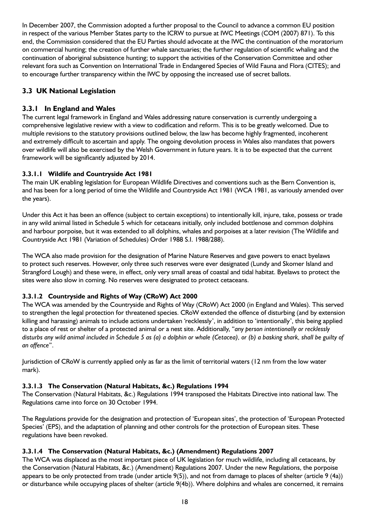In December 2007, the Commission adopted a further proposal to the Council to advance a common EU position in respect of the various Member States party to the ICRW to pursue at IWC Meetings (COM (2007) 871). To this end, the Commission considered that the EU Parties should advocate at the IWC the continuation of the moratorium on commercial hunting; the creation of further whale sanctuaries; the further regulation of scientific whaling and the continuation of aboriginal subsistence hunting; to support the activities of the Conservation Committee and other relevant fora such as Convention on International Trade in Endangered Species of Wild Fauna and Flora (CITES); and to encourage further transparency within the IWC by opposing the increased use of secret ballots.

## **3.3 UK National Legislation**

## **3.3.1 In England and Wales**

The current legal framework in England and Wales addressing nature conservation is currently undergoing a comprehensive legislative review with a view to codification and reform. This is to be greatly welcomed. Due to multiple revisions to the statutory provisions outlined below, the law has become highly fragmented, incoherent and extremely difficult to ascertain and apply. The ongoing devolution process in Wales also mandates that powers over wildlife will also be exercised by the Welsh Government in future years. It is to be expected that the current framework will be significantly adjusted by 2014.

## **3.3.1.1 Wildlife and Countryside Act 1981**

The main UK enabling legislation for European Wildlife Directives and conventions such as the Bern Convention is, and has been for a long period of time the Wildlife and Countryside Act 1981 (WCA 1981, as variously amended over the years).

Under this Act it has been an offence (subject to certain exceptions) to intentionally kill, injure, take, possess or trade in any wild animal listed in Schedule 5 which for cetaceans initially, only included bottlenose and common dolphins and harbour porpoise, but it was extended to all dolphins, whales and porpoises at a later revision (The Wildlife and Countryside Act 1981 (Variation of Schedules) Order 1988 S.I. 1988/288).

The WCA also made provision for the designation of Marine Nature Reserves and gave powers to enact byelaws to protect such reserves. However, only three such reserves were ever designated (Lundy and Skomer Island and Strangford Lough) and these were, in effect, only very small areas of coastal and tidal habitat. Byelaws to protect the sites were also slow in coming. No reserves were designated to protect cetaceans.

## **3.3.1.2 Countryside and Rights of Way (CRoW) Act 2000**

The WCA was amended by the Countryside and Rights of Way (CRoW) Act 2000 (in England and Wales). This served to strengthen the legal protection for threatened species. CRoW extended the offence of disturbing (and by extension killing and harassing) animals to include actions undertaken 'recklessly', in addition to 'intentionally', this being applied to a place of rest or shelter of a protected animal or a nest site. Additionally, "*any person intentionally or recklessly disturbs any wild animal included in Schedule 5 as (a) a dolphin or whale (Cetacea), or (b) a basking shark, shall be guilty of an offence*".

Jurisdiction of CRoW is currently applied only as far as the limit of territorial waters (12 nm from the low water mark).

## **3.3.1.3 The Conservation (Natural Habitats, &c.) Regulations 1994**

The Conservation (Natural Habitats, &c.) Regulations 1994 transposed the Habitats Directive into national law. The Regulations came into force on 30 October 1994.

The Regulations provide for the designation and protection of 'European sites', the protection of 'European Protected Species' (EPS), and the adaptation of planning and other controls for the protection of European sites. These regulations have been revoked.

#### **3.3.1.4 The Conservation (Natural Habitats, &c.) (Amendment) Regulations 2007**

The WCA was displaced as the most important piece of UK legislation for much wildlife, including all cetaceans, by the Conservation (Natural Habitats, &c.) (Amendment) Regulations 2007. Under the new Regulations, the porpoise appears to be only protected from trade (under article 9(5)), and not from damage to places of shelter (article 9 (4a)) or disturbance while occupying places of shelter (article 9(4b)). Where dolphins and whales are concerned, it remains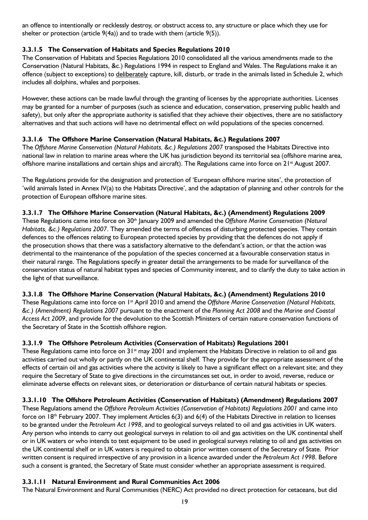an offence to intentionally or recklessly destroy, or obstruct access to, any structure or place which they use for shelter or protection (article  $9(4a)$ ) and to trade with them (article  $9(5)$ ).

## **3.3.1.5 The Conservation of Habitats and Species Regulations 2010**

The Conservation of Habitats and Species Regulations 2010 consolidated all the various amendments made to the Conservation (Natural Habitats, &c.) Regulations 1994 in respect to England and Wales. The Regulations make it an offence (subject to exceptions) to deliberately capture, kill, disturb, or trade in the animals listed in Schedule 2, which includes all dolphins, whales and porpoises.

However, these actions can be made lawful through the granting of licenses by the appropriate authorities. Licenses may be granted for a number of purposes (such as science and education, conservation, preserving public health and safety), but only after the appropriate authority is satisfied that they achieve their objectives, there are no satisfactory alternatives and that such actions will have no detrimental effect on wild populations of the species concerned.

### **3.3.1.6 The Offshore Marine Conservation (Natural Habitats, &c.) Regulations 2007**

The *Offshore Marine Conservation (Natural Habitats, &c.) Regulations 2007* transposed the Habitats Directive into national law in relation to marine areas where the UK has jurisdiction beyond its territorial sea (offshore marine area, offshore marine installations and certain ships and aircraft). The Regulations came into force on 21<sup>st</sup> August 2007.

The Regulations provide for the designation and protection of 'European offshore marine sites', the protection of 'wild animals listed in Annex IV(a) to the Habitats Directive', and the adaptation of planning and other controls for the protection of European offshore marine sites.

#### **3.3.1.7 The Offshore Marine Conservation (Natural Habitats, &c.) (Amendment) Regulations 2009**

These Regulations came into force on 30th January 2009 and amended the *Offshore Marine Conservation (Natural Habitats, &c.) Regulations 2007*. They amended the terms of offences of disturbing protected species. They contain defences to the offences relating to European protected species by providing that the defences do not apply if the prosecution shows that there was a satisfactory alternative to the defendant's action, or that the action was detrimental to the maintenance of the population of the species concerned at a favourable conservation status in their natural range. The Regulations specify in greater detail the arrangements to be made for surveillance of the conservation status of natural habitat types and species of Community interest, and to clarify the duty to take action in the light of that surveillance.

#### **3.3.1.8 The Offshore Marine Conservation (Natural Habitats, &c.) (Amendment) Regulations 2010**

These Regulations came into force on 1<sup>st</sup> April 2010 and amend the *Offshore Marine Conservation (Natural Habitats, &c.) (Amendment) Regulations 2007* pursuant to the enactment of the *Planning Act 2008* and the *Marine and Coastal Access Act 2009*, and provide for the devolution to the Scottish Ministers of certain nature conservation functions of the Secretary of State in the Scottish offshore region.

#### **3.3.1.9 The Offshore Petroleum Activities (Conservation of Habitats) Regulations 2001**

These Regulations came into force on  $31<sup>st</sup>$  may 2001 and implement the Habitats Directive in relation to oil and gas activities carried out wholly or partly on the UK continental shelf. They provide for the appropriate assessment of the effects of certain oil and gas activities where the activity is likely to have a significant effect on a relevant site; and they require the Secretary of State to give directions in the circumstances set out, in order to avoid, reverse, reduce or eliminate adverse effects on relevant sites, or deterioration or disturbance of certain natural habitats or species.

## **3.3.1.10 The Offshore Petroleum Activities (Conservation of Habitats) (Amendment) Regulations 2007**

These Regulations amend the *Offshore Petroleum Activities (Conservation of Habitats) Regulations 2001* and came into force on  $18<sup>th</sup>$  February 2007. They implement Articles 6(3) and 6(4) of the Habitats Directive in relation to licenses to be granted under the *Petroleum Act 1998*, and to geological surveys related to oil and gas activities in UK waters. Any person who intends to carry out geological surveys in relation to oil and gas activities on the UK continental shelf or in UK waters or who intends to test equipment to be used in geological surveys relating to oil and gas activities on the UK continental shelf or in UK waters is required to obtain prior written consent of the Secretary of State. Prior written consent is required irrespective of any provision in a licence awarded under the *Petroleum Act 1998*. Before such a consent is granted, the Secretary of State must consider whether an appropriate assessment is required.

#### **3.3.1.11 Natural Environment and Rural Communities Act 2006**

The Natural Environment and Rural Communities (NERC) Act provided no direct protection for cetaceans, but did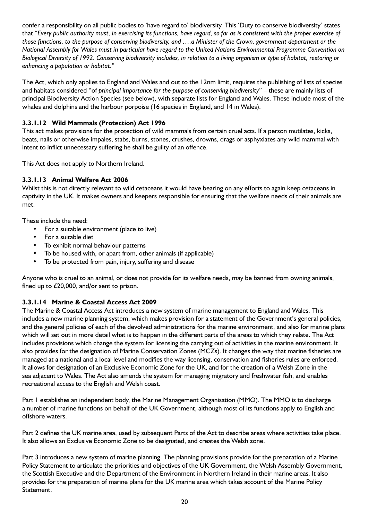confer a responsibility on all public bodies to 'have regard to' biodiversity. This 'Duty to conserve biodiversity' states that "*Every public authority must, in exercising its functions, have regard, so far as is consistent with the proper exercise of those functions, to the purpose of conserving biodiversity, and ….a Minister of the Crown, government department or the National Assembly for Wales must in particular have regard to the United Nations Environmental Programme Convention on Biological Diversity of 1992. Conserving biodiversity includes, in relation to a living organism or type of habitat, restoring or enhancing a population or habitat.*"

The Act, which only applies to England and Wales and out to the 12nm limit, requires the publishing of lists of species and habitats considered "of *principal importance for the purpose of conserving biodiversity*" – these are mainly lists of principal Biodiversity Action Species (see below), with separate lists for England and Wales. These include most of the whales and dolphins and the harbour porpoise (16 species in England, and 14 in Wales).

#### **3.3.1.12 Wild Mammals (Protection) Act 1996**

This act makes provisions for the protection of wild mammals from certain cruel acts. If a person mutilates, kicks, beats, nails or otherwise impales, stabs, burns, stones, crushes, drowns, drags or asphyxiates any wild mammal with intent to inflict unnecessary suffering he shall be guilty of an offence.

This Act does not apply to Northern Ireland.

#### **3.3.1.13 Animal Welfare Act 2006**

Whilst this is not directly relevant to wild cetaceans it would have bearing on any efforts to again keep cetaceans in captivity in the UK. It makes owners and keepers responsible for ensuring that the welfare needs of their animals are met.

These include the need:

- For a suitable environment (place to live)
- For a suitable diet
- To exhibit normal behaviour patterns
- To be housed with, or apart from, other animals (if applicable)
- To be protected from pain, injury, suffering and disease

Anyone who is cruel to an animal, or does not provide for its welfare needs, may be banned from owning animals, fined up to £20,000, and/or sent to prison.

#### **3.3.1.14 Marine & Coastal Access Act 2009**

The Marine & Coastal Access Act introduces a new system of marine management to England and Wales. This includes a new marine planning system, which makes provision for a statement of the Government's general policies, and the general policies of each of the devolved administrations for the marine environment, and also for marine plans which will set out in more detail what is to happen in the different parts of the areas to which they relate. The Act includes provisions which change the system for licensing the carrying out of activities in the marine environment. It also provides for the designation of Marine Conservation Zones (MCZs). It changes the way that marine fisheries are managed at a national and a local level and modifies the way licensing, conservation and fisheries rules are enforced. It allows for designation of an Exclusive Economic Zone for the UK, and for the creation of a Welsh Zone in the sea adjacent to Wales. The Act also amends the system for managing migratory and freshwater fish, and enables recreational access to the English and Welsh coast.

Part 1 establishes an independent body, the Marine Management Organisation (MMO). The MMO is to discharge a number of marine functions on behalf of the UK Government, although most of its functions apply to English and offshore waters.

Part 2 defines the UK marine area, used by subsequent Parts of the Act to describe areas where activities take place. It also allows an Exclusive Economic Zone to be designated, and creates the Welsh zone.

Part 3 introduces a new system of marine planning. The planning provisions provide for the preparation of a Marine Policy Statement to articulate the priorities and objectives of the UK Government, the Welsh Assembly Government, the Scottish Executive and the Department of the Environment in Northern Ireland in their marine areas. It also provides for the preparation of marine plans for the UK marine area which takes account of the Marine Policy Statement.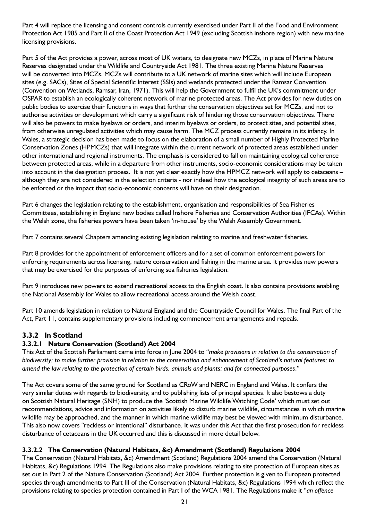Part 4 will replace the licensing and consent controls currently exercised under Part II of the Food and Environment Protection Act 1985 and Part II of the Coast Protection Act 1949 (excluding Scottish inshore region) with new marine licensing provisions.

Part 5 of the Act provides a power, across most of UK waters, to designate new MCZs, in place of Marine Nature Reserves designated under the Wildlife and Countryside Act 1981. The three existing Marine Nature Reserves will be converted into MCZs. MCZs will contribute to a UK network of marine sites which will include European sites (e.g. SACs), Sites of Special Scientific Interest (SSIs) and wetlands protected under the Ramsar Convention (Convention on Wetlands, Ramsar, Iran, 1971). This will help the Government to fulfil the UK's commitment under OSPAR to establish an ecologically coherent network of marine protected areas. The Act provides for new duties on public bodies to exercise their functions in ways that further the conservation objectives set for MCZs, and not to authorise activities or development which carry a significant risk of hindering those conservation objectives. There will also be powers to make byelaws or orders, and interim byelaws or orders, to protect sites, and potential sites, from otherwise unregulated activities which may cause harm. The MCZ process currently remains in its infancy. In Wales, a strategic decision has been made to focus on the elaboration of a small number of Highly Protected Marine Conservation Zones (HPMCZs) that will integrate within the current network of protected areas established under other international and regional instruments. The emphasis is considered to fall on maintaining ecological coherence between protected areas, while in a departure from other instruments, socio-economic considerations may be taken into account in the designation process. It is not yet clear exactly how the HPMCZ network will apply to cetaceans – although they are not considered in the selection criteria - nor indeed how the ecological integrity of such areas are to be enforced or the impact that socio-economic concerns will have on their designation.

Part 6 changes the legislation relating to the establishment, organisation and responsibilities of Sea Fisheries Committees, establishing in England new bodies called Inshore Fisheries and Conservation Authorities (IFCAs). Within the Welsh zone, the fisheries powers have been taken 'in-house' by the Welsh Assembly Government.

Part 7 contains several Chapters amending existing legislation relating to marine and freshwater fisheries.

Part 8 provides for the appointment of enforcement officers and for a set of common enforcement powers for enforcing requirements across licensing, nature conservation and fishing in the marine area. It provides new powers that may be exercised for the purposes of enforcing sea fisheries legislation.

Part 9 introduces new powers to extend recreational access to the English coast. It also contains provisions enabling the National Assembly for Wales to allow recreational access around the Welsh coast.

Part 10 amends legislation in relation to Natural England and the Countryside Council for Wales. The final Part of the Act, Part 11, contains supplementary provisions including commencement arrangements and repeals.

## **3.3.2 In Scotland**

#### **3.3.2.1 Nature Conservation (Scotland) Act 2004**

This Act of the Scottish Parliament came into force in June 2004 to "*make provisions in relation to the conservation of biodiversity; to make further provision in relation to the conservation and enhancement of Scotland's natural features; to amend the law relating to the protection of certain birds, animals and plants; and for connected purposes*."

The Act covers some of the same ground for Scotland as CRoW and NERC in England and Wales. It confers the very similar duties with regards to biodiversity, and to publishing lists of principal species. It also bestows a duty on Scottish Natural Heritage (SNH) to produce the 'Scottish Marine Wildlife Watching Code' which must set out recommendations, advice and information on activities likely to disturb marine wildlife, circumstances in which marine wildlife may be approached, and the manner in which marine wildlife may best be viewed with minimum disturbance. This also now covers "reckless or intentional" disturbance. It was under this Act that the first prosecution for reckless disturbance of cetaceans in the UK occurred and this is discussed in more detail below.

#### **3.3.2.2 The Conservation (Natural Habitats, &c) Amendment (Scotland) Regulations 2004**

The Conservation (Natural Habitats, &c) Amendment (Scotland) Regulations 2004 amend the Conservation (Natural Habitats, &c) Regulations 1994. The Regulations also make provisions relating to site protection of European sites as set out in Part 2 of the Nature Conservation (Scotland) Act 2004. Further protection is given to European protected species through amendments to Part III of the Conservation (Natural Habitats, &c) Regulations 1994 which reflect the provisions relating to species protection contained in Part I of the WCA 1981. The Regulations make it "*an offence*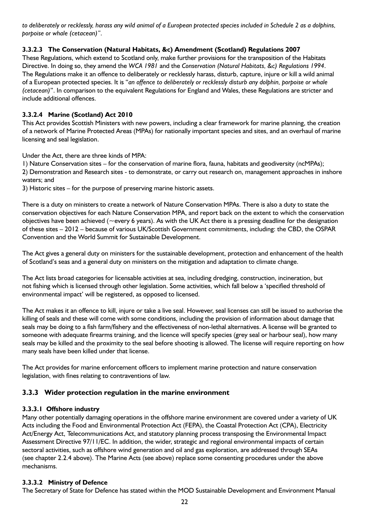*to deliberately or recklessly, harass any wild animal of a European protected species included in Schedule 2 as a dolphins, porpoise or whale (cetacean)"*.

### **3.3.2.3 The Conservation (Natural Habitats, &c) Amendment (Scotland) Regulations 2007**

These Regulations, which extend to Scotland only, make further provisions for the transposition of the Habitats Directive. In doing so, they amend the *WCA 1981* and the *Conservation (Natural Habitats, &c) Regulations 1994*. The Regulations make it an offence to deliberately or recklessly harass, disturb, capture, injure or kill a wild animal of a European protected species. It is "*an offence to deliberately or recklessly disturb any dolphin, porpoise or whale (cetacean)*". In comparison to the equivalent Regulations for England and Wales, these Regulations are stricter and include additional offences.

## **3.3.2.4 Marine (Scotland) Act 2010**

This Act provides Scottish Ministers with new powers, including a clear framework for marine planning, the creation of a network of Marine Protected Areas (MPAs) for nationally important species and sites, and an overhaul of marine licensing and seal legislation.

Under the Act, there are three kinds of MPA:

1) Nature Conservation sites – for the conservation of marine flora, fauna, habitats and geodiversity (ncMPAs); 2) Demonstration and Research sites - to demonstrate, or carry out research on, management approaches in inshore waters; and

3) Historic sites – for the purpose of preserving marine historic assets.

There is a duty on ministers to create a network of Nature Conservation MPAs. There is also a duty to state the conservation objectives for each Nature Conservation MPA, and report back on the extent to which the conservation objectives have been achieved ( $\sim$ every 6 years). As with the UK Act there is a pressing deadline for the designation of these sites – 2012 – because of various UK/Scottish Government commitments, including: the CBD, the OSPAR Convention and the World Summit for Sustainable Development.

The Act gives a general duty on ministers for the sustainable development, protection and enhancement of the health of Scotland's seas and a general duty on ministers on the mitigation and adaptation to climate change.

The Act lists broad categories for licensable activities at sea, including dredging, construction, incineration, but not fishing which is licensed through other legislation. Some activities, which fall below a 'specified threshold of environmental impact' will be registered, as opposed to licensed.

The Act makes it an offence to kill, injure or take a live seal. However, seal licenses can still be issued to authorise the killing of seals and these will come with some conditions, including the provision of information about damage that seals may be doing to a fish farm/fishery and the effectiveness of non-lethal alternatives. A license will be granted to someone with adequate firearms training, and the licence will specify species (grey seal or harbour seal), how many seals may be killed and the proximity to the seal before shooting is allowed. The license will require reporting on how many seals have been killed under that license.

The Act provides for marine enforcement officers to implement marine protection and nature conservation legislation, with fines relating to contraventions of law.

## **3.3.3 Wider protection regulation in the marine environment**

#### **3.3.3.1 Offshore industry**

Many other potentially damaging operations in the offshore marine environment are covered under a variety of UK Acts including the Food and Environmental Protection Act (FEPA), the Coastal Protection Act (CPA), Electricity Act/Energy Act, Telecommunications Act, and statutory planning process transposing the Environmental Impact Assessment Directive 97/11/EC. In addition, the wider, strategic and regional environmental impacts of certain sectoral activities, such as offshore wind generation and oil and gas exploration, are addressed through SEAs (see chapter 2.2.4 above). The Marine Acts (see above) replace some consenting procedures under the above mechanisms.

#### **3.3.3.2 Ministry of Defence**

The Secretary of State for Defence has stated within the MOD Sustainable Development and Environment Manual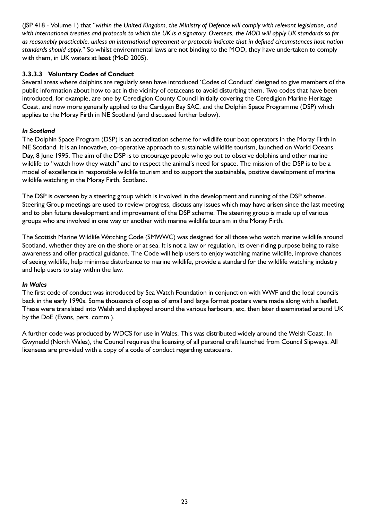(JSP 418 - Volume 1) that "*within the United Kingdom, the Ministry of Defence will comply with relevant legislation, and with international treaties and protocols to which the UK is a signatory. Overseas, the MOD will apply UK standards so far as reasonably practicable, unless an international agreement or protocols indicate that in defined circumstances host nation standards should apply.*" So whilst environmental laws are not binding to the MOD, they have undertaken to comply with them, in UK waters at least (MoD 2005).

#### **3.3.3.3 Voluntary Codes of Conduct**

Several areas where dolphins are regularly seen have introduced 'Codes of Conduct' designed to give members of the public information about how to act in the vicinity of cetaceans to avoid disturbing them. Two codes that have been introduced, for example, are one by Ceredigion County Council initially covering the Ceredigion Marine Heritage Coast, and now more generally applied to the Cardigan Bay SAC, and the Dolphin Space Programme (DSP) which applies to the Moray Firth in NE Scotland (and discussed further below).

#### *In Scotland*

The Dolphin Space Program (DSP) is an accreditation scheme for wildlife tour boat operators in the Moray Firth in NE Scotland. It is an innovative, co-operative approach to sustainable wildlife tourism, launched on World Oceans Day, 8 June 1995. The aim of the DSP is to encourage people who go out to observe dolphins and other marine wildlife to "watch how they watch" and to respect the animal's need for space. The mission of the DSP is to be a model of excellence in responsible wildlife tourism and to support the sustainable, positive development of marine wildlife watching in the Moray Firth, Scotland.

The DSP is overseen by a steering group which is involved in the development and running of the DSP scheme. Steering Group meetings are used to review progress, discuss any issues which may have arisen since the last meeting and to plan future development and improvement of the DSP scheme. The steering group is made up of various groups who are involved in one way or another with marine wildlife tourism in the Moray Firth.

The Scottish Marine Wildlife Watching Code (SMWWC) was designed for all those who watch marine wildlife around Scotland, whether they are on the shore or at sea. It is not a law or regulation, its over-riding purpose being to raise awareness and offer practical guidance. The Code will help users to enjoy watching marine wildlife, improve chances of seeing wildlife, help minimise disturbance to marine wildlife, provide a standard for the wildlife watching industry and help users to stay within the law.

#### *In Wales*

The first code of conduct was introduced by Sea Watch Foundation in conjunction with WWF and the local councils back in the early 1990s. Some thousands of copies of small and large format posters were made along with a leaflet. These were translated into Welsh and displayed around the various harbours, etc, then later disseminated around UK by the DoE (Evans, pers. comm.).

A further code was produced by WDCS for use in Wales. This was distributed widely around the Welsh Coast. In Gwynedd (North Wales), the Council requires the licensing of all personal craft launched from Council Slipways. All licensees are provided with a copy of a code of conduct regarding cetaceans.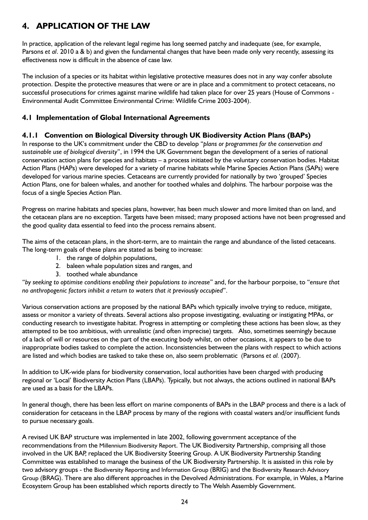## **4. APPLICATION OF THE LAW**

In practice, application of the relevant legal regime has long seemed patchy and inadequate (see, for example, Parsons *et al*. 2010 a & b) and given the fundamental changes that have been made only very recently, assessing its effectiveness now is difficult in the absence of case law.

The inclusion of a species or its habitat within legislative protective measures does not in any way confer absolute protection. Despite the protective measures that were or are in place and a commitment to protect cetaceans, no successful prosecutions for crimes against marine wildlife had taken place for over 25 years (House of Commons - Environmental Audit Committee Environmental Crime: Wildlife Crime 2003-2004).

## **4.1 Implementation of Global International Agreements**

## **4.1.1 Convention on Biological Diversity through UK Biodiversity Action Plans (BAPs)**

In response to the UK's commitment under the CBD to develop "*plans or programmes for the conservation and sustainable use of biological diversity*", in 1994 the UK Government began the development of a series of national conservation action plans for species and habitats – a process initiated by the voluntary conservation bodies. Habitat Action Plans (HAPs) were developed for a variety of marine habitats while Marine Species Action Plans (SAPs) were developed for various marine species. Cetaceans are currently provided for nationally by two 'grouped' Species Action Plans, one for baleen whales, and another for toothed whales and dolphins. The harbour porpoise was the focus of a single Species Action Plan.

Progress on marine habitats and species plans, however, has been much slower and more limited than on land, and the cetacean plans are no exception. Targets have been missed; many proposed actions have not been progressed and the good quality data essential to feed into the process remains absent.

The aims of the cetacean plans, in the short-term, are to maintain the range and abundance of the listed cetaceans. The long-term goals of these plans are stated as being to increase:

- 1. the range of dolphin populations,
- 2. baleen whale population sizes and ranges, and
- 3. toothed whale abundance

"*by seeking to optimise conditions enabling their populations to increase*" and, for the harbour porpoise, to "*ensure that no anthropogenic factors inhibit a return to waters that it previously occupied*".

Various conservation actions are proposed by the national BAPs which typically involve trying to reduce, mitigate, assess or monitor a variety of threats. Several actions also propose investigating, evaluating or instigating MPAs, or conducting research to investigate habitat. Progress in attempting or completing these actions has been slow, as they attempted to be too ambitious, with unrealistic (and often imprecise) targets. Also, sometimes seemingly because of a lack of will or resources on the part of the executing body whilst, on other occasions, it appears to be due to inappropriate bodies tasked to complete the action. Inconsistencies between the plans with respect to which actions are listed and which bodies are tasked to take these on, also seem problematic (Parsons *et al.* (2007).

In addition to UK-wide plans for biodiversity conservation, local authorities have been charged with producing regional or 'Local' Biodiversity Action Plans (LBAPs). Typically, but not always, the actions outlined in national BAPs are used as a basis for the LBAPs.

In general though, there has been less effort on marine components of BAPs in the LBAP process and there is a lack of consideration for cetaceans in the LBAP process by many of the regions with coastal waters and/or insufficient funds to pursue necessary goals.

A revised UK BAP structure was implemented in late 2002, following government acceptance of the recommendations from the Millennium Biodiversity Report. The UK Biodiversity Partnership, comprising all those involved in the UK BAP, replaced the UK Biodiversity Steering Group. A UK Biodiversity Partnership Standing Committee was established to manage the business of the UK Biodiversity Partnership. It is assisted in this role by two advisory groups - the Biodiversity Reporting and Information Group (BRIG) and the Biodiversity Research Advisory Group (BRAG). There are also different approaches in the Devolved Administrations. For example, in Wales, a Marine Ecosystem Group has been established which reports directly to The Welsh Assembly Government.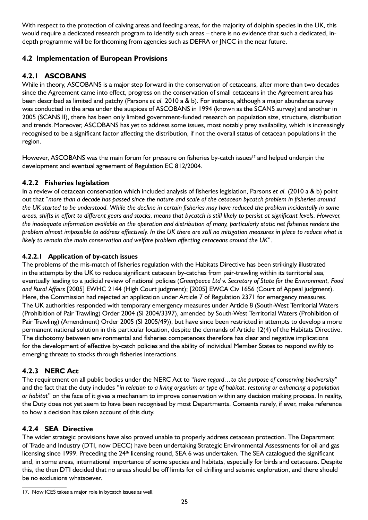With respect to the protection of calving areas and feeding areas, for the majority of dolphin species in the UK, this would require a dedicated research program to identify such areas – there is no evidence that such a dedicated, indepth programme will be forthcoming from agencies such as DEFRA or JNCC in the near future.

## **4.2 Implementation of European Provisions**

## **4.2.1 ASCOBANS**

While in theory, ASCOBANS is a major step forward in the conservation of cetaceans, after more than two decades since the Agreement came into effect, progress on the conservation of small cetaceans in the Agreement area has been described as limited and patchy (Parsons *et al.* 2010 a & b). For instance, although a major abundance survey was conducted in the area under the auspices of ASCOBANS in 1994 (known as the SCANS survey) and another in 2005 (SCANS II), there has been only limited government-funded research on population size, structure, distribution and trends. Moreover, ASCOBANS has yet to address some issues, most notably prey availability, which is increasingly recognised to be a significant factor affecting the distribution, if not the overall status of cetacean populations in the region.

However, ASCOBANS was the main forum for pressure on fisheries by-catch issues<sup>17</sup> and helped underpin the development and eventual agreement of Regulation EC 812/2004.

## **4.2.2 Fisheries legislation**

In a review of cetacean conservation which included analysis of fisheries legislation, Parsons *et al.* (2010 a & b) point out that "*more than a decade has passed since the nature and scale of the cetacean bycatch problem in fisheries around the UK started to be understood. While the decline in certain fisheries may have reduced the problem incidentally in some areas, shifts in effort to different gears and stocks, means that bycatch is still likely to persist at significant levels. However, the inadequate information available on the operation and distribution of many, particularly static net fisheries renders the problem almost impossible to address effectively. In the UK there are still no mitigation measures in place to reduce what is likely to remain the main conservation and welfare problem affecting cetaceans around the UK*".

### **4.2.2.1 Application of by-catch issues**

The problems of the mis-match of fisheries regulation with the Habitats Directive has been strikingly illustrated in the attempts by the UK to reduce significant cetacean by-catches from pair-trawling within its territorial sea, eventually leading to a judicial review of national policies (*Greenpeace Ltd* v. *Secretary of State for the Environment, Food and Rural Affairs* [2005] EWHC 2144 (High Court judgment); [2005] EWCA Civ 1656 (Court of Appeal judgment). Here, the Commission had rejected an application under Article 7 of Regulation 2371 for emergency measures. The UK authorities responded with temporary emergency measures under Article 8 (South-West Territorial Waters (Prohibition of Pair Trawling) Order 2004 (SI 2004/3397), amended by South-West Territorial Waters (Prohibition of Pair Trawling) (Amendment) Order 2005 (SI 2005/49)), but have since been restricted in attempts to develop a more permanent national solution in this particular location, despite the demands of Article 12(4) of the Habitats Directive. The dichotomy between environmental and fisheries competences therefore has clear and negative implications for the development of effective by-catch policies and the ability of individual Member States to respond swiftly to emerging threats to stocks through fisheries interactions.

## **4.2.3 NERC Act**

The requirement on all public bodies under the NERC Act to "*have regard…to the purpose of conserving biodiversity*" and the fact that the duty includes "*in relation to a living organism or type of habitat, restoring or enhancing a population or habitat*" on the face of it gives a mechanism to improve conservation within any decision making process. In reality, the Duty does not yet seem to have been recognised by most Departments. Consents rarely, if ever, make reference to how a decision has taken account of this duty.

## **4.2.4 SEA Directive**

The wider strategic provisions have also proved unable to properly address cetacean protection. The Department of Trade and Industry (DTI, now DECC) have been undertaking Strategic Environmental Assessments for oil and gas licensing since 1999. Preceding the 24<sup>th</sup> licensing round, SEA 6 was undertaken. The SEA catalogued the significant and, in some areas, international importance of some species and habitats, especially for birds and cetaceans. Despite this, the then DTI decided that no areas should be off limits for oil drilling and seismic exploration, and there should be no exclusions whatsoever.

<sup>17.</sup> Now ICES takes a major role in bycatch issues as well.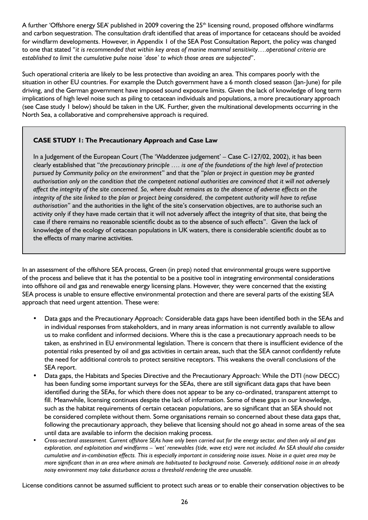A further 'Offshore energy SEA' published in 2009 covering the 25<sup>th</sup> licensing round, proposed offshore windfarms and carbon sequestration. The consultation draft identified that areas of importance for cetaceans should be avoided for windfarm developments. However, in Appendix 1 of the SEA Post Consultation Report, the policy was changed to one that stated "*it is recommended that within key areas of marine mammal sensitivity….operational criteria are established to limit the cumulative pulse noise 'dose' to which those areas are subjected*".

Such operational criteria are likely to be less protective than avoiding an area. This compares poorly with the situation in other EU countries. For example the Dutch government have a 6 month closed season (Jan-June) for pile driving, and the German government have imposed sound exposure limits. Given the lack of knowledge of long term implications of high level noise such as piling to cetacean individuals and populations, a more precautionary approach (see Case study 1 below) should be taken in the UK. Further, given the multinational developments occurring in the North Sea, a collaborative and comprehensive approach is required.

### **CASE STUDY 1: The Precautionary Approach and Case Law**

In a Judgement of the European Court (The 'Waddenzee judgement' – Case C-127/02, 2002), it has been clearly established that "*the precautionary principle …. is one of the foundations of the high level of protection pursued by Community policy on the environment*" and that the "*plan or project in question may be granted authorisation only on the condition that the competent national authorities are convinced that it will not adversely affect the integrity of the site concerned. So, where doubt remains as to the absence of adverse effects on the integrity of the site linked to the plan or project being considered, the competent authority will have to refuse authorisation*" and the authorities in the light of the site's conservation objectives, are to authorise such an activity only if they have made certain that it will not adversely affect the integrity of that site, that being the case if there remains no reasonable scientific doubt as to the absence of such effects". Given the lack of knowledge of the ecology of cetacean populations in UK waters, there is considerable scientific doubt as to the effects of many marine activities.

In an assessment of the offshore SEA process, Green (in prep) noted that environmental groups were supportive of the process and believe that it has the potential to be a positive tool in integrating environmental considerations into offshore oil and gas and renewable energy licensing plans. However, they were concerned that the existing SEA process is unable to ensure effective environmental protection and there are several parts of the existing SEA approach that need urgent attention. These were:

- Data gaps and the Precautionary Approach: Considerable data gaps have been identified both in the SEAs and in individual responses from stakeholders, and in many areas information is not currently available to allow us to make confident and informed decisions. Where this is the case a precautionary approach needs to be taken, as enshrined in EU environmental legislation. There is concern that there is insufficient evidence of the potential risks presented by oil and gas activities in certain areas, such that the SEA cannot confidently refute the need for additional controls to protect sensitive receptors. This weakens the overall conclusions of the SEA report.
- Data gaps, the Habitats and Species Directive and the Precautionary Approach: While the DTI (now DECC) has been funding some important surveys for the SEAs, there are still significant data gaps that have been identified during the SEAs, for which there does not appear to be any co-ordinated, transparent attempt to fill. Meanwhile, licensing continues despite the lack of information. Some of these gaps in our knowledge, such as the habitat requirements of certain cetacean populations, are so significant that an SEA should not be considered complete without them. Some organisations remain so concerned about these data gaps that, following the precautionary approach, they believe that licensing should not go ahead in some areas of the sea until data are available to inform the decision making process.
- • *Cross-sectoral assessment. Current offshore SEAs have only been carried out for the energy sector, and then only oil and gas exploration, and exploitation and windfarms – 'wet' renewables (tide, wave etc) were not included. An SEA should also consider cumulative and in-combination effects. This is especially important in considering noise issues. Noise in a quiet area may be more significant than in an area where animals are habituated to background noise. Conversely, additional noise in an already noisy environment may take disturbance across a threshold rendering the area unusable.*

License conditions cannot be assumed sufficient to protect such areas or to enable their conservation objectives to be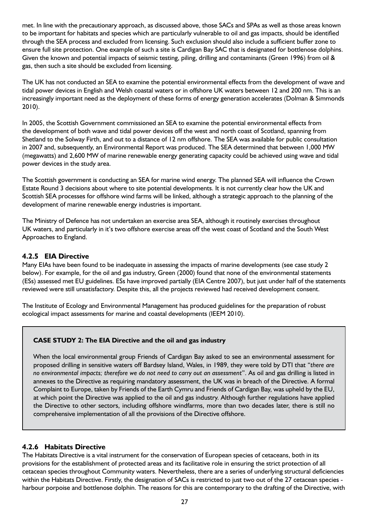met. In line with the precautionary approach, as discussed above, those SACs and SPAs as well as those areas known to be important for habitats and species which are particularly vulnerable to oil and gas impacts, should be identified through the SEA process and excluded from licensing. Such exclusion should also include a sufficient buffer zone to ensure full site protection. One example of such a site is Cardigan Bay SAC that is designated for bottlenose dolphins. Given the known and potential impacts of seismic testing, piling, drilling and contaminants (Green 1996) from oil & gas, then such a site should be excluded from licensing.

The UK has not conducted an SEA to examine the potential environmental effects from the development of wave and tidal power devices in English and Welsh coastal waters or in offshore UK waters between 12 and 200 nm. This is an increasingly important need as the deployment of these forms of energy generation accelerates (Dolman & Simmonds 2010).

In 2005, the Scottish Government commissioned an SEA to examine the potential environmental effects from the development of both wave and tidal power devices off the west and north coast of Scotland, spanning from Shetland to the Solway Firth, and out to a distance of 12 nm offshore. The SEA was available for public consultation in 2007 and, subsequently, an Environmental Report was produced. The SEA determined that between 1,000 MW (megawatts) and 2,600 MW of marine renewable energy generating capacity could be achieved using wave and tidal power devices in the study area.

The Scottish government is conducting an SEA for marine wind energy. The planned SEA will influence the Crown Estate Round 3 decisions about where to site potential developments. It is not currently clear how the UK and Scottish SEA processes for offshore wind farms will be linked, although a strategic approach to the planning of the development of marine renewable energy industries is important.

The Ministry of Defence has not undertaken an exercise area SEA, although it routinely exercises throughout UK waters, and particularly in it's two offshore exercise areas off the west coast of Scotland and the South West Approaches to England.

### **4.2.5 EIA Directive**

Many EIAs have been found to be inadequate in assessing the impacts of marine developments (see case study 2 below). For example, for the oil and gas industry, Green (2000) found that none of the environmental statements (ESs) assessed met EU guidelines. ESs have improved partially (EIA Centre 2007), but just under half of the statements reviewed were still unsatisfactory. Despite this, all the projects reviewed had received development consent.

The Institute of Ecology and Environmental Management has produced guidelines for the preparation of robust ecological impact assessments for marine and coastal developments (IEEM 2010).

#### **CASE STUDY 2: The EIA Directive and the oil and gas industry**

When the local environmental group Friends of Cardigan Bay asked to see an environmental assessment for proposed drilling in sensitive waters off Bardsey Island, Wales, in 1989, they were told by DTI that "*there are no environmental impacts; therefore we do not need to carry out an assessment*". As oil and gas drilling is listed in annexes to the Directive as requiring mandatory assessment, the UK was in breach of the Directive. A formal Complaint to Europe, taken by Friends of the Earth Cymru and Friends of Cardigan Bay, was upheld by the EU, at which point the Directive was applied to the oil and gas industry. Although further regulations have applied the Directive to other sectors, including offshore windfarms, more than two decades later, there is still no comprehensive implementation of all the provisions of the Directive offshore.

#### **4.2.6 Habitats Directive**

The Habitats Directive is a vital instrument for the conservation of European species of cetaceans, both in its provisions for the establishment of protected areas and its facilitative role in ensuring the strict protection of all cetacean species throughout Community waters. Nevertheless, there are a series of underlying structural deficiencies within the Habitats Directive. Firstly, the designation of SACs is restricted to just two out of the 27 cetacean species harbour porpoise and bottlenose dolphin. The reasons for this are contemporary to the drafting of the Directive, with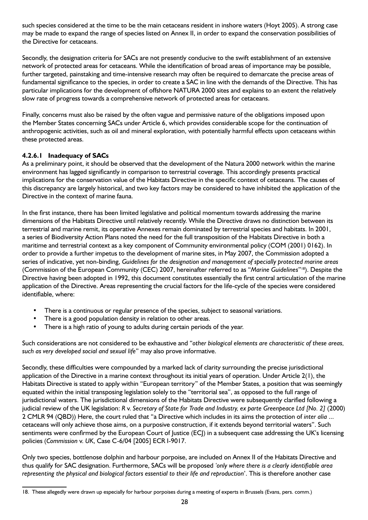such species considered at the time to be the main cetaceans resident in inshore waters (Hoyt 2005). A strong case may be made to expand the range of species listed on Annex II, in order to expand the conservation possibilities of the Directive for cetaceans.

Secondly, the designation criteria for SACs are not presently conducive to the swift establishment of an extensive network of protected areas for cetaceans. While the identification of broad areas of importance may be possible, further targeted, painstaking and time-intensive research may often be required to demarcate the precise areas of fundamental significance to the species, in order to create a SAC in line with the demands of the Directive. This has particular implications for the development of offshore NATURA 2000 sites and explains to an extent the relatively slow rate of progress towards a comprehensive network of protected areas for cetaceans.

Finally, concerns must also be raised by the often vague and permissive nature of the obligations imposed upon the Member States concerning SACs under Article 6, which provides considerable scope for the continuation of anthropogenic activities, such as oil and mineral exploration, with potentially harmful effects upon cetaceans within these protected areas.

#### **4.2.6.1 Inadequacy of SACs**

As a preliminary point, it should be observed that the development of the Natura 2000 network within the marine environment has lagged significantly in comparison to terrestrial coverage. This accordingly presents practical implications for the conservation value of the Habitats Directive in the specific context of cetaceans. The causes of this discrepancy are largely historical, and two key factors may be considered to have inhibited the application of the Directive in the context of marine fauna.

In the first instance, there has been limited legislative and political momentum towards addressing the marine dimensions of the Habitats Directive until relatively recently. While the Directive draws no distinction between its terrestrial and marine remit, its operative Annexes remain dominated by terrestrial species and habitats. In 2001, a series of Biodiversity Action Plans noted the need for the full transposition of the Habitats Directive in both a maritime and terrestrial context as a key component of Community environmental policy (COM (2001) 0162). In order to provide a further impetus to the development of marine sites, in May 2007, the Commission adopted a series of indicative, yet non-binding, *Guidelines for the designation and management of specially protected marine areas* (Commission of the European Community (CEC) 2007, hereinafter referred to as "*Marine Guidelines*"18). Despite the Directive having been adopted in 1992, this document constitutes essentially the first central articulation of the marine application of the Directive. Areas representing the crucial factors for the life-cycle of the species were considered identifiable, where:

- There is a continuous or regular presence of the species, subject to seasonal variations.
- There is a good population density in relation to other areas.
- There is a high ratio of young to adults during certain periods of the year.

Such considerations are not considered to be exhaustive and "*other biological elements are characteristic of these areas, such as very developed social and sexual life*" may also prove informative.

Secondly, these difficulties were compounded by a marked lack of clarity surrounding the precise jurisdictional application of the Directive in a marine context throughout its initial years of operation. Under Article 2(1), the Habitats Directive is stated to apply within "European territory" of the Member States, a position that was seemingly equated within the initial transposing legislation solely to the "territorial sea", as opposed to the full range of jurisdictional waters. The jurisdictional dimensions of the Habitats Directive were subsequently clarified following a judicial review of the UK legislation: *R* v. *Secretary of State for Trade and Industry, ex parte Greenpeace Ltd [No. 2]* (2000) 2 CMLR 94 (QBD)) Here, the court ruled that "a Directive which includes in its aims the protection of *inter alia* ... cetaceans will only achieve those aims, on a purposive construction, if it extends beyond territorial waters". Such sentiments were confirmed by the European Court of Justice (ECJ) in a subsequent case addressing the UK's licensing policies (*Commission* v. *UK*, Case C-6/04 [2005] ECR I-9017.

Only two species, bottlenose dolphin and harbour porpoise, are included on Annex II of the Habitats Directive and thus qualify for SAC designation. Furthermore, SACs will be proposed *'only where there is a clearly identifiable area representing the physical and biological factors essential to their life and reproduction*'. This is therefore another case

<sup>18.</sup> These allegedly were drawn up especially for harbour porpoises during a meeting of experts in Brussels (Evans, pers. comm.)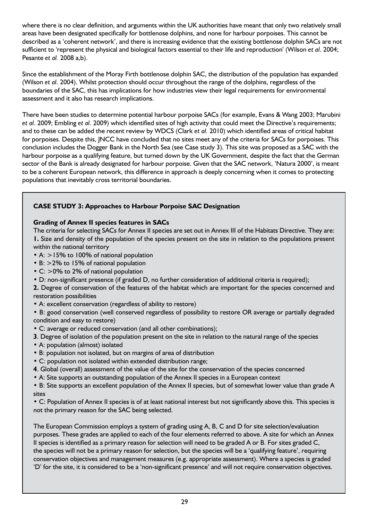where there is no clear definition, and arguments within the UK authorities have meant that only two relatively small areas have been designated specifically for bottlenose dolphins, and none for harbour porpoises. This cannot be described as a 'coherent network', and there is increasing evidence that the existing bottlenose dolphin SACs are not sufficient to 'represent the physical and biological factors essential to their life and reproduction' (Wilson *et al*. 2004; Pesante *et al.* 2008 a,b).

Since the establishment of the Moray Firth bottlenose dolphin SAC, the distribution of the population has expanded (Wilson *et al*. 2004). Whilst protection should occur throughout the range of the dolphins, regardless of the boundaries of the SAC, this has implications for how industries view their legal requirements for environmental assessment and it also has research implications.

There have been studies to determine potential harbour porpoise SACs (for example, Evans & Wang 2003; Marubini *et al*. 2009; Embling *et al*. 2009) which identified sites of high activity that could meet the Directive's requirements; and to these can be added the recent review by WDCS (Clark *et al.* 2010) which identified areas of critical habitat for porpoises. Despite this, JNCC have concluded that no sites meet any of the criteria for SACs for porpoises. This conclusion includes the Dogger Bank in the North Sea (see Case study 3). This site was proposed as a SAC with the harbour porpoise as a qualifying feature, but turned down by the UK Government, despite the fact that the German sector of the Bank is already designated for harbour porpoise. Given that the SAC network, 'Natura 2000', is meant to be a coherent European network, this difference in approach is deeply concerning when it comes to protecting populations that inevitably cross territorial boundaries.

### **CASE STUDY 3: Approaches to Harbour Porpoise SAC Designation**

#### **Grading of Annex II species features in SACs**

The criteria for selecting SACs for Annex II species are set out in Annex III of the Habitats Directive. They are: **1.** Size and density of the population of the species present on the site in relation to the populations present within the national territory

- A: >15% to 100% of national population
- B: >2% to 15% of national population
- C: > 0% to 2% of national population
- D: non-significant presence (if graded D, no further consideration of additional criteria is required);

**2.** Degree of conservation of the features of the habitat which are important for the species concerned and restoration possibilities

• A: excellent conservation (regardless of ability to restore)

• B: good conservation (well conserved regardless of possibility to restore OR average or partially degraded condition and easy to restore)

- C: average or reduced conservation (and all other combinations);
- **3**. Degree of isolation of the population present on the site in relation to the natural range of the species
- A: population (almost) isolated
- B: population not isolated, but on margins of area of distribution
- C: population not isolated within extended distribution range;
- **4**. Global (overall) assessment of the value of the site for the conservation of the species concerned
- A: Site supports an outstanding population of the Annex II species in a European context

• B: Site supports an excellent population of the Annex II species, but of somewhat lower value than grade A sites

• C: Population of Annex II species is of at least national interest but not significantly above this. This species is not the primary reason for the SAC being selected.

The European Commission employs a system of grading using A, B, C and D for site selection/evaluation purposes. These grades are applied to each of the four elements referred to above. A site for which an Annex II species is identified as a primary reason for selection will need to be graded A or B. For sites graded C, the species will not be a primary reason for selection, but the species will be a 'qualifying feature', requiring conservation objectives and management measures (e.g. appropriate assessment). Where a species is graded 'D' for the site, it is considered to be a 'non-significant presence' and will not require conservation objectives.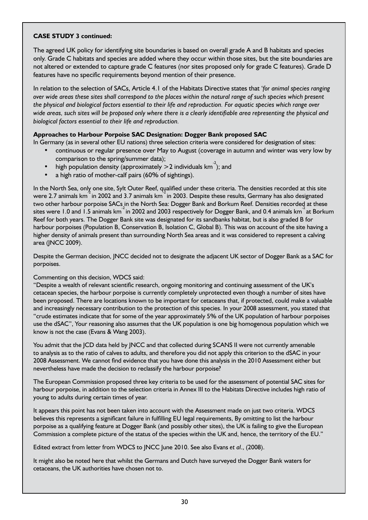#### **CASE STUDY 3 continued:**

The agreed UK policy for identifying site boundaries is based on overall grade A and B habitats and species only. Grade C habitats and species are added where they occur within those sites, but the site boundaries are not altered or extended to capture grade C features (nor sites proposed only for grade C features). Grade D features have no specific requirements beyond mention of their presence.

In relation to the selection of SACs, Article 4.1 of the Habitats Directive states that '*for animal species ranging over wide areas these sites shall correspond to the places within the natural range of such species which present the physical and biological factors essential to their life and reproduction. For aquatic species which range over wide areas, such sites will be proposed only where there is a clearly identifiable area representing the physical and biological factors essential to their life and reproduction.* 

#### **Approaches to Harbour Porpoise SAC Designation: Dogger Bank proposed SAC**

In Germany (as in several other EU nations) three selection criteria were considered for designation of sites:

- continuous or regular presence over May to August (coverage in autumn and winter was very low by comparison to the spring/summer data);
- high population density (approximately  $>$  2 individuals km<sup>-2</sup>); and
- a high ratio of mother-calf pairs (60% of sightings).

In the North Sea, only one site, Sylt Outer Reef, qualified under these criteria. The densities recorded at this site were 2.7 animals km<sup>2</sup> in 2002 and 3.7 animals km<sup>2</sup> in 2003. Despite these results, Germany has also designated two other harbour porpoise SACs in the North Sea: Dogger Bank and Borkum Reef. Densities recorded at these sites were 1.0 and 1.5 animals km<sup>-2</sup> in 2002 and 2003 respectively for Dogger Bank, and 0.4 animals km<sup>-2</sup> at Borkum Reef for both years. The Dogger Bank site was designated for its sandbanks habitat, but is also graded B for harbour porpoises (Population B, Conservation B, Isolation C, Global B). This was on account of the site having a higher density of animals present than surrounding North Sea areas and it was considered to represent a calving area (JNCC 2009).

Despite the German decision, JNCC decided not to designate the adjacent UK sector of Dogger Bank as a SAC for porpoises.

#### Commenting on this decision, WDCS said:

"Despite a wealth of relevant scientific research, ongoing monitoring and continuing assessment of the UK's cetacean species, the harbour porpoise is currently completely unprotected even though a number of sites have been proposed. There are locations known to be important for cetaceans that, if protected, could make a valuable and increasingly necessary contribution to the protection of this species. In your 2008 assessment, you stated that "crude estimates indicate that for some of the year approximately 5% of the UK population of harbour porpoises use the dSAC", Your reasoning also assumes that the UK population is one big homogenous population which we know is not the case (Evans & Wang 2003).

You admit that the JCD data held by JNCC and that collected during SCANS II were not currently amenable to analysis as to the ratio of calves to adults, and therefore you did not apply this criterion to the dSAC in your 2008 Assessment. We cannot find evidence that you have done this analysis in the 2010 Assessment either but nevertheless have made the decision to reclassify the harbour porpoise?

The European Commission proposed three key criteria to be used for the assessment of potential SAC sites for harbour porpoise, in addition to the selection criteria in Annex III to the Habitats Directive includes high ratio of young to adults during certain times of year.

It appears this point has not been taken into account with the Assessment made on just two criteria. WDCS believes this represents a significant failure in fulfilling EU legal requirements, By omitting to list the harbour porpoise as a qualifying feature at Dogger Bank (and possibly other sites), the UK is failing to give the European Commission a complete picture of the status of the species within the UK and, hence, the territory of the EU."

Edited extract from letter from WDCS to JNCC June 2010. See also Evans *et al*., (2008).

It might also be noted here that whilst the Germans and Dutch have surveyed the Dogger Bank waters for cetaceans, the UK authorities have chosen not to.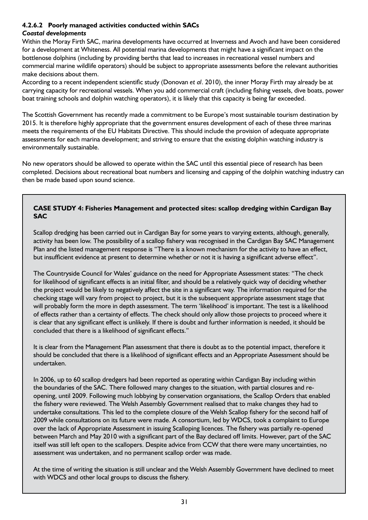#### **4.2.6.2 Poorly managed activities conducted within SACs**

### *Coastal developments*

Within the Moray Firth SAC, marina developments have occurred at Inverness and Avoch and have been considered for a development at Whiteness. All potential marina developments that might have a significant impact on the bottlenose dolphins (including by providing berths that lead to increases in recreational vessel numbers and commercial marine wildlife operators) should be subject to appropriate assessments before the relevant authorities make decisions about them.

According to a recent independent scientific study (Donovan *et al*. 2010), the inner Moray Firth may already be at carrying capacity for recreational vessels. When you add commercial craft (including fishing vessels, dive boats, power boat training schools and dolphin watching operators), it is likely that this capacity is being far exceeded.

The Scottish Government has recently made a commitment to be Europe's most sustainable tourism destination by 2015. It is therefore highly appropriate that the government ensures development of each of these three marinas meets the requirements of the EU Habitats Directive. This should include the provision of adequate appropriate assessments for each marina development; and striving to ensure that the existing dolphin watching industry is environmentally sustainable.

No new operators should be allowed to operate within the SAC until this essential piece of research has been completed. Decisions about recreational boat numbers and licensing and capping of the dolphin watching industry can then be made based upon sound science.

#### **CASE STUDY 4: Fisheries Management and protected sites: scallop dredging within Cardigan Bay SAC**

Scallop dredging has been carried out in Cardigan Bay for some years to varying extents, although, generally, activity has been low. The possibility of a scallop fishery was recognised in the Cardigan Bay SAC Management Plan and the listed management response is "There is a known mechanism for the activity to have an effect, but insufficient evidence at present to determine whether or not it is having a significant adverse effect".

The Countryside Council for Wales' guidance on the need for Appropriate Assessment states: "The check for likelihood of significant effects is an initial filter, and should be a relatively quick way of deciding whether the project would be likely to negatively affect the site in a significant way. The information required for the checking stage will vary from project to project, but it is the subsequent appropriate assessment stage that will probably form the more in depth assessment. The term 'likelihood' is important. The test is a likelihood of effects rather than a certainty of effects. The check should only allow those projects to proceed where it is clear that any significant effect is unlikely. If there is doubt and further information is needed, it should be concluded that there is a likelihood of significant effects."

It is clear from the Management Plan assessment that there is doubt as to the potential impact, therefore it should be concluded that there is a likelihood of significant effects and an Appropriate Assessment should be undertaken.

In 2006, up to 60 scallop dredgers had been reported as operating within Cardigan Bay including within the boundaries of the SAC. There followed many changes to the situation, with partial closures and reopening, until 2009. Following much lobbying by conservation organisations, the Scallop Orders that enabled the fishery were reviewed. The Welsh Assembly Government realised that to make changes they had to undertake consultations. This led to the complete closure of the Welsh Scallop fishery for the second half of 2009 while consultations on its future were made. A consortium, led by WDCS, took a complaint to Europe over the lack of Appropriate Assessment in issuing Scalloping licences. The fishery was partially re-opened between March and May 2010 with a significant part of the Bay declared off limits. However, part of the SAC itself was still left open to the scallopers. Despite advice from CCW that there were many uncertainties, no assessment was undertaken, and no permanent scallop order was made.

At the time of writing the situation is still unclear and the Welsh Assembly Government have declined to meet with WDCS and other local groups to discuss the fishery.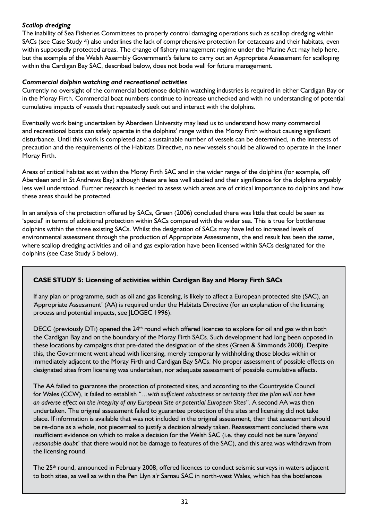### *Scallop dredging*

The inability of Sea Fisheries Committees to properly control damaging operations such as scallop dredging within SACs (see Case Study 4) also underlines the lack of comprehensive protection for cetaceans and their habitats, even within supposedly protected areas. The change of fishery management regime under the Marine Act may help here, but the example of the Welsh Assembly Government's failure to carry out an Appropriate Assessment for scalloping within the Cardigan Bay SAC, described below, does not bode well for future management.

#### *Commercial dolphin watching and recreational activities*

Currently no oversight of the commercial bottlenose dolphin watching industries is required in either Cardigan Bay or in the Moray Firth. Commercial boat numbers continue to increase unchecked and with no understanding of potential cumulative impacts of vessels that repeatedly seek out and interact with the dolphins.

Eventually work being undertaken by Aberdeen University may lead us to understand how many commercial and recreational boats can safely operate in the dolphins' range within the Moray Firth without causing significant disturbance. Until this work is completed and a sustainable number of vessels can be determined, in the interests of precaution and the requirements of the Habitats Directive, no new vessels should be allowed to operate in the inner Moray Firth.

Areas of critical habitat exist within the Moray Firth SAC and in the wider range of the dolphins (for example, off Aberdeen and in St Andrews Bay) although these are less well studied and their significance for the dolphins arguably less well understood. Further research is needed to assess which areas are of critical importance to dolphins and how these areas should be protected.

In an analysis of the protection offered by SACs, Green (2006) concluded there was little that could be seen as 'special' in terms of additional protection within SACs compared with the wider sea. This is true for bottlenose dolphins within the three existing SACs. Whilst the designation of SACs may have led to increased levels of environmental assessment through the production of Appropriate Assessments, the end result has been the same, where scallop dredging activities and oil and gas exploration have been licensed within SACs designated for the dolphins (see Case Study 5 below).

#### **Case study 5: Licensing of activities within Cardigan Bay and Moray Firth SACs**

If any plan or programme, such as oil and gas licensing, is likely to affect a European protected site (SAC), an 'Appropriate Assessment' (AA) is required under the Habitats Directive (for an explanation of the licensing process and potential impacts, see JLOGEC 1996).

DECC (previously DTi) opened the 24<sup>th</sup> round which offered licences to explore for oil and gas within both the Cardigan Bay and on the boundary of the Moray Firth SACs. Such development had long been opposed in these locations by campaigns that pre-dated the designation of the sites (Green & Simmonds 2008). Despite this, the Government went ahead with licensing, merely temporarily withholding those blocks within or immediately adjacent to the Moray Firth and Cardigan Bay SACs. No proper assessment of possible effects on designated sites from licensing was undertaken, nor adequate assessment of possible cumulative effects.

The AA failed to guarantee the protection of protected sites, and according to the Countryside Council for Wales (CCW), it failed to establish *"…with sufficient robustness or certainty that the plan will not have an adverse effect on the integrity of any European Site or potential European Sites*". A second AA was then undertaken. The original assessment failed to guarantee protection of the sites and licensing did not take place. If information is available that was not included in the original assessment, then that assessment should be re-done as a whole, not piecemeal to justify a decision already taken. Reassessment concluded there was insufficient evidence on which to make a decision for the Welsh SAC (i.e. they could not be sure '*beyond reasonable doubt*' that there would not be damage to features of the SAC), and this area was withdrawn from the licensing round.

The 25<sup>th</sup> round, announced in February 2008, offered licences to conduct seismic surveys in waters adjacent to both sites, as well as within the Pen Llyn a'r Sarnau SAC in north-west Wales, which has the bottlenose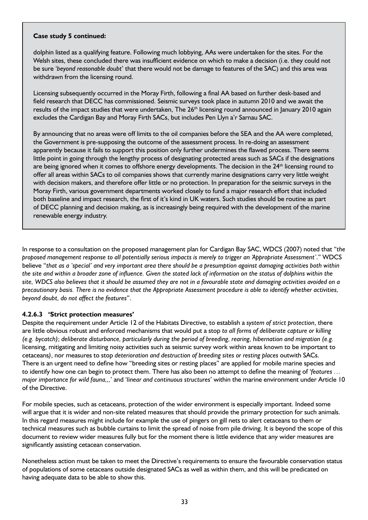#### **Case study 5 continued:**

dolphin listed as a qualifying feature. Following much lobbying, AAs were undertaken for the sites. For the Welsh sites, these concluded there was insufficient evidence on which to make a decision (i.e. they could not be sure '*beyond reasonable doubt*' that there would not be damage to features of the SAC) and this area was withdrawn from the licensing round.

Licensing subsequently occurred in the Moray Firth, following a final AA based on further desk-based and field research that DECC has commissioned. Seismic surveys took place in autumn 2010 and we await the results of the impact studies that were undertaken, The 26<sup>th</sup> licensing round announced in January 2010 again excludes the Cardigan Bay and Moray Firth SACs, but includes Pen Llyn a'r Sarnau SAC.

By announcing that no areas were off limits to the oil companies before the SEA and the AA were completed, the Government is pre-supposing the outcome of the assessment process. In re-doing an assessment apparently because it fails to support this position only further undermines the flawed process. There seems little point in going through the lengthy process of designating protected areas such as SACs if the designations are being ignored when it comes to offshore energy developments. The decision in the 24<sup>th</sup> licensing round to offer all areas within SACs to oil companies shows that currently marine designations carry very little weight with decision makers, and therefore offer little or no protection. In preparation for the seismic surveys in the Moray Firth, various government departments worked closely to fund a major research effort that included both baseline and impact research, the first of it's kind in UK waters. Such studies should be routine as part of DECC planning and decision making, as is increasingly being required with the development of the marine renewable energy industry.

In response to a consultation on the proposed management plan for Cardigan Bay SAC, WDCS (2007) noted that "*the proposed management response to all potentially serious impacts is merely to trigger an 'Appropriate Assessment'*." WDCS believe "*that as a 'special' and very important area there should be a presumption against damaging activities both within the site and within a broader zone of influence. Given the stated lack of information on the status of dolphins within the site, WDCS also believes that it should be assumed they are not in a favourable state and damaging activities avoided on a precautionary basis. There is no evidence that the Appropriate Assessment procedure is able to identify whether activities, beyond doubt, do not affect the features*".

#### **4.2.6.3 'Strict protection measures'**

Despite the requirement under Article 12 of the Habitats Directive, to establish a *system of strict protection*, there are little obvious robust and enforced mechanisms that would put a stop *to all forms of deliberate capture or killing (e.g. bycatch)*; *deliberate disturbance, particularly during the period of breeding, rearing, hibernation and migration (e.g.* licensing, mitigating and limiting noisy activities such as seismic survey work within areas known to be important to cetaceans*)*, nor measures to stop *deterioration and destruction of breeding sites or resting places* outwith SACs. There is an urgent need to define how "breeding sites or resting places" are applied for mobile marine species and to identify how one can begin to protect them. There has also been no attempt to define the meaning of '*features … major importance for wild fauna,,,*' and '*linear and continuous structures*' within the marine environment under Article 10 of the Directive.

For mobile species, such as cetaceans, protection of the wider environment is especially important. Indeed some will argue that it is wider and non-site related measures that should provide the primary protection for such animals. In this regard measures might include for example the use of pingers on gill nets to alert cetaceans to them or technical measures such as bubble curtains to limit the spread of noise from pile driving. It is beyond the scope of this document to review wider measures fully but for the moment there is little evidence that any wider measures are significantly assisting cetacean conservation.

Nonetheless action must be taken to meet the Directive's requirements to ensure the favourable conservation status of populations of some cetaceans outside designated SACs as well as within them, and this will be predicated on having adequate data to be able to show this.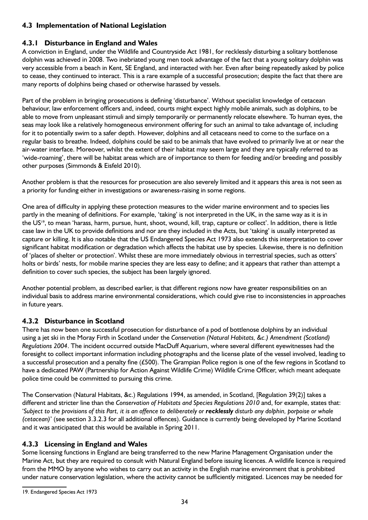## **4.3 Implementation of National Legislation**

## **4.3.1 Disturbance in England and Wales**

A conviction in England, under the Wildlife and Countryside Act 1981, for recklessly disturbing a solitary bottlenose dolphin was achieved in 2008. Two inebriated young men took advantage of the fact that a young solitary dolphin was very accessible from a beach in Kent, SE England, and interacted with her. Even after being repeatedly asked by police to cease, they continued to interact. This is a rare example of a successful prosecution; despite the fact that there are many reports of dolphins being chased or otherwise harassed by vessels.

Part of the problem in bringing prosecutions is defining 'disturbance'. Without specialist knowledge of cetacean behaviour, law enforcement officers and, indeed, courts might expect highly mobile animals, such as dolphins, to be able to move from unpleasant stimuli and simply temporarily or permanently relocate elsewhere. To human eyes, the seas may look like a relatively homogeneous environment offering for such an animal to take advantage of, including for it to potentially swim to a safer depth. However, dolphins and all cetaceans need to come to the surface on a regular basis to breathe. Indeed, dolphins could be said to be animals that have evolved to primarily live at or near the air-water interface. Moreover, whilst the extent of their habitat may seem large and they are typically referred to as 'wide-roaming', there will be habitat areas which are of importance to them for feeding and/or breeding and possibly other purposes (Simmonds & Eisfeld 2010).

Another problem is that the resources for prosecution are also severely limited and it appears this area is not seen as a priority for funding either in investigations or awareness-raising in some regions.

One area of difficulty in applying these protection measures to the wider marine environment and to species lies partly in the meaning of definitions. For example, 'taking' is not interpreted in the UK, in the same way as it is in the US<sup>19</sup>, to mean 'harass, harm, pursue, hunt, shoot, wound, kill, trap, capture or collect'. In addition, there is little case law in the UK to provide definitions and nor are they included in the Acts, but 'taking' is usually interpreted as capture or killing. It is also notable that the US Endangered Species Act 1973 also extends this interpretation to cover significant habitat modification or degradation which affects the habitat use by species. Likewise, there is no definition of 'places of shelter or protection'. Whilst these are more immediately obvious in terrestrial species, such as otters' holts or birds' nests, for mobile marine species they are less easy to define; and it appears that rather than attempt a definition to cover such species, the subject has been largely ignored.

Another potential problem, as described earlier, is that different regions now have greater responsibilities on an individual basis to address marine environmental considerations, which could give rise to inconsistencies in approaches in future years.

## **4.3.2 Disturbance in Scotland**

There has now been one successful prosecution for disturbance of a pod of bottlenose dolphins by an individual using a jet ski in the Moray Firth in Scotland under the *Conservation (Natural Habitats, &c.) Amendment (Scotland) Regulations 2004*. The incident occurred outside MacDuff Aquarium, where several different eyewitnesses had the foresight to collect important information including photographs and the license plate of the vessel involved, leading to a successful prosecution and a penalty fine (£500). The Grampian Police region is one of the few regions in Scotland to have a dedicated PAW (Partnership for Action Against Wildlife Crime) Wildlife Crime Officer, which meant adequate police time could be committed to pursuing this crime.

The Conservation (Natural Habitats, &c.) Regulations 1994, as amended, in Scotland, [Regulation 39(2)] takes a different and stricter line than the *Conservation of Habitats and Species Regulations 2010* and, for example, states that: 'Subject to the provisions of this Part, it is an offence to deliberately or **recklessly** disturb any dolphin, porpoise or whale *(cetacean)*' (see section 3.3.2.3 for all additional offences). Guidance is currently being developed by Marine Scotland and it was anticipated that this would be available in Spring 2011.

#### **4.3.3 Licensing in England and Wales**

Some licensing functions in England are being transferred to the new Marine Management Organisation under the Marine Act, but they are required to consult with Natural England before issuing licences. A wildlife licence is required from the MMO by anyone who wishes to carry out an activity in the English marine environment that is prohibited under nature conservation legislation, where the activity cannot be sufficiently mitigated. Licences may be needed for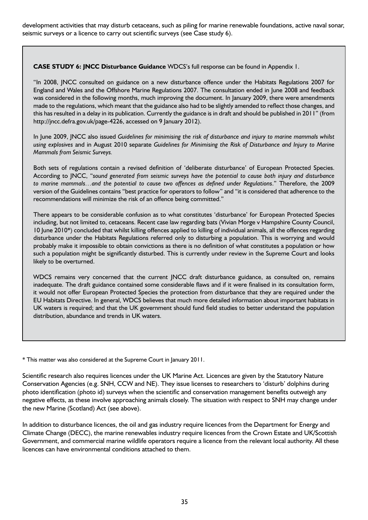development activities that may disturb cetaceans, such as piling for marine renewable foundations, active naval sonar, seismic surveys or a licence to carry out scientific surveys (see Case study 6).

**CASE STUDY 6: JNCC Disturbance Guidance** WDCS's full response can be found in Appendix 1.

"In 2008, JNCC consulted on guidance on a new disturbance offence under the Habitats Regulations 2007 for England and Wales and the Offshore Marine Regulations 2007. The consultation ended in June 2008 and feedback was considered in the following months, much improving the document. In January 2009, there were amendments made to the regulations, which meant that the guidance also had to be slightly amended to reflect those changes, and this has resulted in a delay in its publication. Currently the guidance is in draft and should be published in 2011" (from http://jncc.defra.gov.uk/page-4226, accessed on 9 January 2012).

In June 2009, JNCC also issued *Guidelines for minimising the risk of disturbance and injury to marine mammals whilst using explosives* and in August 2010 separate *Guidelines for Minimising the Risk of Disturbance and Injury to Marine Mammals from Seismic Surveys.*

Both sets of regulations contain a revised definition of 'deliberate disturbance' of European Protected Species. According to JNCC, "*sound generated from seismic surveys have the potential to cause both injury and disturbance to marine mammals…and the potential to cause two offences as defined under Regulations*." Therefore, the 2009 version of the Guidelines contains "best practice for operators to follow" and "it is considered that adherence to the recommendations will minimize the risk of an offence being committed."

There appears to be considerable confusion as to what constitutes 'disturbance' for European Protected Species including, but not limited to, cetaceans. Recent case law regarding bats (Vivian Morge v Hampshire County Council, 10 June 2010\*) concluded that whilst killing offences applied to killing of individual animals, all the offences regarding disturbance under the Habitats Regulations referred only to disturbing a population. This is worrying and would probably make it impossible to obtain convictions as there is no definition of what constitutes a population or how such a population might be significantly disturbed. This is currently under review in the Supreme Court and looks likely to be overturned.

WDCS remains very concerned that the current JNCC draft disturbance guidance, as consulted on, remains inadequate. The draft guidance contained some considerable flaws and if it were finalised in its consultation form, it would not offer European Protected Species the protection from disturbance that they are required under the EU Habitats Directive. In general, WDCS believes that much more detailed information about important habitats in UK waters is required; and that the UK government should fund field studies to better understand the population distribution, abundance and trends in UK waters.

\* This matter was also considered at the Supreme Court in January 2011.

Scientific research also requires licences under the UK Marine Act. Licences are given by the Statutory Nature Conservation Agencies (e.g. SNH, CCW and NE). They issue licenses to researchers to 'disturb' dolphins during photo identification (photo id) surveys when the scientific and conservation management benefits outweigh any negative effects, as these involve approaching animals closely. The situation with respect to SNH may change under the new Marine (Scotland) Act (see above).

In addition to disturbance licences, the oil and gas industry require licences from the Department for Energy and Climate Change (DECC), the marine renewables industry require licences from the Crown Estate and UK/Scottish Government, and commercial marine wildlife operators require a licence from the relevant local authority. All these licences can have environmental conditions attached to them.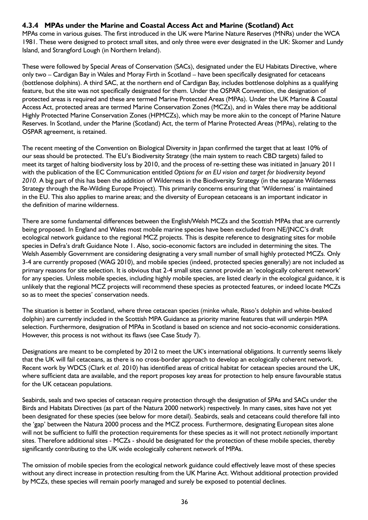## **4.3.4 MPAs under the Marine and Coastal Access Act and Marine (Scotland) Act**

MPAs come in various guises. The first introduced in the UK were Marine Nature Reserves (MNRs) under the WCA 1981. These were designed to protect small sites, and only three were ever designated in the UK: Skomer and Lundy Island, and Strangford Lough (in Northern Ireland).

These were followed by Special Areas of Conservation (SACs), designated under the EU Habitats Directive, where only two – Cardigan Bay in Wales and Moray Firth in Scotland – have been specifically designated for cetaceans (bottlenose dolphins). A third SAC, at the northern end of Cardigan Bay, includes bottlenose dolphins as a qualifying feature, but the site was not specifically designated for them. Under the OSPAR Convention, the designation of protected areas is required and these are termed Marine Protected Areas (MPAs). Under the UK Marine & Coastal Access Act, protected areas are termed Marine Conservation Zones (MCZs), and in Wales there may be additional Highly Protected Marine Conservation Zones (HPMCZs), which may be more akin to the concept of Marine Nature Reserves. In Scotland, under the Marine (Scotland) Act, the term of Marine Protected Areas (MPAs), relating to the OSPAR agreement, is retained.

The recent meeting of the Convention on Biological Diversity in Japan confirmed the target that at least 10% of our seas should be protected. The EU's Biodiversity Strategy (the main system to reach CBD targets) failed to meet its target of halting biodiversity loss by 2010, and the process of re-setting these was initiated in January 2011 with the publication of the EC Communication entitled *Options for an EU vision and target for biodiversity beyond 2010.* A big part of this has been the addition of Wilderness in the Biodiversity Strategy (in the separate Wilderness Strategy through the Re-Wilding Europe Project). This primarily concerns ensuring that 'Wilderness' is maintained in the EU. This also applies to marine areas; and the diversity of European cetaceans is an important indicator in the definition of marine wilderness.

There are some fundamental differences between the English/Welsh MCZs and the Scottish MPAs that are currently being proposed. In England and Wales most mobile marine species have been excluded from NE/JNCC's draft ecological network guidance to the regional MCZ projects. This is despite reference to designating sites for mobile species in Defra's draft Guidance Note 1. Also, socio-economic factors are included in determining the sites. The Welsh Assembly Government are considering designating a very small number of small highly protected MCZs. Only 3-4 are currently proposed (WAG 2010), and mobile species (indeed, protected species generally) are not included as primary reasons for site selection. It is obvious that 2-4 small sites cannot provide an 'ecologically coherent network' for any species. Unless mobile species, including highly mobile species, are listed clearly in the ecological guidance, it is unlikely that the regional MCZ projects will recommend these species as protected features, or indeed locate MCZs so as to meet the species' conservation needs.

The situation is better in Scotland, where three cetacean species (minke whale, Risso's dolphin and white-beaked dolphin) are currently included in the Scottish MPA Guidance as priority marine features that will underpin MPA selection. Furthermore, designation of MPAs in Scotland is based on science and not socio-economic considerations. However, this process is not without its flaws (see Case Study 7).

Designations are meant to be completed by 2012 to meet the UK's international obligations. It currently seems likely that the UK will fail cetaceans, as there is no cross-border approach to develop an ecologically coherent network. Recent work by WDCS (Clark *et al.* 2010) has identified areas of critical habitat for cetacean species around the UK, where sufficient data are available, and the report proposes key areas for protection to help ensure favourable status for the UK cetacean populations.

Seabirds, seals and two species of cetacean require protection through the designation of SPAs and SACs under the Birds and Habitats Directives (as part of the Natura 2000 network) respectively. In many cases, sites have not yet been designated for these species (see below for more detail). Seabirds, seals and cetaceans could therefore fall into the 'gap' between the Natura 2000 process and the MCZ process. Furthermore, designating European sites alone will not be sufficient to fulfil the protection requirements for these species as it will not protect *nationally* important sites. Therefore additional sites - MCZs - should be designated for the protection of these mobile species, thereby significantly contributing to the UK wide ecologically coherent network of MPAs.

The omission of mobile species from the ecological network guidance could effectively leave most of these species without any direct increase in protection resulting from the UK Marine Act. Without additional protection provided by MCZs, these species will remain poorly managed and surely be exposed to potential declines.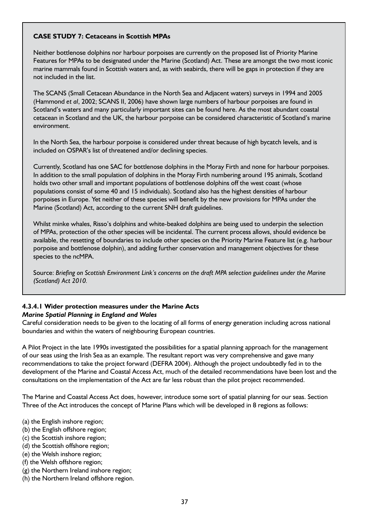#### **Case Study 7: Cetaceans in Scottish MPAs**

Neither bottlenose dolphins nor harbour porpoises are currently on the proposed list of Priority Marine Features for MPAs to be designated under the Marine (Scotland) Act. These are amongst the two most iconic marine mammals found in Scottish waters and, as with seabirds, there will be gaps in protection if they are not included in the list.

The SCANS (Small Cetacean Abundance in the North Sea and Adjacent waters) surveys in 1994 and 2005 (Hammond *et al*, 2002; SCANS II, 2006) have shown large numbers of harbour porpoises are found in Scotland's waters and many particularly important sites can be found here. As the most abundant coastal cetacean in Scotland and the UK, the harbour porpoise can be considered characteristic of Scotland's marine environment.

In the North Sea, the harbour porpoise is considered under threat because of high bycatch levels, and is included on OSPAR's list of threatened and/or declining species.

Currently, Scotland has one SAC for bottlenose dolphins in the Moray Firth and none for harbour porpoises. In addition to the small population of dolphins in the Moray Firth numbering around 195 animals, Scotland holds two other small and important populations of bottlenose dolphins off the west coast (whose populations consist of some 40 and 15 individuals). Scotland also has the highest densities of harbour porpoises in Europe. Yet neither of these species will benefit by the new provisions for MPAs under the Marine (Scotland) Act, according to the current SNH draft guidelines.

Whilst minke whales, Risso's dolphins and white-beaked dolphins are being used to underpin the selection of MPAs, protection of the other species will be incidental. The current process allows, should evidence be available, the resetting of boundaries to include other species on the Priority Marine Feature list (e.g. harbour porpoise and bottlenose dolphin), and adding further conservation and management objectives for these species to the ncMPA.

Source: *Briefing on Scottish Environment Link's concerns on the draft MPA selection guidelines under the Marine (Scotland) Act 2010.*

#### **4.3.4.1 Wider protection measures under the Marine Acts**  *Marine Spatial Planning in England and Wales*

Careful consideration needs to be given to the locating of all forms of energy generation including across national boundaries and within the waters of neighbouring European countries.

A Pilot Project in the late 1990s investigated the possibilities for a spatial planning approach for the management of our seas using the Irish Sea as an example. The resultant report was very comprehensive and gave many recommendations to take the project forward (DEFRA 2004). Although the project undoubtedly fed in to the development of the Marine and Coastal Access Act, much of the detailed recommendations have been lost and the consultations on the implementation of the Act are far less robust than the pilot project recommended.

The Marine and Coastal Access Act does, however, introduce some sort of spatial planning for our seas. Section Three of the Act introduces the concept of Marine Plans which will be developed in 8 regions as follows:

- (a) the English inshore region;
- (b) the English offshore region;
- (c) the Scottish inshore region;
- (d) the Scottish offshore region;
- (e) the Welsh inshore region;
- (f) the Welsh offshore region;
- (g) the Northern Ireland inshore region;
- (h) the Northern Ireland offshore region.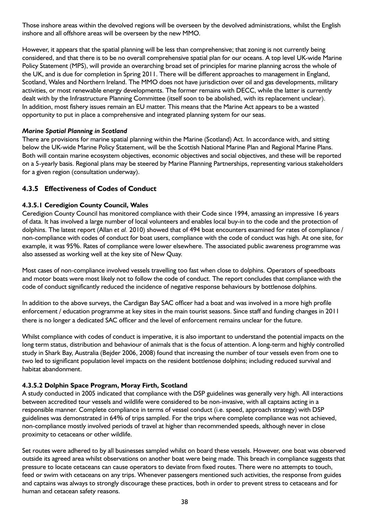Those inshore areas within the devolved regions will be overseen by the devolved administrations, whilst the English inshore and all offshore areas will be overseen by the new MMO.

However, it appears that the spatial planning will be less than comprehensive; that zoning is not currently being considered, and that there is to be no overall comprehensive spatial plan for our oceans. A top level UK-wide Marine Policy Statement (MPS), will provide an overarching broad set of principles for marine planning across the whole of the UK, and is due for completion in Spring 2011. There will be different approaches to management in England, Scotland, Wales and Northern Ireland. The MMO does not have jurisdiction over oil and gas developments, military activities, or most renewable energy developments. The former remains with DECC, while the latter is currently dealt with by the Infrastructure Planning Committee (itself soon to be abolished, with its replacement unclear). In addition, most fishery issues remain an EU matter. This means that the Marine Act appears to be a wasted opportunity to put in place a comprehensive and integrated planning system for our seas.

#### *Marine Spatial Planning in Scotland*

There are provisions for marine spatial planning within the Marine (Scotland) Act. In accordance with, and sitting below the UK-wide Marine Policy Statement, will be the Scottish National Marine Plan and Regional Marine Plans. Both will contain marine ecosystem objectives, economic objectives and social objectives, and these will be reported on a 5-yearly basis. Regional plans may be steered by Marine Planning Partnerships, representing various stakeholders for a given region (consultation underway).

#### **4.3.5 Effectiveness of Codes of Conduct**

#### **4.3.5.1 Ceredigion County Council, Wales**

Ceredigion County Council has monitored compliance with their Code since 1994, amassing an impressive 16 years of data. It has involved a large number of local volunteers and enables local buy-in to the code and the protection of dolphins. The latest report (Allan *et al.* 2010) showed that of 494 boat encounters examined for rates of compliance / non-compliance with codes of conduct for boat users, compliance with the code of conduct was high. At one site, for example, it was 95%. Rates of compliance were lower elsewhere. The associated public awareness programme was also assessed as working well at the key site of New Quay.

Most cases of non-compliance involved vessels travelling too fast when close to dolphins. Operators of speedboats and motor boats were most likely not to follow the code of conduct. The report concludes that compliance with the code of conduct significantly reduced the incidence of negative response behaviours by bottlenose dolphins.

In addition to the above surveys, the Cardigan Bay SAC officer had a boat and was involved in a more high profile enforcement / education programme at key sites in the main tourist seasons. Since staff and funding changes in 2011 there is no longer a dedicated SAC officer and the level of enforcement remains unclear for the future.

Whilst compliance with codes of conduct is imperative, it is also important to understand the potential impacts on the long term status, distribution and behaviour of animals that is the focus of attention. A long-term and highly controlled study in Shark Bay, Australia (Bejder 2006, 2008) found that increasing the number of tour vessels even from one to two led to significant population level impacts on the resident bottlenose dolphins; including reduced survival and habitat abandonment.

#### **4.3.5.2 Dolphin Space Program, Moray Firth, Scotland**

A study conducted in 2005 indicated that compliance with the DSP guidelines was generally very high. All interactions between accredited tour vessels and wildlife were considered to be non-invasive, with all captains acting in a responsible manner. Complete compliance in terms of vessel conduct (i.e. speed, approach strategy) with DSP guidelines was demonstrated in 64% of trips sampled. For the trips where complete compliance was not achieved, non-compliance mostly involved periods of travel at higher than recommended speeds, although never in close proximity to cetaceans or other wildlife.

Set routes were adhered to by all businesses sampled whilst on board these vessels. However, one boat was observed outside its agreed area whilst observations on another boat were being made. This breach in compliance suggests that pressure to locate cetaceans can cause operators to deviate from fixed routes. There were no attempts to touch, feed or swim with cetaceans on any trips. Whenever passengers mentioned such activities, the response from guides and captains was always to strongly discourage these practices, both in order to prevent stress to cetaceans and for human and cetacean safety reasons.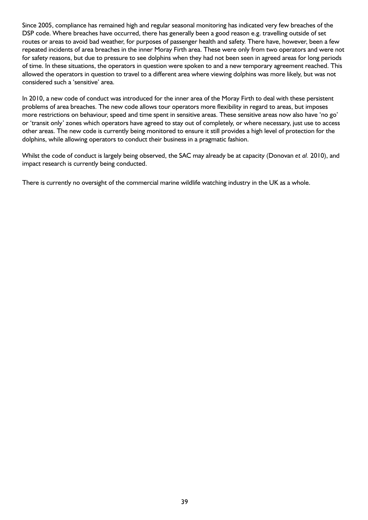Since 2005, compliance has remained high and regular seasonal monitoring has indicated very few breaches of the DSP code. Where breaches have occurred, there has generally been a good reason e.g. travelling outside of set routes or areas to avoid bad weather, for purposes of passenger health and safety. There have, however, been a few repeated incidents of area breaches in the inner Moray Firth area. These were only from two operators and were not for safety reasons, but due to pressure to see dolphins when they had not been seen in agreed areas for long periods of time. In these situations, the operators in question were spoken to and a new temporary agreement reached. This allowed the operators in question to travel to a different area where viewing dolphins was more likely, but was not considered such a 'sensitive' area.

In 2010, a new code of conduct was introduced for the inner area of the Moray Firth to deal with these persistent problems of area breaches. The new code allows tour operators more flexibility in regard to areas, but imposes more restrictions on behaviour, speed and time spent in sensitive areas. These sensitive areas now also have 'no go' or 'transit only' zones which operators have agreed to stay out of completely, or where necessary, just use to access other areas. The new code is currently being monitored to ensure it still provides a high level of protection for the dolphins, while allowing operators to conduct their business in a pragmatic fashion.

Whilst the code of conduct is largely being observed, the SAC may already be at capacity (Donovan *et al.* 2010), and impact research is currently being conducted.

There is currently no oversight of the commercial marine wildlife watching industry in the UK as a whole.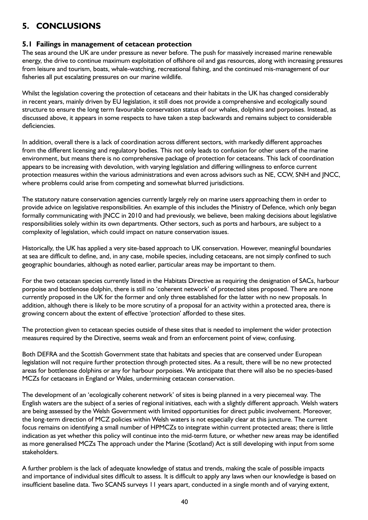## **5. CONCLUSIONS**

#### **5.1 Failings in management of cetacean protection**

The seas around the UK are under pressure as never before. The push for massively increased marine renewable energy, the drive to continue maximum exploitation of offshore oil and gas resources, along with increasing pressures from leisure and tourism, boats, whale-watching, recreational fishing, and the continued mis-management of our fisheries all put escalating pressures on our marine wildlife.

Whilst the legislation covering the protection of cetaceans and their habitats in the UK has changed considerably in recent years, mainly driven by EU legislation, it still does not provide a comprehensive and ecologically sound structure to ensure the long term favourable conservation status of our whales, dolphins and porpoises. Instead, as discussed above, it appears in some respects to have taken a step backwards and remains subject to considerable deficiencies.

In addition, overall there is a lack of coordination across different sectors, with markedly different approaches from the different licensing and regulatory bodies. This not only leads to confusion for other users of the marine environment, but means there is no comprehensive package of protection for cetaceans. This lack of coordination appears to be increasing with devolution, with varying legislation and differing willingness to enforce current protection measures within the various administrations and even across advisors such as NE, CCW, SNH and JNCC, where problems could arise from competing and somewhat blurred jurisdictions.

The statutory nature conservation agencies currently largely rely on marine users approaching them in order to provide advice on legislative responsibilities. An example of this includes the Ministry of Defence, which only began formally communicating with JNCC in 2010 and had previously, we believe, been making decisions about legislative responsibilities solely within its own departments. Other sectors, such as ports and harbours, are subject to a complexity of legislation, which could impact on nature conservation issues.

Historically, the UK has applied a very site-based approach to UK conservation. However, meaningful boundaries at sea are difficult to define, and, in any case, mobile species, including cetaceans, are not simply confined to such geographic boundaries, although as noted earlier, particular areas may be important to them.

For the two cetacean species currently listed in the Habitats Directive as requiring the designation of SACs, harbour porpoise and bottlenose dolphin, there is still no 'coherent network' of protected sites proposed. There are none currently proposed in the UK for the former and only three established for the latter with no new proposals. In addition, although there is likely to be more scrutiny of a proposal for an activity within a protected area, there is growing concern about the extent of effective 'protection' afforded to these sites.

The protection given to cetacean species outside of these sites that is needed to implement the wider protection measures required by the Directive, seems weak and from an enforcement point of view, confusing.

Both DEFRA and the Scottish Government state that habitats and species that are conserved under European legislation will not require further protection through protected sites. As a result, there will be no new protected areas for bottlenose dolphins or any for harbour porpoises. We anticipate that there will also be no species-based MCZs for cetaceans in England or Wales, undermining cetacean conservation.

The development of an 'ecologically coherent network' of sites is being planned in a very piecemeal way. The English waters are the subject of a series of regional initiatives, each with a slightly different approach. Welsh waters are being assessed by the Welsh Government with limited opportunities for direct public involvement. Moreover, the long-term direction of MCZ policies within Welsh waters is not especially clear at this juncture. The current focus remains on identifying a small number of HPMCZs to integrate within current protected areas; there is little indication as yet whether this policy will continue into the mid-term future, or whether new areas may be identified as more generalised MCZs The approach under the Marine (Scotland) Act is still developing with input from some stakeholders.

A further problem is the lack of adequate knowledge of status and trends, making the scale of possible impacts and importance of individual sites difficult to assess. It is difficult to apply any laws when our knowledge is based on insufficient baseline data. Two SCANS surveys 11 years apart, conducted in a single month and of varying extent,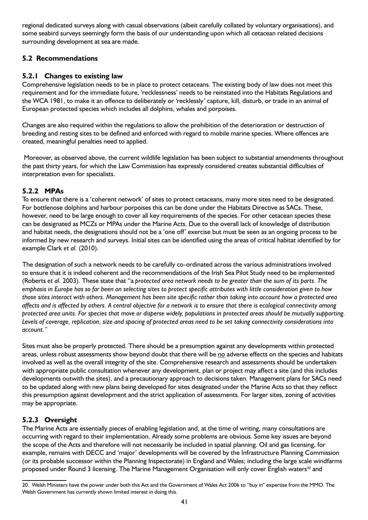regional dedicated surveys along with casual observations (albeit carefully collated by voluntary organisations), and some seabird surveys seemingly form the basis of our understanding upon which all cetacean related decisions surrounding development at sea are made.

## **5.2 Recommendations**

## **5.2.1 Changes to existing law**

Comprehensive legislation needs to be in place to protect cetaceans. The existing body of law does not meet this requirement and for the immediate future, 'recklessness' needs to be reinstated into the Habitats Regulations and the WCA 1981, to make it an offence to deliberately or 'recklessly' capture, kill, disturb, or trade in an animal of European protected species which includes all dolphins, whales and porpoises.

Changes are also required within the regulations to allow the prohibition of the deterioration or destruction of breeding and resting sites to be defined and enforced with regard to mobile marine species. Where offences are created, meaningful penalties need to applied.

Moreover, as observed above, the current wildlife legislation has been subject to substantial amendments throughout the past thirty years, for which the Law Commission has expressly considered creates substantial difficulties of interpretation even for specialists.

### **5.2.2 MPAs**

To ensure that there is a 'coherent network' of sites to protect cetaceans, many more sites need to be designated. For bottlenose dolphins and harbour porpoises this can be done under the Habitats Directive as SACs. These, however, need to be large enough to cover all key requirements of the species. For other cetacean species these can be designated as MCZs or MPAs under the Marine Acts. Due to the overall lack of knowledge of distribution and habitat needs, the designations should not be a 'one off' exercise but must be seen as an ongoing process to be informed by new research and surveys. Initial sites can be identified using the areas of critical habitat identified by for example Clark *et al.* (2010).

The designation of such a network needs to be carefully co-ordinated across the various administrations involved to ensure that it is indeed coherent and the recommendations of the Irish Sea Pilot Study need to be implemented (Roberts *et al.* 2003). These state that "a *protected area network needs to be greater than the sum of its parts. The emphasis in Europe has so far been on selecting sites to protect specific attributes with little consideration given to how those sites interact with others. Management has been site specific rather than taking into account how a protected area affects and is affected by others. A central objective for a network is to ensure that there is ecological connectivity among protected area units. For species that move or disperse widely, populations in protected areas should be mutually supporting. Levels of coverage, replication, size and spacing of protected areas need to be set taking connectivity considerations into account."*

Sites must also be properly protected. There should be a presumption against any developments within protected areas, unless robust assessments show beyond doubt that there will be no adverse effects on the species and habitats involved as well as the overall integrity of the site. Comprehensive research and assessments should be undertaken with appropriate public consultation whenever any development, plan or project may affect a site (and this includes developments outwith the sites), and a precautionary approach to decisions taken. Management plans for SACs need to be updated along with new plans being developed for sites designated under the Marine Acts so that they reflect this presumption against development and the strict application of assessments. For larger sites, zoning of activities may be appropriate.

## **5.2.3 Oversight**

The Marine Acts are essentially pieces of enabling legislation and, at the time of writing, many consultations are occurring with regard to their implementation. Already some problems are obvious. Some key issues are beyond the scope of the Acts and therefore will not necessarily be included in spatial planning. Oil and gas licensing, for example, remains with DECC and 'major' developments will be covered by the Infrastructure Planning Commission (or its probable successor within the Planning Inspectorate) in England and Wales; including the large scale windfarms proposed under Round 3 licensing. The Marine Management Organisation will only cover English waters<sup>20</sup> and

<sup>20.</sup> Welsh Ministers have the power under both this Act and the Government of Wales Act 2006 to "buy in" expertise from the MMO. The Welsh Government has currently shown limited interest in doing this.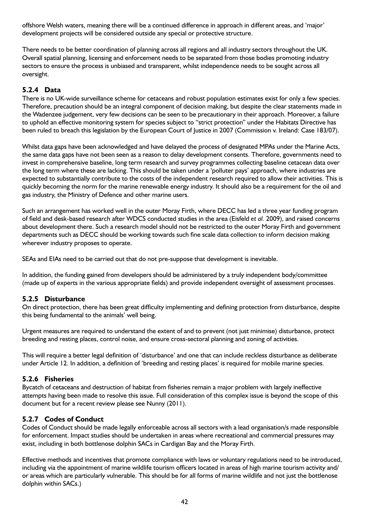offshore Welsh waters, meaning there will be a continued difference in approach in different areas, and 'major' development projects will be considered outside any special or protective structure.

There needs to be better coordination of planning across all regions and all industry sectors throughout the UK. Overall spatial planning, licensing and enforcement needs to be separated from those bodies promoting industry sectors to ensure the process is unbiased and transparent, whilst independence needs to be sought across all oversight.

## **5.2.4 Data**

There is no UK-wide surveillance scheme for cetaceans and robust population estimates exist for only a few species. Therefore, precaution should be an integral component of decision making, but despite the clear statements made in the Wadenzee judgement, very few decisions can be seen to be precautionary in their approach. Moreover, a failure to uphold an effective monitoring system for species subject to "strict protection" under the Habitats Directive has been ruled to breach this legislation by the European Court of Justice in 2007 (Commission v. Ireland: Case 183/07).

Whilst data gaps have been acknowledged and have delayed the process of designated MPAs under the Marine Acts, the same data gaps have not been seen as a reason to delay development consents. Therefore, governments need to invest in comprehensive baseline, long term research and survey programmes collecting baseline cetacean data over the long term where these are lacking. This should be taken under a 'polluter pays' approach, where industries are expected to substantially contribute to the costs of the independent research required to allow their activities. This is quickly becoming the norm for the marine renewable energy industry. It should also be a requirement for the oil and gas industry, the Ministry of Defence and other marine users.

Such an arrangement has worked well in the outer Moray Firth, where DECC has led a three year funding program of field and desk-based research after WDCS conducted studies in the area (Eisfeld *et al.* 2009), and raised concerns about development there. Such a research model should not be restricted to the outer Moray Firth and government departments such as DECC should be working towards such fine scale data collection to inform decision making wherever industry proposes to operate.

SEAs and EIAs need to be carried out that do not pre-suppose that development is inevitable.

In addition, the funding gained from developers should be administered by a truly independent body/committee (made up of experts in the various appropriate fields) and provide independent oversight of assessment processes.

## **5.2.5 Disturbance**

On direct protection, there has been great difficulty implementing and defining protection from disturbance, despite this being fundamental to the animals' well being.

Urgent measures are required to understand the extent of and to prevent (not just minimise) disturbance, protect breeding and resting places, control noise, and ensure cross-sectoral planning and zoning of activities.

This will require a better legal definition of 'disturbance' and one that can include reckless disturbance as deliberate under Article 12. In addition, a definition of 'breeding and resting places' is required for mobile marine species.

#### **5.2.6 Fisheries**

Bycatch of cetaceans and destruction of habitat from fisheries remain a major problem with largely ineffective attempts having been made to resolve this issue. Full consideration of this complex issue is beyond the scope of this document but for a recent review please see Nunny (2011).

## **5.2.7 Codes of Conduct**

Codes of Conduct should be made legally enforceable across all sectors with a lead organisation/s made responsible for enforcement. Impact studies should be undertaken in areas where recreational and commercial pressures may exist, including in both bottlenose dolphin SACs in Cardigan Bay and the Moray Firth.

Effective methods and incentives that promote compliance with laws or voluntary regulations need to be introduced, including via the appointment of marine wildlife tourism officers located in areas of high marine tourism activity and/ or areas which are particularly vulnerable. This should be for all forms of marine wildlife and not just the bottlenose dolphin within SACs.)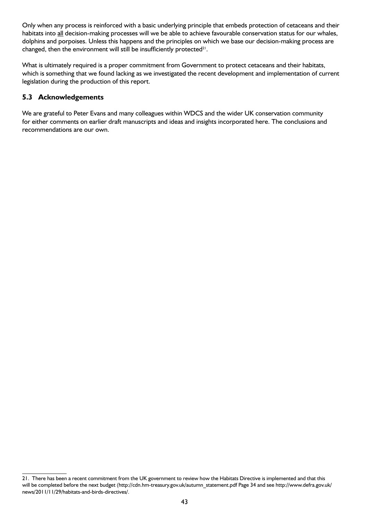Only when any process is reinforced with a basic underlying principle that embeds protection of cetaceans and their habitats into all decision-making processes will we be able to achieve favourable conservation status for our whales, dolphins and porpoises. Unless this happens and the principles on which we base our decision-making process are changed, then the environment will still be insufficiently protected $21$ .

What is ultimately required is a proper commitment from Government to protect cetaceans and their habitats, which is something that we found lacking as we investigated the recent development and implementation of current legislation during the production of this report.

## **5.3 Acknowledgements**

We are grateful to Peter Evans and many colleagues within WDCS and the wider UK conservation community for either comments on earlier draft manuscripts and ideas and insights incorporated here. The conclusions and recommendations are our own.

<sup>21.</sup> There has been a recent commitment from the UK government to review how the Habitats Directive is implemented and that this will be completed before the next budget (http://cdn.hm-treasury.gov.uk/autumn\_statement.pdf Page 34 and see http://www.defra.gov.uk/ news/2011/11/29/habitats-and-birds-directives/.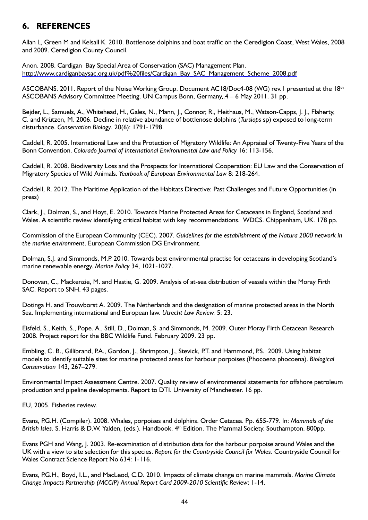## **6. REFERENCES**

Allan L, Green M and Kelsall K. 2010. Bottlenose dolphins and boat traffic on the Ceredigion Coast, West Wales, 2008 and 2009. Ceredigion County Council.

Anon. 2008. Cardigan Bay Special Area of Conservation (SAC) Management Plan. http://www.cardiganbaysac.org.uk/pdf%20files/Cardigan\_Bay\_SAC\_Management\_Scheme\_2008.pdf

ASCOBANS. 2011. Report of the Noise Working Group. Document AC18/Doc4-08 (WG) rev.1 presented at the 18th ASCOBANS Advisory Committee Meeting. UN Campus Bonn, Germany,.4 – 6 May 2011. 31 pp.

Bejder, L., Samuels, A., Whitehead, H., Gales, N., Mann, J., Connor, R., Heithaus, M., Watson-Capps, J. J., Flaherty, C. and Krützen, M. 2006. Decline in relative abundance of bottlenose dolphins (*Tursiops* sp) exposed to long-term disturbance. *Conservation Biology*. 20(6): 1791-1798.

Caddell, R. 2005. International Law and the Protection of Migratory Wildlife: An Appraisal of Twenty-Five Years of the Bonn Convention. *Colorado Journal of International Environmental Law and Policy* 16: 113-156.

Caddell, R. 2008. Biodiversity Loss and the Prospects for International Cooperation: EU Law and the Conservation of Migratory Species of Wild Animals. *Yearbook of European Environmental Law* 8: 218-264.

Caddell, R. 2012. The Maritime Application of the Habitats Directive: Past Challenges and Future Opportunities (in press)

Clark, J., Dolman, S., and Hoyt, E. 2010. Towards Marine Protected Areas for Cetaceans in England, Scotland and Wales. A scientific review identifying critical habitat with key recommendations. WDCS. Chippenham, UK. 178 pp.

Commission of the European Community (CEC). 2007. *Guidelines for the establishment of the Natura 2000 network in the marine environment*. European Commission DG Environment.

Dolman, S.J. and Simmonds, M.P. 2010. Towards best environmental practise for cetaceans in developing Scotland's marine renewable energy. *Marine Policy* 34, 1021-1027.

Donovan, C., Mackenzie, M. and Hastie, G. 2009. Analysis of at-sea distribution of vessels within the Moray Firth SAC. Report to SNH. 43 pages.

Dotinga H. and Trouwborst A. 2009. The Netherlands and the designation of marine protected areas in the North Sea. Implementing international and European law. *Utrecht Law Review.* 5: 23.

Eisfeld, S., Keith, S., Pope. A., Still, D., Dolman, S. and Simmonds, M. 2009. Outer Moray Firth Cetacean Research 2008. Project report for the BBC Wildlife Fund. February 2009. 23 pp.

Embling, C. B., Gillibrand, P.A., Gordon, J., Shrimpton, J., Stevick, P.T. and Hammond, P.S. 2009. Using habitat models to identify suitable sites for marine protected areas for harbour porpoises (Phocoena phocoena). *Biological Conservation* 143, 267–279.

Environmental Impact Assessment Centre. 2007. Quality review of environmental statements for offshore petroleum production and pipeline developments. Report to DTI. University of Manchester. 16 pp.

EU, 2005. Fisheries review.

Evans, P.G.H. (Compiler). 2008. Whales, porpoises and dolphins. Order Cetacea. Pp. 655-779. In: *Mammals of the British Isles*. S. Harris & D.W. Yalden, (eds.). Handbook. 4th Edition. The Mammal Society. Southampton. 800pp.

Evans PGH and Wang, J. 2003. Re-examination of distribution data for the harbour porpoise around Wales and the UK with a view to site selection for this species. *Report for the Countryside Council for Wales.* Countryside Council for Wales Contract Science Report No 634: 1-116.

Evans, P.G.H., Boyd, I.L., and MacLeod, C.D. 2010. Impacts of climate change on marine mammals. *Marine Climate Change Impacts Partnership (MCCIP) Annual Report Card 2009-2010 Scientific Review*: 1-14.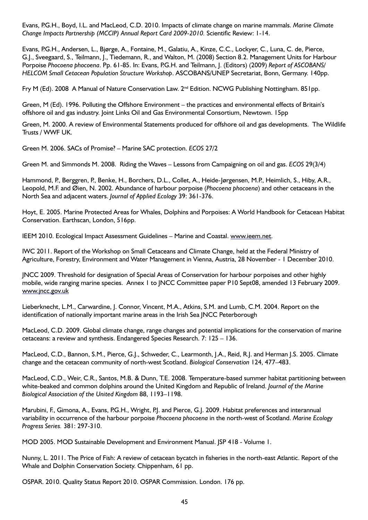Evans, P.G.H., Boyd, I.L. and MacLeod, C.D. 2010. Impacts of climate change on marine mammals. *Marine Climate Change Impacts Partnership (MCCIP) Annual Report Card 2009-2010.* Scientific Review: 1-14.

Evans, P.G.H., Andersen, L., Bjørge, A., Fontaine, M., Galatiu, A., Kinze, C.C., Lockyer, C., Luna, C. de, Pierce, G.J., Sveegaard, S., Teilmann, J., Tiedemann, R., and Walton, M. (2008) Section 8.2. Management Units for Harbour Porpoise *Phocoena phocoena*. Pp. 61-85. In: Evans, P.G.H. and Teilmann, J. (Editors) (2009) *Report of ASCOBANS/ HELCOM Small Cetacean Population Structure Workshop*. ASCOBANS/UNEP Secretariat, Bonn, Germany. 140pp.

Fry M (Ed). 2008 A Manual of Nature Conservation Law. 2<sup>nd</sup> Edition. NCWG Publishing Nottingham. 851pp.

Green, M (Ed). 1996. Polluting the Offshore Environment – the practices and environmental effects of Britain's offshore oil and gas industry. Joint Links Oil and Gas Environmental Consortium, Newtown. 15pp

Green, M. 2000. A review of Environmental Statements produced for offshore oil and gas developments. The Wildlife Trusts / WWF UK.

Green M. 2006. SACs of Promise? – Marine SAC protection. *ECOS* 27/2

Green M. and Simmonds M. 2008. Riding the Waves – Lessons from Campaigning on oil and gas. *ECOS* 29(3/4)

Hammond, P., Berggren, P., Benke, H., Borchers, D.L., Collet, A., Heide-Jørgensen, M.P., Heimlich, S., Hiby, A.R., Leopold, M.F. and Øien, N. 2002. Abundance of harbour porpoise (*Phocoena phocoena*) and other cetaceans in the North Sea and adjacent waters. *Journal of Applied Ecology* 39: 361-376.

Hoyt, E. 2005. Marine Protected Areas for Whales, Dolphins and Porpoises: A World Handbook for Cetacean Habitat Conservation. Earthscan, London, 516pp.

IEEM 2010. Ecological Impact Assessment Guidelines – Marine and Coastal. www.ieem.net.

IWC 2011. Report of the Workshop on Small Cetaceans and Climate Change, held at the Federal Ministry of Agriculture, Forestry, Environment and Water Management in Vienna, Austria, 28 November - 1 December 2010.

JNCC 2009. Threshold for designation of Special Areas of Conservation for harbour porpoises and other highly mobile, wide ranging marine species. Annex 1 to JNCC Committee paper P10 Sept08, amended 13 February 2009. www.jncc.gov.uk

Lieberknecht, L.M., Carwardine, J. Connor, Vincent, M.A., Atkins, S.M. and Lumb, C.M. 2004. Report on the identification of nationally important marine areas in the Irish Sea JNCC Peterborough

MacLeod, C.D. 2009. Global climate change, range changes and potential implications for the conservation of marine cetaceans: a review and synthesis. Endangered Species Research. 7: 125 – 136.

MacLeod, C.D., Bannon, S.M., Pierce, G.J., Schweder, C., Learmonth, J.A., Reid, R.J. and Herman J.S. 2005. Climate change and the cetacean community of north-west Scotland. *Biological Conservation* 124, 477–483.

MacLeod, C.D., Weir, C.R., Santos, M.B. & Dunn, T.E. 2008. Temperature-based summer habitat partitioning between white-beaked and common dolphins around the United Kingdom and Republic of Ireland. *Journal of the Marine Biological Association of the United Kingdom* 88, 1193–1198.

Marubini, F., Gimona, A., Evans, P.G.H., Wright, P.J. and Pierce, G.J. 2009. Habitat preferences and interannual variability in occurrence of the harbour porpoise *Phocoena phocoena* in the north-west of Scotland. *Marine Ecology Progress Series.* 381: 297-310.

MOD 2005. MOD Sustainable Development and Environment Manual. JSP 418 - Volume 1.

Nunny, L. 2011. The Price of Fish: A review of cetacean bycatch in fisheries in the north-east Atlantic. Report of the Whale and Dolphin Conservation Society. Chippenham, 61 pp.

OSPAR. 2010. Quality Status Report 2010. OSPAR Commission. London. 176 pp.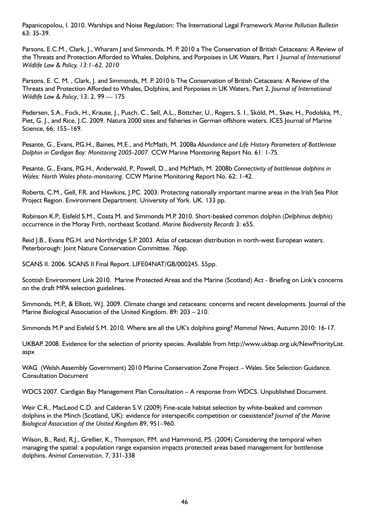Papanicopolou, I. 2010. Warships and Noise Regulation: The International Legal Framework *Marine Pollution Bulletin* 63: 35-39.

Parsons, E.C.M., Clark, J., Wharam J and Simmonds, M. P. 2010 a The Conservation of British Cetaceans: A Review of the Threats and Protection Afforded to Whales, Dolphins, and Porpoises in UK Waters, Part 1 *Journal of International Wildlife Law & Policy, 13:1–62, 2010*

Parsons, E. C. M. , Clark, J. and Simmonds, M. P. 2010 b The Conservation of British Cetaceans: A Review of the Threats and Protection Afforded to Whales, Dolphins, and Porpoises in UK Waters, Part 2, *Journal of International Wildlife Law & Policy*, 13: 2, 99 — 175

Pedersen, S.A., Fock, H., Krause, J., Pusch, C., Sell, A.L., Böttcher, U., Rogers, S. I., Sköld, M., Skøv, H., Podolska, M., Piet, G. J., and Rice, J.C. 2009. Natura 2000 sites and fisheries in German offshore waters. ICES Journal of Marine Science, 66: 155–169.

Pesante, G., Evans, P.G.H., Baines, M.E., and McMath, M. 2008a *Abundance and Life History Parameters of Bottlenose Dolphin in Cardigan Bay: Monitoring 2005-2007.* CCW Marine Monitoring Report No. 61: 1-75.

Pesante, G., Evans, P.G.H., Anderwald, P., Powell, D., and McMath, M. 2008b *Connectivity of bottlenose dolphins in Wales: North Wales photo-monitoring*. CCW Marine Monitoring Report No. 62: 1-42.

Roberts, C.M., Gell, F.R. and Hawkins, J.P.C. 2003. Protecting nationally important marine areas in the Irish Sea Pilot Project Region. Environment Department. University of York. UK. 133 pp.

Robinson K.P., Eisfeld S.M., Costa M. and Simmonds M.P. 2010. Short-beaked common dolphin (*Delphinus delphis*) occurrence in the Moray Firth, northeast Scotland. *Marine Biodiversity Records* 3: e55.

Reid J.B., Evans P.G.H. and Northridge S.P. 2003. Atlas of cetacean distribution in north-west European waters. Peterborough: Joint Nature Conservation Committee. 76pp.

SCANS II. 2006. SCANS II Final Report. LIFE04NAT/GB/000245. 55pp.

Scottish Environment Link 2010. Marine Protected Areas and the Marine (Scotland) Act - Briefing on Link's concerns on the draft MPA selection guidelines.

Simmonds, M.P., & Elliott, W.J. 2009. Climate change and cetaceans: concerns and recent developments. Journal of the Marine Biological Association of the United Kingdom. 89: 203 – 210.

Simmonds M.P and Eisfeld S.M. 2010. Where are all the UK's dolphins going? *Mammal News*, Autumn 2010: 16-17.

UKBAP. 2008. Evidence for the selection of priority species. Available from http://www.ukbap.org.uk/NewPriorityList. aspx

WAG (Welsh Assembly Government) 2010 Marine Conservation Zone Project – Wales. Site Selection Guidance. Consultation Document

WDCS 2007. Cardigan Bay Management Plan Consultation – A response from WDCS. Unpublished Document.

Weir C.R., MacLeod C.D. and Calderan S.V. (2009) Fine-scale habitat selection by white-beaked and common dolphins in the Minch (Scotland, UK): evidence for interspecific competition or coexistence? *Journal of the Marine Biological Association of the United Kingdom* 89, 951–960.

Wilson, B., Reid, R.J., Grellier, K., Thompson, P.M. and Hammond, P.S. (2004) Considering the temporal when managing the spatial: a population range expansion impacts protected areas based management for bottlenose dolphins. *Animal Conservation*, 7, 331-338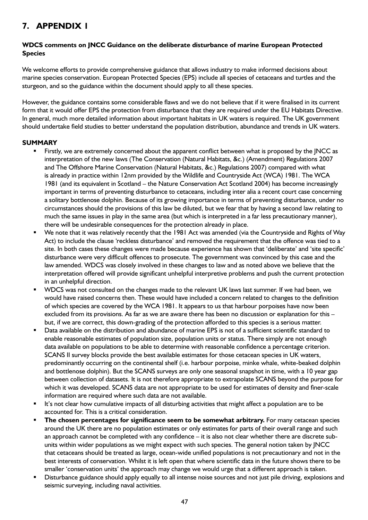## **7. APPENDIX 1**

#### **WDCS comments on JNCC Guidance on the deliberate disturbance of marine European Protected Species**

We welcome efforts to provide comprehensive guidance that allows industry to make informed decisions about marine species conservation. European Protected Species (EPS) include all species of cetaceans and turtles and the sturgeon, and so the guidance within the document should apply to all these species.

However, the guidance contains some considerable flaws and we do not believe that if it were finalised in its current form that it would offer EPS the protection from disturbance that they are required under the EU Habitats Directive. In general, much more detailed information about important habitats in UK waters is required. The UK government should undertake field studies to better understand the population distribution, abundance and trends in UK waters.

#### **SUMMARY**

- Firstly, we are extremely concerned about the apparent conflict between what is proposed by the JNCC as interpretation of the new laws (The Conservation (Natural Habitats, &c.) (Amendment) Regulations 2007 and The Offshore Marine Conservation (Natural Habitats, &c.) Regulations 2007) compared with what is already in practice within 12nm provided by the Wildlife and Countryside Act (WCA) 1981. The WCA 1981 (and its equivalent in Scotland – the Nature Conservation Act Scotland 2004) has become increasingly important in terms of preventing disturbance to cetaceans, including inter alia a recent court case concerning a solitary bottlenose dolphin. Because of its growing importance in terms of preventing disturbance, under no circumstances should the provisions of this law be diluted, but we fear that by having a second law relating to much the same issues in play in the same area (but which is interpreted in a far less precautionary manner), there will be undesirable consequences for the protection already in place.
- We note that it was relatively recently that the 1981 Act was amended (via the Countryside and Rights of Way Act) to include the clause 'reckless disturbance' and removed the requirement that the offence was tied to a site. In both cases these changes were made because experience has shown that 'deliberate' and 'site specific' disturbance were very difficult offences to prosecute. The government was convinced by this case and the law amended. WDCS was closely involved in these changes to law and as noted above we believe that the interpretation offered will provide significant unhelpful interpretive problems and push the current protection in an unhelpful direction.
- WDCS was not consulted on the changes made to the relevant UK laws last summer. If we had been, we would have raised concerns then. These would have included a concern related to changes to the definition of which species are covered by the WCA 1981. It appears to us that harbour porpoises have now been excluded from its provisions. As far as we are aware there has been no discussion or explanation for this – but, if we are correct, this down-grading of the protection afforded to this species is a serious matter.
- Data available on the distribution and abundance of marine EPS is not of a sufficient scientific standard to enable reasonable estimates of population size, population units or status. There simply are not enough data available on populations to be able to determine with reasonable confidence a percentage criterion. SCANS II survey blocks provide the best available estimates for those cetacean species in UK waters, predominantly occurring on the continental shelf (i.e. harbour porpoise, minke whale, white-beaked dolphin and bottlenose dolphin). But the SCANS surveys are only one seasonal snapshot in time, with a 10 year gap between collection of datasets. It is not therefore appropriate to extrapolate SCANS beyond the purpose for which it was developed. SCANS data are not appropriate to be used for estimates of density and finer-scale information are required where such data are not available.
- It's not clear how cumulative impacts of all disturbing activities that might affect a population are to be accounted for. This is a critical consideration.
- **The chosen percentages for significance seem to be somewhat arbitrary.** For many cetacean species around the UK there are no population estimates or only estimates for parts of their overall range and such an approach cannot be completed with any confidence – it is also not clear whether there are discrete subunits within wider populations as we might expect with such species. The general notion taken by JNCC that cetaceans should be treated as large, ocean-wide unified populations is not precautionary and not in the best interests of conservation. Whilst it is left open that where scientific data in the future shows there to be smaller 'conservation units' the approach may change we would urge that a different approach is taken.
- Disturbance guidance should apply equally to all intense noise sources and not just pile driving, explosions and seismic surveying, including naval activities.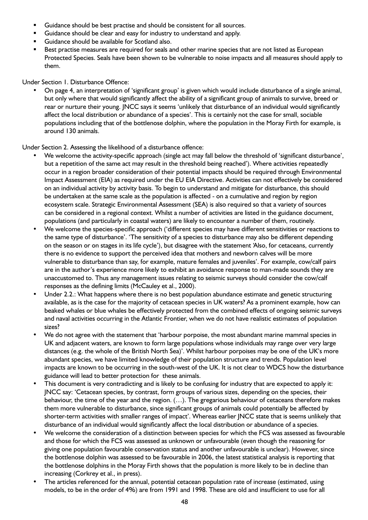- Guidance should be best practise and should be consistent for all sources.
- Guidance should be clear and easy for industry to understand and apply.
- Guidance should be available for Scotland also.
- Best practise measures are required for seals and other marine species that are not listed as European Protected Species. Seals have been shown to be vulnerable to noise impacts and all measures should apply to them.

Under Section 1. Disturbance Offence:

On page 4, an interpretation of 'significant group' is given which would include disturbance of a single animal, but only where that would significantly affect the ability of a significant group of animals to survive, breed or rear or nurture their young. JNCC says it seems 'unlikely that disturbance of an individual would significantly affect the local distribution or abundance of a species'. This is certainly not the case for small, sociable populations including that of the bottlenose dolphin, where the population in the Moray Firth for example, is around 130 animals.

Under Section 2. Assessing the likelihood of a disturbance offence:

- We welcome the activity-specific approach (single act may fall below the threshold of 'significant disturbance', but a repetition of the same act may result in the threshold being reached'). Where activities repeatedly occur in a region broader consideration of their potential impacts should be required through Environmental Impact Assessment (EIA) as required under the EU EIA Directive. Activities can not effectively be considered on an individual activity by activity basis. To begin to understand and mitigate for disturbance, this should be undertaken at the same scale as the population is affected - on a cumulative and region by region ecosystem scale. Strategic Environmental Assessment (SEA) is also required so that a variety of sources can be considered in a regional context. Whilst a number of activities are listed in the guidance document, populations (and particularly in coastal waters) are likely to encounter a number of them, routinely.
- We welcome the species-specific approach ('different species may have different sensitivities or reactions to the same type of disturbance'. 'The sensitivity of a species to disturbance may also be different depending on the season or on stages in its life cycle'), but disagree with the statement 'Also, for cetaceans, currently there is no evidence to support the perceived idea that mothers and newborn calves will be more vulnerable to disturbance than say, for example, mature females and juveniles'. For example, cow/calf pairs are in the author's experience more likely to exhibit an avoidance response to man-made sounds they are unaccustomed to. Thus any management issues relating to seismic surveys should consider the cow/calf responses as the defining limits (McCauley et al., 2000).
- Under 2.2.: What happens where there is no best population abundance estimate and genetic structuring available, as is the case for the majority of cetacean species in UK waters? As a prominent example, how can beaked whales or blue whales be effectively protected from the combined effects of ongoing seismic surveys and naval activities occurring in the Atlantic Frontier, when we do not have realistic estimates of population sizes?
- We do not agree with the statement that 'harbour porpoise, the most abundant marine mammal species in UK and adjacent waters, are known to form large populations whose individuals may range over very large distances (e.g. the whole of the British North Sea)'. Whilst harbour porpoises may be one of the UK's more abundant species, we have limited knowledge of their population structure and trends. Population level impacts are known to be occurring in the south-west of the UK. It is not clear to WDCS how the disturbance guidance will lead to better protection for these animals.
- This document is very contradicting and is likely to be confusing for industry that are expected to apply it: JNCC say: 'Cetacean species, by contrast, form groups of various sizes, depending on the species, their behaviour, the time of the year and the region. (…). The gregarious behaviour of cetaceans therefore makes them more vulnerable to disturbance, since significant groups of animals could potentially be affected by shorter-term activities with smaller ranges of impact'. Whereas earlier JNCC state that is seems unlikely that disturbance of an individual would significantly affect the local distribution or abundance of a species.
- We welcome the consideration of a distinction between species for which the FCS was assessed as favourable and those for which the FCS was assessed as unknown or unfavourable (even though the reasoning for giving one population favourable conservation status and another unfavourable is unclear). However, since the bottlenose dolphin was assessed to be favourable in 2006, the latest statistical analysis is reporting that the bottlenose dolphins in the Moray Firth shows that the population is more likely to be in decline than increasing (Corkrey et al., in press).
- The articles referenced for the annual, potential cetacean population rate of increase (estimated, using models, to be in the order of 4%) are from 1991 and 1998. These are old and insufficient to use for all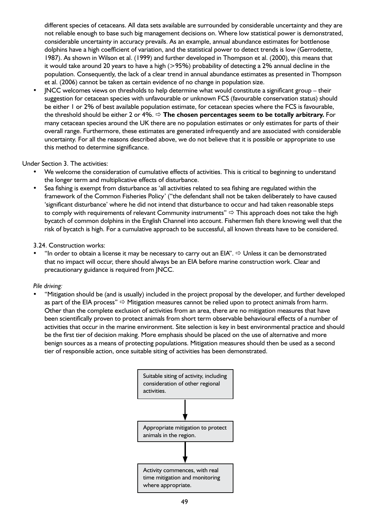different species of cetaceans. All data sets available are surrounded by considerable uncertainty and they are not reliable enough to base such big management decisions on. Where low statistical power is demonstrated, considerable uncertainty in accuracy prevails. As an example, annual abundance estimates for bottlenose dolphins have a high coefficient of variation, and the statistical power to detect trends is low (Gerrodette, 1987). As shown in Wilson et al. (1999) and further developed in Thompson et al. (2000), this means that it would take around 20 years to have a high ( $>95%$ ) probability of detecting a 2% annual decline in the population. Consequently, the lack of a clear trend in annual abundance estimates as presented in Thompson et al. (2006) cannot be taken as certain evidence of no change in population size.

JNCC welcomes views on thresholds to help determine what would constitute a significant group – their suggestion for cetacean species with unfavourable or unknown FCS (favourable conservation status) should be either 1 or 2% of best available population estimate, for cetacean species where the FCS is favourable, the threshold should be either 2 or 4%. **The chosen percentages seem to be totally arbitrary.** For many cetacean species around the UK there are no population estimates or only estimates for parts of their overall range. Furthermore, these estimates are generated infrequently and are associated with considerable uncertainty. For all the reasons described above, we do not believe that it is possible or appropriate to use this method to determine significance.

#### Under Section 3. The activities:

- We welcome the consideration of cumulative effects of activities. This is critical to beginning to understand the longer term and multiplicative effects of disturbance.
- Sea fishing is exempt from disturbance as 'all activities related to sea fishing are regulated within the framework of the Common Fisheries Policy' ("the defendant shall not be taken deliberately to have caused 'significant disturbance' where he did not intend that disturbance to occur and had taken reasonable steps to comply with requirements of relevant Community instruments"  $\Rightarrow$  This approach does not take the high bycatch of common dolphins in the English Channel into account. Fishermen fish there knowing well that the risk of bycatch is high. For a cumulative approach to be successful, all known threats have to be considered.

#### 3.24. Construction works:

"In order to obtain a license it may be necessary to carry out an EIA".  $\Rightarrow$  Unless it can be demonstrated that no impact will occur, there should always be an EIA before marine construction work. Clear and precautionary guidance is required from JNCC.

#### *Pile driving:*

• "Mitigation should be (and is usually) included in the project proposal by the developer, and further developed as part of the EIA process"  $\Rightarrow$  Mitigation measures cannot be relied upon to protect animals from harm. Other than the complete exclusion of activities from an area, there are no mitigation measures that have been scientifically proven to protect animals from short term observable behavioural effects of a number of activities that occur in the marine environment. Site selection is key in best environmental practice and should be the first tier of decision making. More emphasis should be placed on the use of alternative and more benign sources as a means of protecting populations. Mitigation measures should then be used as a second tier of responsible action, once suitable siting of activities has been demonstrated.

![](_page_48_Figure_9.jpeg)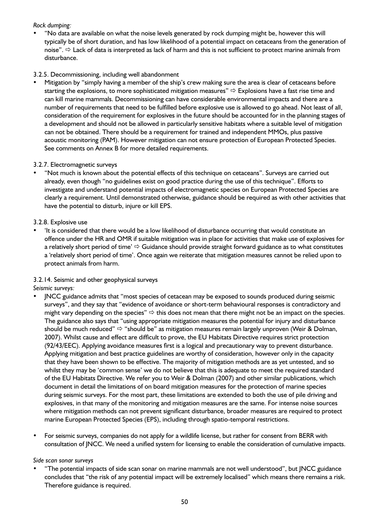#### *Rock dumping:*

"No data are available on what the noise levels generated by rock dumping might be, however this will typically be of short duration, and has low likelihood of a potential impact on cetaceans from the generation of noise".  $\Rightarrow$  Lack of data is interpreted as lack of harm and this is not sufficient to protect marine animals from disturbance.

#### 3.2.5. Decommissioning, including well abandonment

Mitigation by "simply having a member of the ship's crew making sure the area is clear of cetaceans before starting the explosions, to more sophisticated mitigation measures"  $\Rightarrow$  Explosions have a fast rise time and can kill marine mammals. Decommissioning can have considerable environmental impacts and there are a number of requirements that need to be fulfilled before explosive use is allowed to go ahead. Not least of all, consideration of the requirement for explosives in the future should be accounted for in the planning stages of a development and should not be allowed in particularly sensitive habitats where a suitable level of mitigation can not be obtained. There should be a requirement for trained and independent MMOs, plus passive acoustic monitoring (PAM). However mitigation can not ensure protection of European Protected Species. See comments on Annex B for more detailed requirements.

#### 3.2.7. Electromagnetic surveys

"Not much is known about the potential effects of this technique on cetaceans". Surveys are carried out already, even though "no guidelines exist on good practice during the use of this technique". Efforts to investigate and understand potential impacts of electromagnetic species on European Protected Species are clearly a requirement. Until demonstrated otherwise, guidance should be required as with other activities that have the potential to disturb, injure or kill EPS.

#### 3.2.8. Explosive use

'It is considered that there would be a low likelihood of disturbance occurring that would constitute an offence under the HR and OMR if suitable mitigation was in place for activities that make use of explosives for a relatively short period of time'  $\Rightarrow$  Guidance should provide straight forward guidance as to what constitutes a 'relatively short period of time'. Once again we reiterate that mitigation measures cannot be relied upon to protect animals from harm.

#### 3.2.14. Seismic and other geophysical surveys

*Seismic surveys:*

- JNCC guidance admits that "most species of cetacean may be exposed to sounds produced during seismic surveys", and they say that "evidence of avoidance or short-term behavioural responses is contradictory and might vary depending on the species"  $\Rightarrow$  this does not mean that there might not be an impact on the species. The guidance also says that "using appropriate mitigation measures the potential for injury and disturbance should be much reduced"  $\Rightarrow$  "should be" as mitigation measures remain largely unproven (Weir & Dolman, 2007). Whilst cause and effect are difficult to prove, the EU Habitats Directive requires strict protection (92/43/EEC). Applying avoidance measures first is a logical and precautionary way to prevent disturbance. Applying mitigation and best practice guidelines are worthy of consideration, however only in the capacity that they have been shown to be effective. The majority of mitigation methods are as yet untested, and so whilst they may be 'common sense' we do not believe that this is adequate to meet the required standard of the EU Habitats Directive. We refer you to Weir & Dolman (2007) and other similar publications, which document in detail the limitations of on board mitigation measures for the protection of marine species during seismic surveys. For the most part, these limitations are extended to both the use of pile driving and explosives, in that many of the monitoring and mitigation measures are the same. For intense noise sources where mitigation methods can not prevent significant disturbance, broader measures are required to protect marine European Protected Species (EPS), including through spatio-temporal restrictions.
- For seismic surveys, companies do not apply for a wildlife license, but rather for consent from BERR with consultation of JNCC. We need a unified system for licensing to enable the consideration of cumulative impacts.

#### *Side scan sonar surveys*

"The potential impacts of side scan sonar on marine mammals are not well understood", but JNCC guidance concludes that "the risk of any potential impact will be extremely localised" which means there remains a risk. Therefore guidance is required.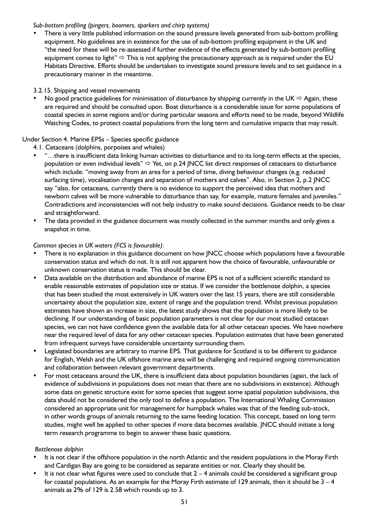#### *Sub-bottom profiling (pingers, boomers, sparkers and chirp systems)*

There is very little published information on the sound pressure levels generated from sub-bottom profiling equipment. No guidelines are in existence for the use of sub-bottom profiling equipment in the UK and "the need for these will be re-assessed if further evidence of the effects generated by sub-bottom profiling equipment comes to light"  $\Rightarrow$  This is not applying the precautionary approach as is required under the EU Habitats Directive. Efforts should be undertaken to investigate sound pressure levels and to set guidance in a precautionary manner in the meantime.

#### 3.2.15. Shipping and vessel movements

No good practice guidelines for minimisation of disturbance by shipping currently in the UK  $\Rightarrow$  Again, these are required and should be consulted upon. Boat disturbance is a considerable issue for some populations of coastal species in some regions and/or during particular seasons and efforts need to be made, beyond Wildlife Watching Codes, to protect coastal populations from the long term and cumulative impacts that may result.

#### Under Section 4. Marine EPSs – Species specific guidance

- 4.1. Cetaceans (dolphins, porpoises and whales)
- "...there is insufficient data linking human activities to disturbance and to its long-term effects at the species, population or even individual levels"  $\Rightarrow$  Yet, on p.24 JNCC list direct responses of cetaceans to disturbance which include: "moving away from an area for a period of time, diving behaviour changes (e.g. reduced surfacing time), vocalisation changes and separation of mothers and calves". Also, in Section 2, p.2 JNCC say "also, for cetaceans, currently there is no evidence to support the perceived idea that mothers and newborn calves will be more vulnerable to disturbance than say, for example, mature females and juveniles." Contradictions and inconsistencies will not help industry to make sound decisions. Guidance needs to be clear and straightforward.
- The data provided in the guidance document was mostly collected in the summer months and only gives a snapshot in time.

#### *Common species in UK waters (FCS is favourable):*

- There is no explanation in this guidance document on how JNCC choose which populations have a favourable conservation status and which do not. It is still not apparent how the choice of favourable, unfavourable or unknown conservation status is made. This should be clear.
- Data available on the distribution and abundance of marine EPS is not of a sufficient scientific standard to enable reasonable estimates of population size or status. If we consider the bottlenose dolphin, a species that has been studied the most extensively in UK waters over the last 15 years, there are still considerable uncertainty about the population size, extent of range and the population trend. Whilst previous population estimates have shown an increase in size, the latest study shows that the population is more likely to be declining. If our understanding of basic population parameters is not clear for our most studied cetacean species, we can not have confidence given the available data for all other cetacean species. We have nowhere near the required level of data for any other cetacean species. Population estimates that have been generated from infrequent surveys have considerable uncertainty surrounding them.
- Legislated boundaries are arbitrary to marine EPS. That guidance for Scotland is to be different to guidance for English, Welsh and the UK offshore marine area will be challenging and required ongoing communication and collaboration between relevant government departments.
- For most cetaceans around the UK, there is insufficient data about population boundaries (again, the lack of evidence of subdivisions in populations does not mean that there are no subdivisions in existence). Although some data on genetic structure exist for some species that suggest some spatial population subdivisions, this data should not be considered the only tool to define a population. The International Whaling Commission considered an appropriate unit for management for humpback whales was that of the feeding sub-stock, in other words groups of animals returning to the same feeding location. This concept, based on long term studies, might well be applied to other species if more data becomes available. JNCC should initiate a long term research programme to begin to answer these basic questions.

#### *Bottlenose dolphin*

- It is not clear if the offshore population in the north Atlantic and the resident populations in the Moray Firth and Cardigan Bay are going to be considered as separate entities or not. Clearly they should be.
- It is not clear what figures were used to conclude that  $2 4$  animals could be considered a significant group for coastal populations. As an example for the Moray Firth estimate of 129 animals, then it should be  $3 - 4$ animals as 2% of 129 is 2.58 which rounds up to 3.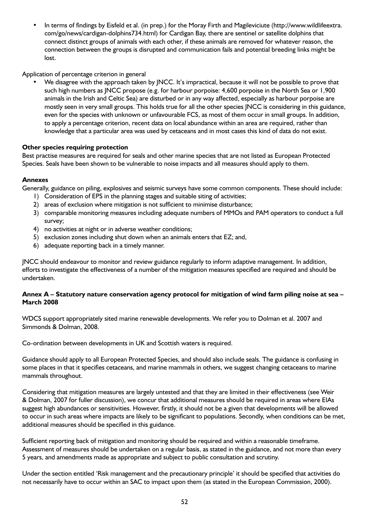In terms of findings by Eisfeld et al. (in prep.) for the Moray Firth and Magileviciute (http://www.wildlifeextra. com/go/news/cardigan-dolphins734.html) for Cardigan Bay, there are sentinel or satellite dolphins that connect distinct groups of animals with each other, if these animals are removed for whatever reason, the connection between the groups is disrupted and communication fails and potential breeding links might be lost.

#### Application of percentage criterion in general

We disagree with the approach taken by JNCC. It's impractical, because it will not be possible to prove that such high numbers as JNCC propose (e.g. for harbour porpoise: 4,600 porpoise in the North Sea or 1,900 animals in the Irish and Celtic Sea) are disturbed or in any way affected, especially as harbour porpoise are mostly seen in very small groups. This holds true for all the other species JNCC is considering in this guidance, even for the species with unknown or unfavourable FCS, as most of them occur in small groups. In addition, to apply a percentage criterion, recent data on local abundance within an area are required, rather than knowledge that a particular area was used by cetaceans and in most cases this kind of data do not exist.

#### **Other species requiring protection**

Best practise measures are required for seals and other marine species that are not listed as European Protected Species. Seals have been shown to be vulnerable to noise impacts and all measures should apply to them.

#### **Annexes**

Generally, guidance on piling, explosives and seismic surveys have some common components. These should include:

- 1) Consideration of EPS in the planning stages and suitable siting of activities;
- 2) areas of exclusion where mitigation is not sufficient to minimise disturbance;
- 3) comparable monitoring measures including adequate numbers of MMOs and PAM operators to conduct a full survey;
- 4) no activities at night or in adverse weather conditions;
- 5) exclusion zones including shut down when an animals enters that EZ; and,
- 6) adequate reporting back in a timely manner.

JNCC should endeavour to monitor and review guidance regularly to inform adaptive management. In addition, efforts to investigate the effectiveness of a number of the mitigation measures specified are required and should be undertaken.

#### **Annex A – Statutory nature conservation agency protocol for mitigation of wind farm piling noise at sea – March 2008**

WDCS support appropriately sited marine renewable developments. We refer you to Dolman et al. 2007 and Simmonds & Dolman, 2008.

Co-ordination between developments in UK and Scottish waters is required.

Guidance should apply to all European Protected Species, and should also include seals. The guidance is confusing in some places in that it specifies cetaceans, and marine mammals in others, we suggest changing cetaceans to marine mammals throughout.

Considering that mitigation measures are largely untested and that they are limited in their effectiveness (see Weir & Dolman, 2007 for fuller discussion), we concur that additional measures should be required in areas where EIAs suggest high abundances or sensitivities. However, firstly, it should not be a given that developments will be allowed to occur in such areas where impacts are likely to be significant to populations. Secondly, when conditions can be met, additional measures should be specified in this guidance.

Sufficient reporting back of mitigation and monitoring should be required and within a reasonable timeframe. Assessment of measures should be undertaken on a regular basis, as stated in the guidance, and not more than every 5 years, and amendments made as appropriate and subject to public consultation and scrutiny.

Under the section entitled 'Risk management and the precautionary principle' it should be specified that activities do not necessarily have to occur within an SAC to impact upon them (as stated in the European Commission, 2000).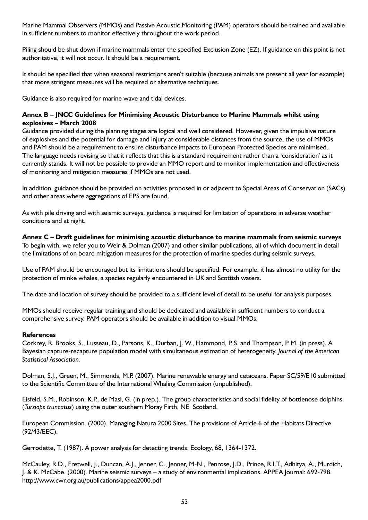Marine Mammal Observers (MMOs) and Passive Acoustic Monitoring (PAM) operators should be trained and available in sufficient numbers to monitor effectively throughout the work period.

Piling should be shut down if marine mammals enter the specified Exclusion Zone (EZ). If guidance on this point is not authoritative, it will not occur. It should be a requirement.

It should be specified that when seasonal restrictions aren't suitable (because animals are present all year for example) that more stringent measures will be required or alternative techniques.

Guidance is also required for marine wave and tidal devices.

#### **Annex B – JNCC Guidelines for Minimising Acoustic Disturbance to Marine Mammals whilst using explosives – March 2008**

Guidance provided during the planning stages are logical and well considered. However, given the impulsive nature of explosives and the potential for damage and injury at considerable distances from the source, the use of MMOs and PAM should be a requirement to ensure disturbance impacts to European Protected Species are minimised. The language needs revising so that it reflects that this is a standard requirement rather than a 'consideration' as it currently stands. It will not be possible to provide an MMO report and to monitor implementation and effectiveness of monitoring and mitigation measures if MMOs are not used.

In addition, guidance should be provided on activities proposed in or adjacent to Special Areas of Conservation (SACs) and other areas where aggregations of EPS are found.

As with pile driving and with seismic surveys, guidance is required for limitation of operations in adverse weather conditions and at night.

**Annex C – Draft guidelines for minimising acoustic disturbance to marine mammals from seismic surveys** To begin with, we refer you to Weir & Dolman (2007) and other similar publications, all of which document in detail the limitations of on board mitigation measures for the protection of marine species during seismic surveys.

Use of PAM should be encouraged but its limitations should be specified. For example, it has almost no utility for the protection of minke whales, a species regularly encountered in UK and Scottish waters.

The date and location of survey should be provided to a sufficient level of detail to be useful for analysis purposes.

MMOs should receive regular training and should be dedicated and available in sufficient numbers to conduct a comprehensive survey. PAM operators should be available in addition to visual MMOs.

#### **References**

Corkrey, R. Brooks, S., Lusseau, D., Parsons, K., Durban, J. W., Hammond, P. S. and Thompson, P. M. (in press). A Bayesian capture-recapture population model with simultaneous estimation of heterogeneity. *Journal of the American Statistical Association.*

Dolman, S.J., Green, M., Simmonds, M.P. (2007). Marine renewable energy and cetaceans. Paper SC/59/E10 submitted to the Scientific Committee of the International Whaling Commission (unpublished).

Eisfeld, S.M., Robinson, K.P., de Masi, G. (in prep.). The group characteristics and social fidelity of bottlenose dolphins (*Tursiops truncatus*) using the outer southern Moray Firth, NE Scotland.

European Commission. (2000). Managing Natura 2000 Sites. The provisions of Article 6 of the Habitats Directive (92/43/EEC).

Gerrodette, T. (1987). A power analysis for detecting trends. Ecology, 68, 1364-1372.

McCauley, R.D., Fretwell, J., Duncan, A.J., Jenner, C., Jenner, M-N., Penrose, J.D., Prince, R.I.T., Adhitya, A., Murdich, J. & K. McCabe. (2000). Marine seismic surveys – a study of environmental implications. APPEA Journal: 692-798. http://www.cwr.org.au/publications/appea2000.pdf